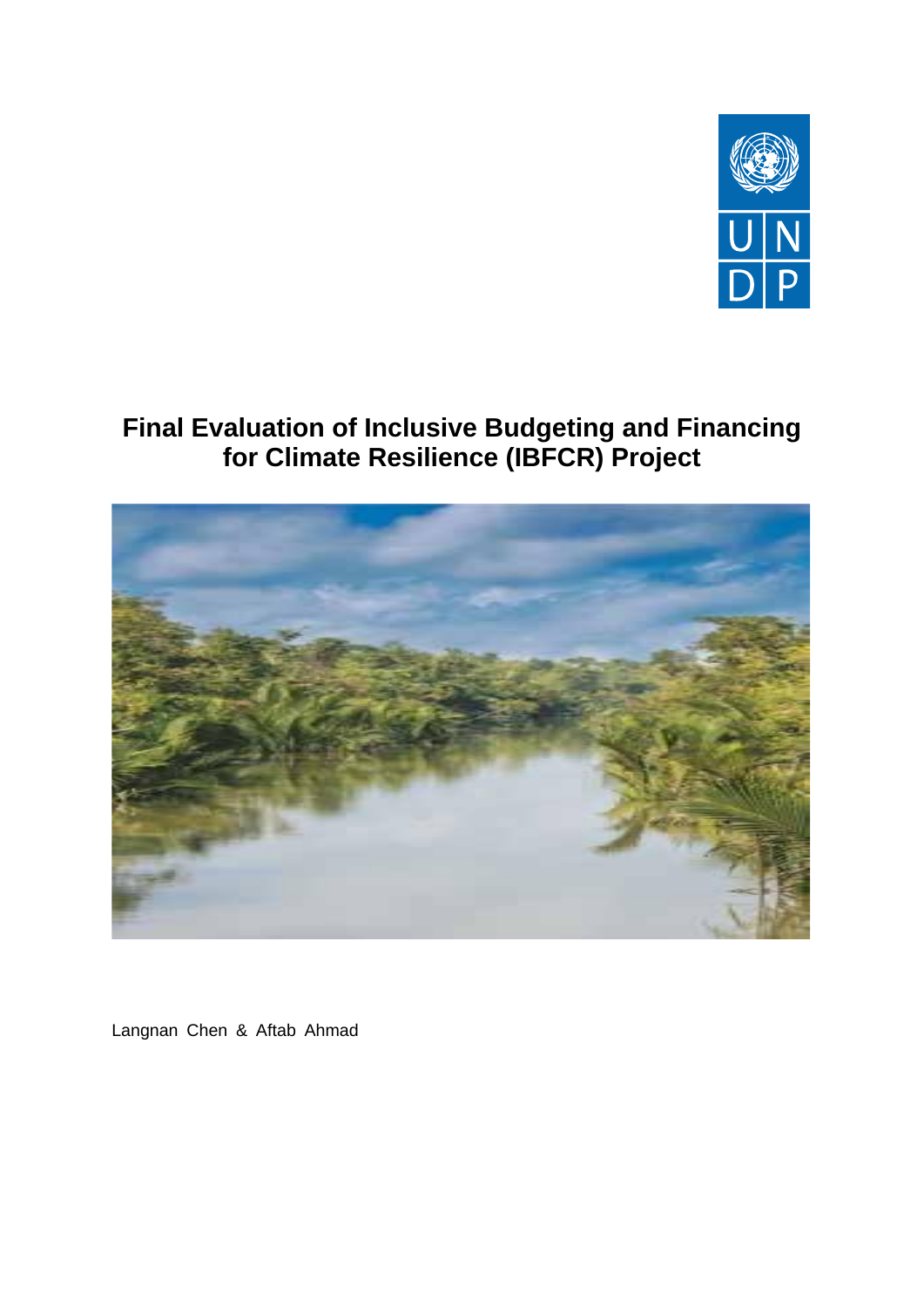

# **Final Evaluation of Inclusive Budgeting and Financing for Climate Resilience (IBFCR) Project**



Langnan Chen & Aftab Ahmad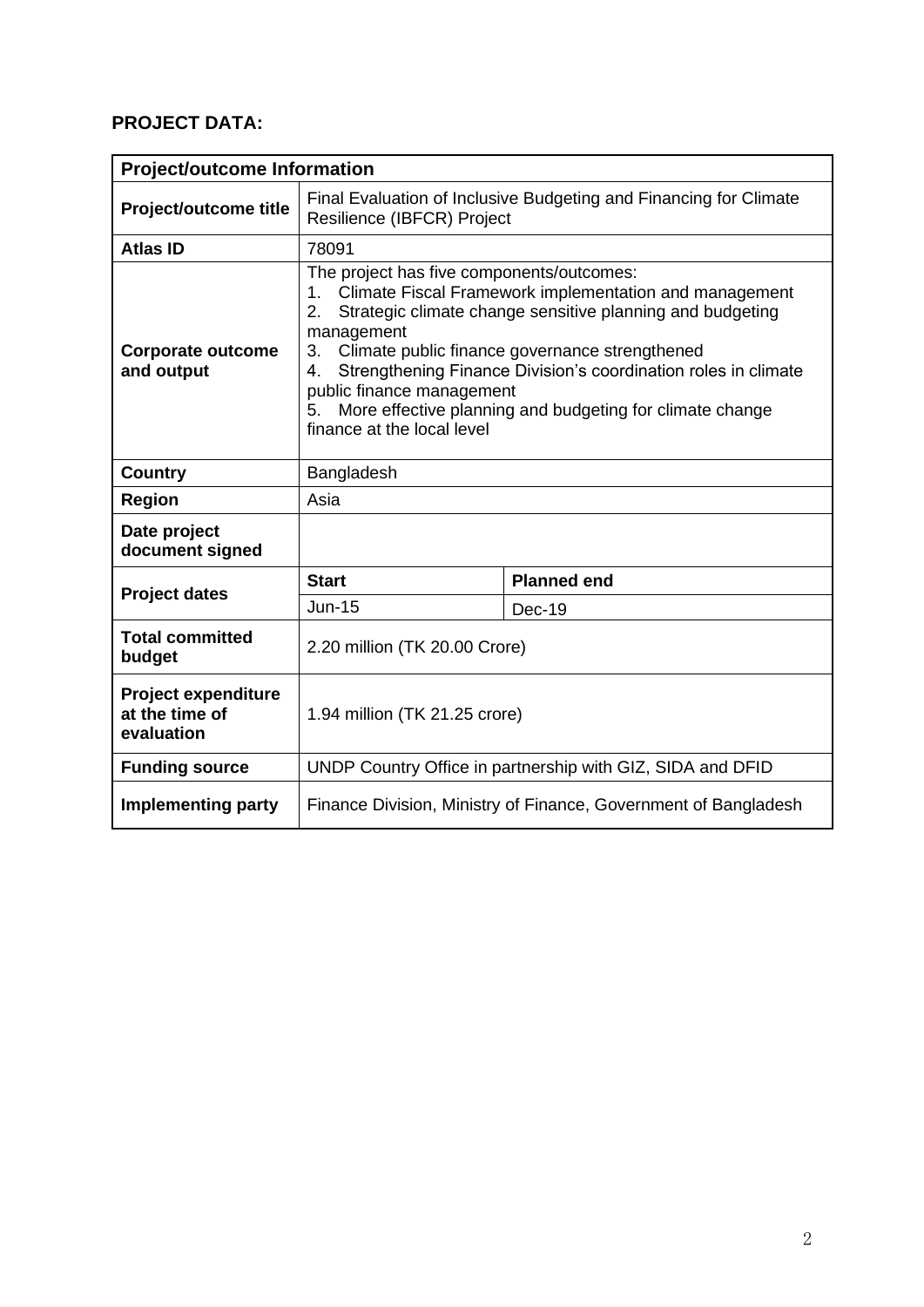## **PROJECT DATA:**

|                                                            | <b>Project/outcome Information</b>                                                                                                                                                                                                                                                                                                                                                                                                                             |                    |  |  |  |
|------------------------------------------------------------|----------------------------------------------------------------------------------------------------------------------------------------------------------------------------------------------------------------------------------------------------------------------------------------------------------------------------------------------------------------------------------------------------------------------------------------------------------------|--------------------|--|--|--|
| Project/outcome title                                      | Final Evaluation of Inclusive Budgeting and Financing for Climate<br>Resilience (IBFCR) Project                                                                                                                                                                                                                                                                                                                                                                |                    |  |  |  |
| <b>Atlas ID</b>                                            | 78091                                                                                                                                                                                                                                                                                                                                                                                                                                                          |                    |  |  |  |
| Corporate outcome<br>and output                            | The project has five components/outcomes:<br>Climate Fiscal Framework implementation and management<br>$1_{-}$<br>Strategic climate change sensitive planning and budgeting<br>$2_{-}$<br>management<br>3. Climate public finance governance strengthened<br>Strengthening Finance Division's coordination roles in climate<br>4.<br>public finance management<br>More effective planning and budgeting for climate change<br>5.<br>finance at the local level |                    |  |  |  |
| <b>Country</b>                                             | Bangladesh                                                                                                                                                                                                                                                                                                                                                                                                                                                     |                    |  |  |  |
| <b>Region</b>                                              | Asia                                                                                                                                                                                                                                                                                                                                                                                                                                                           |                    |  |  |  |
| Date project<br>document signed                            |                                                                                                                                                                                                                                                                                                                                                                                                                                                                |                    |  |  |  |
| <b>Project dates</b>                                       | <b>Start</b>                                                                                                                                                                                                                                                                                                                                                                                                                                                   | <b>Planned end</b> |  |  |  |
|                                                            | <b>Jun-15</b>                                                                                                                                                                                                                                                                                                                                                                                                                                                  | <b>Dec-19</b>      |  |  |  |
| <b>Total committed</b><br>budget                           | 2.20 million (TK 20.00 Crore)                                                                                                                                                                                                                                                                                                                                                                                                                                  |                    |  |  |  |
| <b>Project expenditure</b><br>at the time of<br>evaluation | 1.94 million (TK 21.25 crore)                                                                                                                                                                                                                                                                                                                                                                                                                                  |                    |  |  |  |
| <b>Funding source</b>                                      | UNDP Country Office in partnership with GIZ, SIDA and DFID                                                                                                                                                                                                                                                                                                                                                                                                     |                    |  |  |  |
| <b>Implementing party</b>                                  | Finance Division, Ministry of Finance, Government of Bangladesh                                                                                                                                                                                                                                                                                                                                                                                                |                    |  |  |  |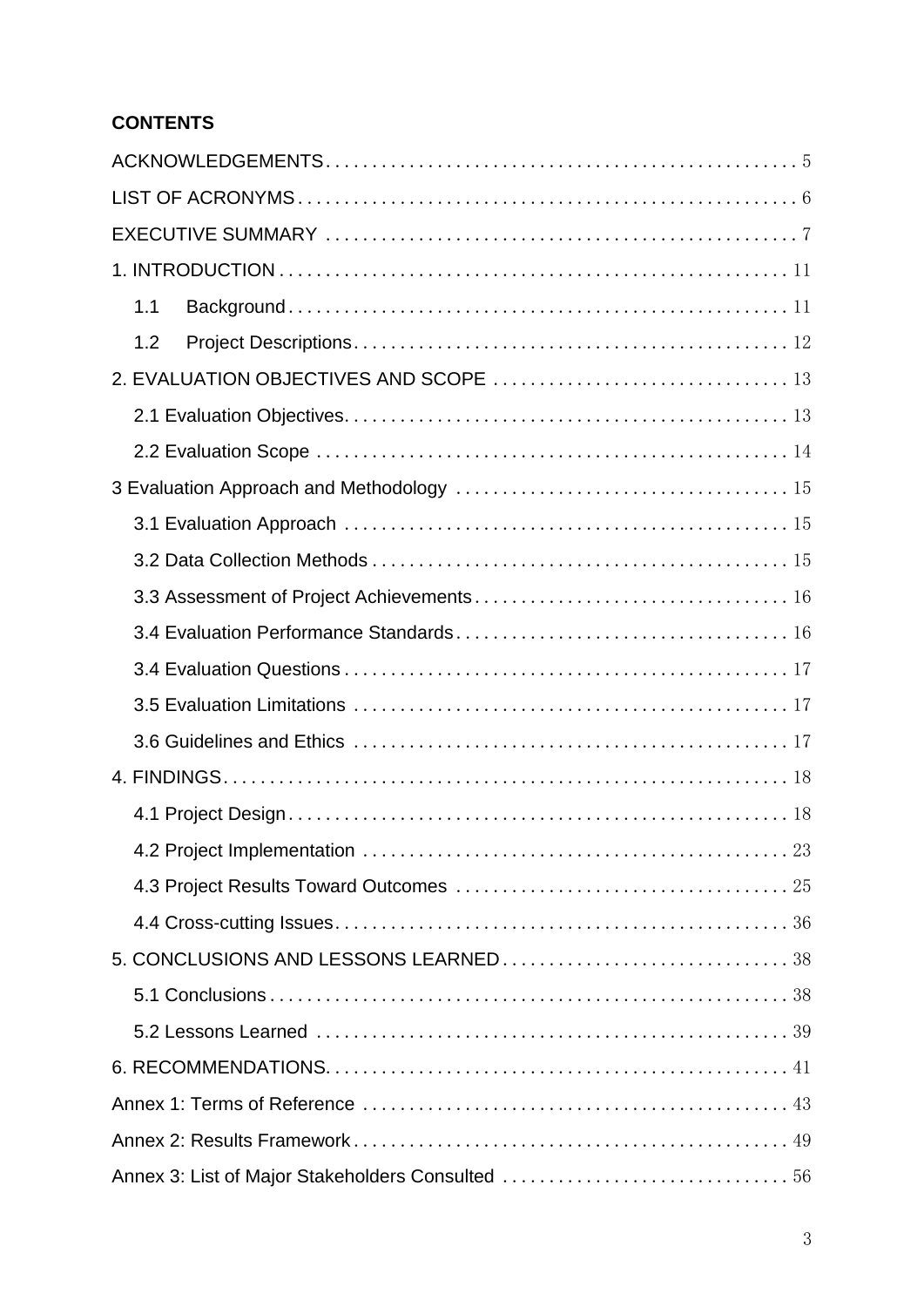## **CONTENTS**

| 1.1 |
|-----|
| 1.2 |
|     |
|     |
|     |
|     |
|     |
|     |
|     |
|     |
|     |
|     |
|     |
|     |
|     |
|     |
|     |
|     |
|     |
|     |
|     |
|     |
|     |
|     |
|     |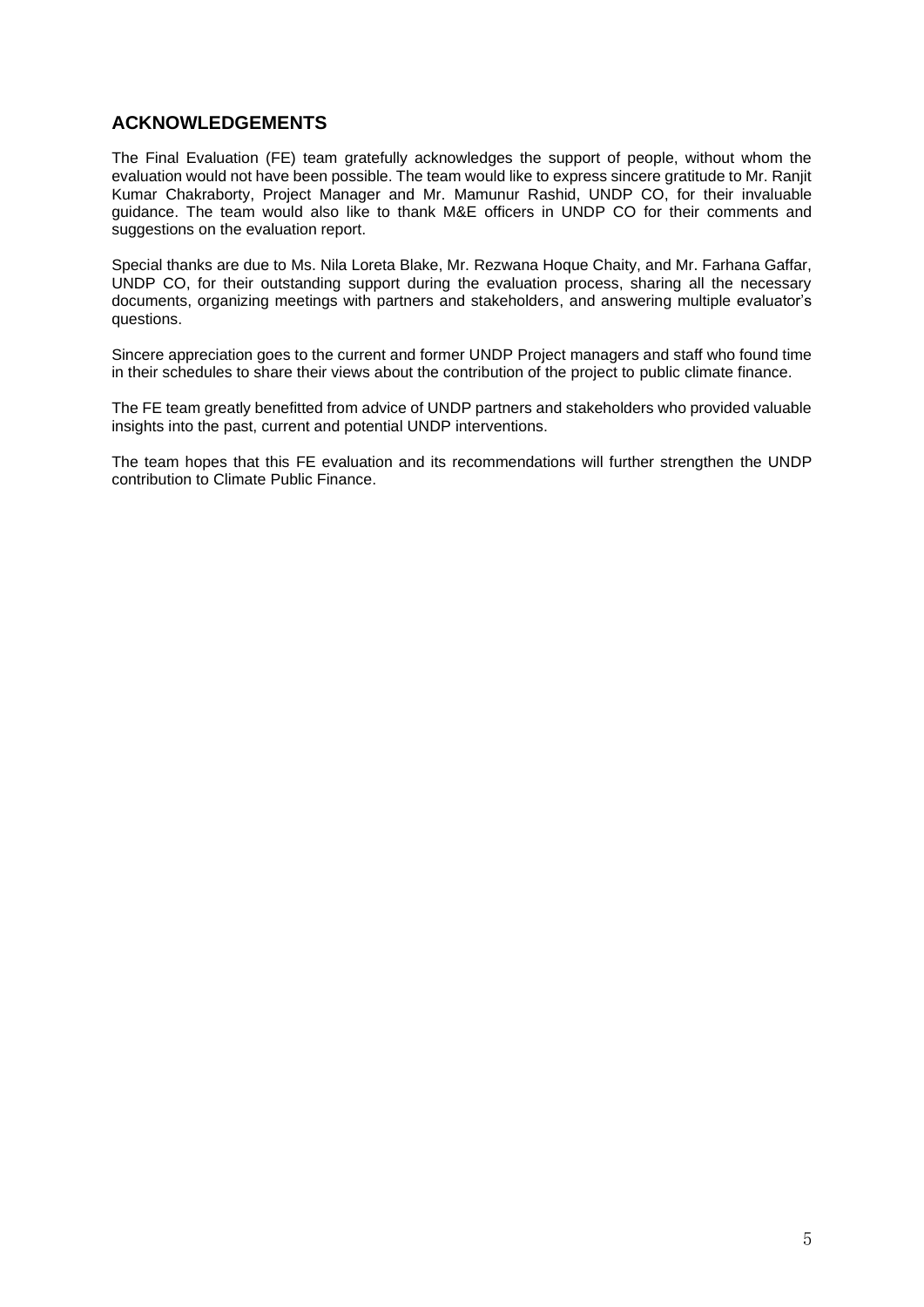#### **ACKNOWLEDGEMENTS**

The Final Evaluation (FE) team gratefully acknowledges the support of people, without whom the evaluation would not have been possible. The team would like to express sincere gratitude to Mr. Ranjit Kumar Chakraborty, Project Manager and Mr. Mamunur Rashid, UNDP CO, for their invaluable guidance. The team would also like to thank M&E officers in UNDP CO for their comments and suggestions on the evaluation report.

Special thanks are due to Ms. Nila Loreta Blake, Mr. Rezwana Hoque Chaity, and Mr. Farhana Gaffar, UNDP CO, for their outstanding support during the evaluation process, sharing all the necessary documents, organizing meetings with partners and stakeholders, and answering multiple evaluator's questions.

Sincere appreciation goes to the current and former UNDP Project managers and staff who found time in their schedules to share their views about the contribution of the project to public climate finance.

The FE team greatly benefitted from advice of UNDP partners and stakeholders who provided valuable insights into the past, current and potential UNDP interventions.

The team hopes that this FE evaluation and its recommendations will further strengthen the UNDP contribution to Climate Public Finance.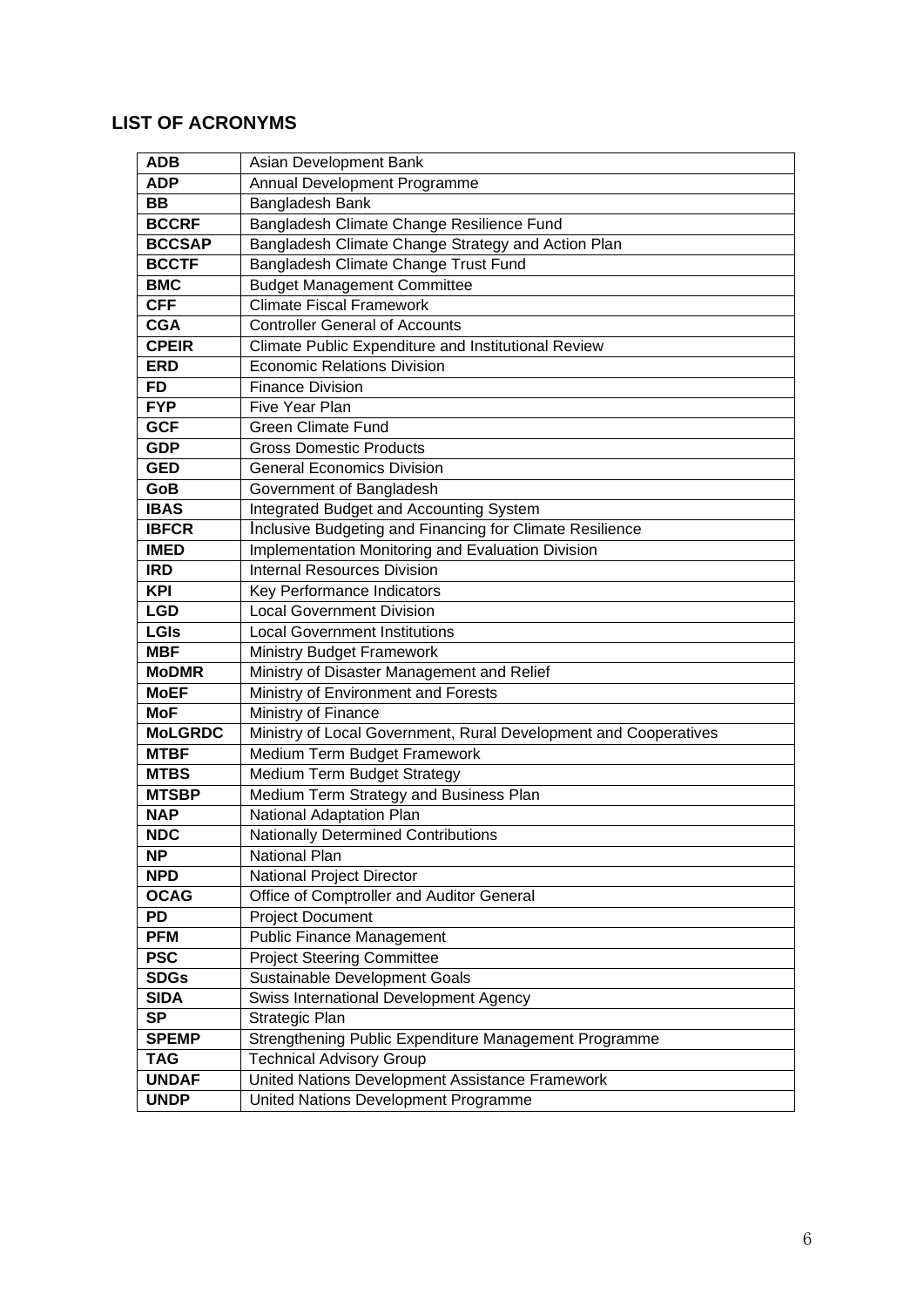## **LIST OF ACRONYMS**

| <b>ADB</b>     | Asian Development Bank                                           |
|----------------|------------------------------------------------------------------|
| <b>ADP</b>     | Annual Development Programme                                     |
| <b>BB</b>      | Bangladesh Bank                                                  |
| <b>BCCRF</b>   | Bangladesh Climate Change Resilience Fund                        |
| <b>BCCSAP</b>  | Bangladesh Climate Change Strategy and Action Plan               |
| <b>BCCTF</b>   | Bangladesh Climate Change Trust Fund                             |
| <b>BMC</b>     | <b>Budget Management Committee</b>                               |
| <b>CFF</b>     | <b>Climate Fiscal Framework</b>                                  |
| <b>CGA</b>     | <b>Controller General of Accounts</b>                            |
| <b>CPEIR</b>   | Climate Public Expenditure and Institutional Review              |
| <b>ERD</b>     | <b>Economic Relations Division</b>                               |
| FD             | <b>Finance Division</b>                                          |
| <b>FYP</b>     | Five Year Plan                                                   |
| <b>GCF</b>     | <b>Green Climate Fund</b>                                        |
| <b>GDP</b>     | <b>Gross Domestic Products</b>                                   |
| <b>GED</b>     | <b>General Economics Division</b>                                |
| GoB            | Government of Bangladesh                                         |
| <b>IBAS</b>    | Integrated Budget and Accounting System                          |
| <b>IBFCR</b>   | Inclusive Budgeting and Financing for Climate Resilience         |
| <b>IMED</b>    | Implementation Monitoring and Evaluation Division                |
| <b>IRD</b>     | <b>Internal Resources Division</b>                               |
| KPI            | Key Performance Indicators                                       |
| <b>LGD</b>     | <b>Local Government Division</b>                                 |
| <b>LGIs</b>    | <b>Local Government Institutions</b>                             |
| <b>MBF</b>     | <b>Ministry Budget Framework</b>                                 |
| <b>MoDMR</b>   | Ministry of Disaster Management and Relief                       |
| <b>MoEF</b>    | Ministry of Environment and Forests                              |
| <b>MoF</b>     | Ministry of Finance                                              |
| <b>MoLGRDC</b> | Ministry of Local Government, Rural Development and Cooperatives |
| <b>MTBF</b>    | Medium Term Budget Framework                                     |
| <b>MTBS</b>    | Medium Term Budget Strategy                                      |
| <b>MTSBP</b>   | Medium Term Strategy and Business Plan                           |
| <b>NAP</b>     | National Adaptation Plan                                         |
| <b>NDC</b>     | <b>Nationally Determined Contributions</b>                       |
| <b>NP</b>      | National Plan                                                    |
| <b>NPD</b>     | National Project Director                                        |
| <b>OCAG</b>    | Office of Comptroller and Auditor General                        |
| PD             | <b>Project Document</b>                                          |
| <b>PFM</b>     | <b>Public Finance Management</b>                                 |
| <b>PSC</b>     | <b>Project Steering Committee</b>                                |
| <b>SDGs</b>    | Sustainable Development Goals                                    |
| <b>SIDA</b>    | Swiss International Development Agency                           |
| <b>SP</b>      | Strategic Plan                                                   |
| <b>SPEMP</b>   | Strengthening Public Expenditure Management Programme            |
| <b>TAG</b>     | <b>Technical Advisory Group</b>                                  |
| <b>UNDAF</b>   | United Nations Development Assistance Framework                  |
| <b>UNDP</b>    | United Nations Development Programme                             |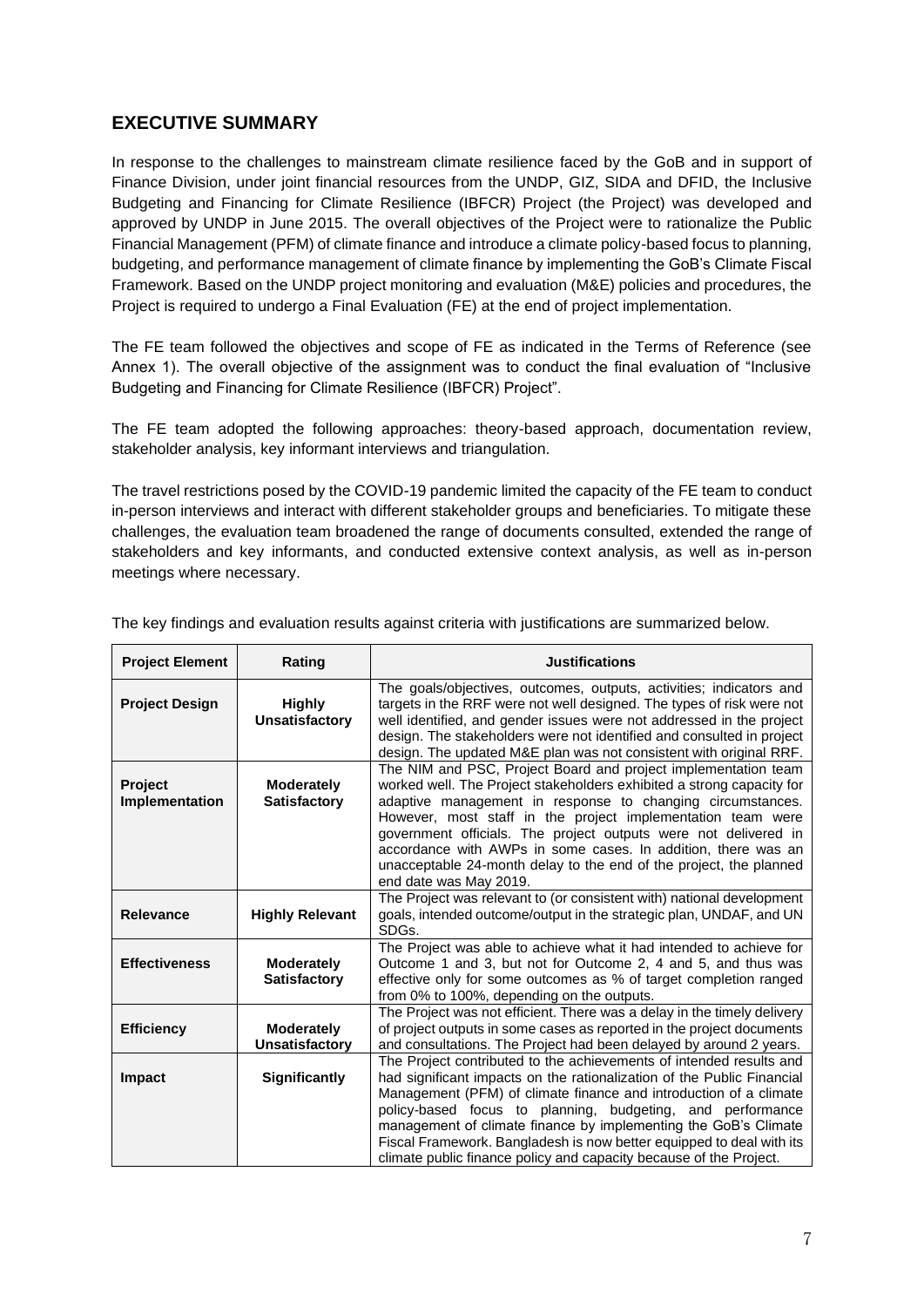### **EXECUTIVE SUMMARY**

In response to the challenges to mainstream climate resilience faced by the GoB and in support of Finance Division, under joint financial resources from the UNDP, GIZ, SIDA and DFID, the Inclusive Budgeting and Financing for Climate Resilience (IBFCR) Project (the Project) was developed and approved by UNDP in June 2015. The overall objectives of the Project were to rationalize the Public Financial Management (PFM) of climate finance and introduce a climate policy-based focus to planning, budgeting, and performance management of climate finance by implementing the GoB's Climate Fiscal Framework. Based on the UNDP project monitoring and evaluation (M&E) policies and procedures, the Project is required to undergo a Final Evaluation (FE) at the end of project implementation.

The FE team followed the objectives and scope of FE as indicated in the Terms of Reference (see Annex 1). The overall objective of the assignment was to conduct the final evaluation of "Inclusive Budgeting and Financing for Climate Resilience (IBFCR) Project".

The FE team adopted the following approaches: theory-based approach, documentation review, stakeholder analysis, key informant interviews and triangulation.

The travel restrictions posed by the COVID-19 pandemic limited the capacity of the FE team to conduct in-person interviews and interact with different stakeholder groups and beneficiaries. To mitigate these challenges, the evaluation team broadened the range of documents consulted, extended the range of stakeholders and key informants, and conducted extensive context analysis, as well as in-person meetings where necessary.

| <b>Project Element</b>    | Rating                                     | <b>Justifications</b>                                                                                                                                                                                                                                                                                                                                                                                                                                                                                    |  |  |  |
|---------------------------|--------------------------------------------|----------------------------------------------------------------------------------------------------------------------------------------------------------------------------------------------------------------------------------------------------------------------------------------------------------------------------------------------------------------------------------------------------------------------------------------------------------------------------------------------------------|--|--|--|
| <b>Project Design</b>     | <b>Highly</b><br><b>Unsatisfactory</b>     | The goals/objectives, outcomes, outputs, activities; indicators and<br>targets in the RRF were not well designed. The types of risk were not<br>well identified, and gender issues were not addressed in the project<br>design. The stakeholders were not identified and consulted in project<br>design. The updated M&E plan was not consistent with original RRF.                                                                                                                                      |  |  |  |
| Project<br>Implementation | <b>Moderately</b><br><b>Satisfactory</b>   | The NIM and PSC, Project Board and project implementation team<br>worked well. The Project stakeholders exhibited a strong capacity for<br>adaptive management in response to changing circumstances.<br>However, most staff in the project implementation team were<br>government officials. The project outputs were not delivered in<br>accordance with AWPs in some cases. In addition, there was an<br>unacceptable 24-month delay to the end of the project, the planned<br>end date was May 2019. |  |  |  |
| <b>Relevance</b>          | <b>Highly Relevant</b>                     | The Project was relevant to (or consistent with) national development<br>goals, intended outcome/output in the strategic plan, UNDAF, and UN<br>SDGs.                                                                                                                                                                                                                                                                                                                                                    |  |  |  |
| <b>Effectiveness</b>      | <b>Moderately</b><br><b>Satisfactory</b>   | The Project was able to achieve what it had intended to achieve for<br>Outcome 1 and 3, but not for Outcome 2, 4 and 5, and thus was<br>effective only for some outcomes as % of target completion ranged<br>from 0% to 100%, depending on the outputs.                                                                                                                                                                                                                                                  |  |  |  |
| <b>Efficiency</b>         | <b>Moderately</b><br><b>Unsatisfactory</b> | The Project was not efficient. There was a delay in the timely delivery<br>of project outputs in some cases as reported in the project documents<br>and consultations. The Project had been delayed by around 2 years.                                                                                                                                                                                                                                                                                   |  |  |  |
| <b>Impact</b>             | Significantly                              | The Project contributed to the achievements of intended results and<br>had significant impacts on the rationalization of the Public Financial<br>Management (PFM) of climate finance and introduction of a climate<br>policy-based focus to planning, budgeting, and performance<br>management of climate finance by implementing the GoB's Climate<br>Fiscal Framework. Bangladesh is now better equipped to deal with its<br>climate public finance policy and capacity because of the Project.        |  |  |  |

The key findings and evaluation results against criteria with justifications are summarized below.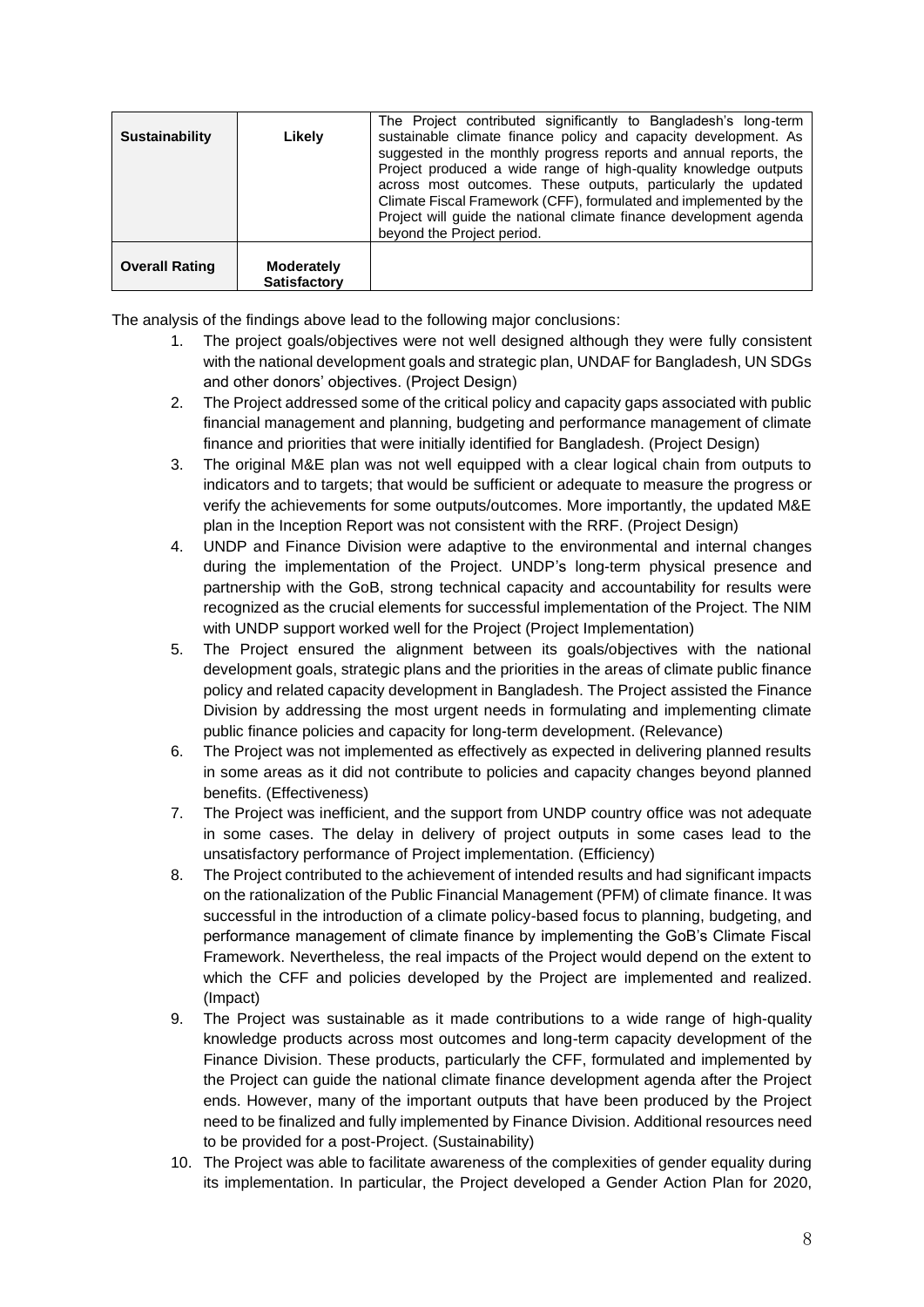| <b>Sustainability</b> | Likely                            | The Project contributed significantly to Bangladesh's long-term<br>sustainable climate finance policy and capacity development. As<br>suggested in the monthly progress reports and annual reports, the<br>Project produced a wide range of high-quality knowledge outputs<br>across most outcomes. These outputs, particularly the updated<br>Climate Fiscal Framework (CFF), formulated and implemented by the<br>Project will quide the national climate finance development agenda<br>beyond the Project period. |
|-----------------------|-----------------------------------|----------------------------------------------------------------------------------------------------------------------------------------------------------------------------------------------------------------------------------------------------------------------------------------------------------------------------------------------------------------------------------------------------------------------------------------------------------------------------------------------------------------------|
| <b>Overall Rating</b> | Moderately<br><b>Satisfactory</b> |                                                                                                                                                                                                                                                                                                                                                                                                                                                                                                                      |

The analysis of the findings above lead to the following major conclusions:

- 1. The project goals/objectives were not well designed although they were fully consistent with the national development goals and strategic plan, UNDAF for Bangladesh, UN SDGs and other donors' objectives. (Project Design)
- 2. The Project addressed some of the critical policy and capacity gaps associated with public financial management and planning, budgeting and performance management of climate finance and priorities that were initially identified for Bangladesh. (Project Design)
- 3. The original M&E plan was not well equipped with a clear logical chain from outputs to indicators and to targets; that would be sufficient or adequate to measure the progress or verify the achievements for some outputs/outcomes. More importantly, the updated M&E plan in the Inception Report was not consistent with the RRF. (Project Design)
- 4. UNDP and Finance Division were adaptive to the environmental and internal changes during the implementation of the Project. UNDP's long-term physical presence and partnership with the GoB, strong technical capacity and accountability for results were recognized as the crucial elements for successful implementation of the Project. The NIM with UNDP support worked well for the Project (Project Implementation)
- 5. The Project ensured the alignment between its goals/objectives with the national development goals, strategic plans and the priorities in the areas of climate public finance policy and related capacity development in Bangladesh. The Project assisted the Finance Division by addressing the most urgent needs in formulating and implementing climate public finance policies and capacity for long-term development. (Relevance)
- 6. The Project was not implemented as effectively as expected in delivering planned results in some areas as it did not contribute to policies and capacity changes beyond planned benefits. (Effectiveness)
- 7. The Project was inefficient, and the support from UNDP country office was not adequate in some cases. The delay in delivery of project outputs in some cases lead to the unsatisfactory performance of Project implementation. (Efficiency)
- 8. The Project contributed to the achievement of intended results and had significant impacts on the rationalization of the Public Financial Management (PFM) of climate finance. It was successful in the introduction of a climate policy-based focus to planning, budgeting, and performance management of climate finance by implementing the GoB's Climate Fiscal Framework. Nevertheless, the real impacts of the Project would depend on the extent to which the CFF and policies developed by the Project are implemented and realized. (Impact)
- 9. The Project was sustainable as it made contributions to a wide range of high-quality knowledge products across most outcomes and long-term capacity development of the Finance Division. These products, particularly the CFF, formulated and implemented by the Project can guide the national climate finance development agenda after the Project ends. However, many of the important outputs that have been produced by the Project need to be finalized and fully implemented by Finance Division. Additional resources need to be provided for a post-Project. (Sustainability)
- 10. The Project was able to facilitate awareness of the complexities of gender equality during its implementation. In particular, the Project developed a Gender Action Plan for 2020,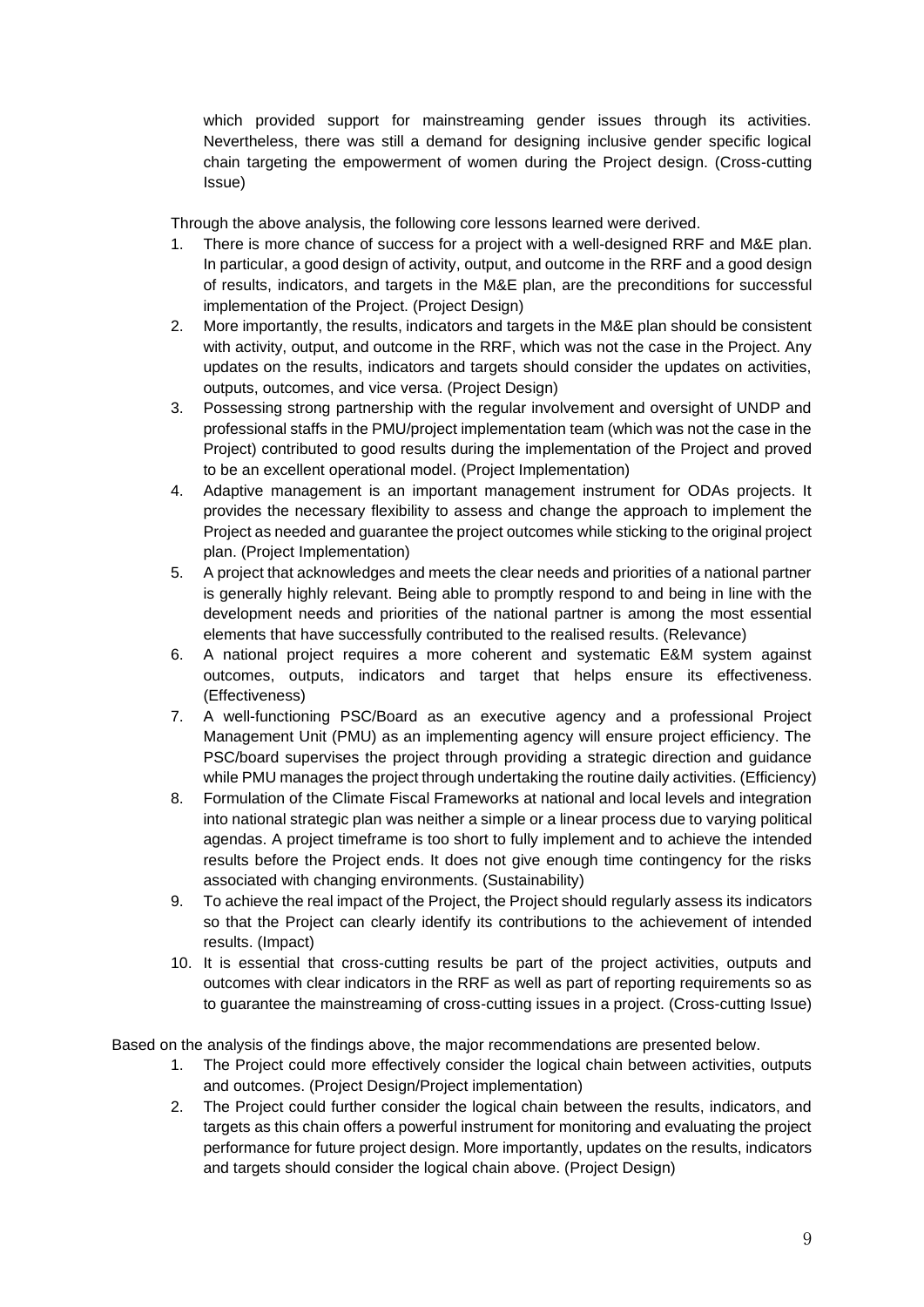which provided support for mainstreaming gender issues through its activities. Nevertheless, there was still a demand for designing inclusive gender specific logical chain targeting the empowerment of women during the Project design. (Cross-cutting Issue)

Through the above analysis, the following core lessons learned were derived.

- There is more chance of success for a project with a well-designed RRF and M&E plan. In particular, a good design of activity, output, and outcome in the RRF and a good design of results, indicators, and targets in the M&E plan, are the preconditions for successful implementation of the Project. (Project Design)
- 2. More importantly, the results, indicators and targets in the M&E plan should be consistent with activity, output, and outcome in the RRF, which was not the case in the Project. Any updates on the results, indicators and targets should consider the updates on activities, outputs, outcomes, and vice versa. (Project Design)
- 3. Possessing strong partnership with the regular involvement and oversight of UNDP and professional staffs in the PMU/project implementation team (which was not the case in the Project) contributed to good results during the implementation of the Project and proved to be an excellent operational model. (Project Implementation)
- 4. Adaptive management is an important management instrument for ODAs projects. It provides the necessary flexibility to assess and change the approach to implement the Project as needed and guarantee the project outcomes while sticking to the original project plan. (Project Implementation)
- 5. A project that acknowledges and meets the clear needs and priorities of a national partner is generally highly relevant. Being able to promptly respond to and being in line with the development needs and priorities of the national partner is among the most essential elements that have successfully contributed to the realised results. (Relevance)
- 6. A national project requires a more coherent and systematic E&M system against outcomes, outputs, indicators and target that helps ensure its effectiveness. (Effectiveness)
- 7. A well-functioning PSC/Board as an executive agency and a professional Project Management Unit (PMU) as an implementing agency will ensure project efficiency. The PSC/board supervises the project through providing a strategic direction and guidance while PMU manages the project through undertaking the routine daily activities. (Efficiency)
- 8. Formulation of the Climate Fiscal Frameworks at national and local levels and integration into national strategic plan was neither a simple or a linear process due to varying political agendas. A project timeframe is too short to fully implement and to achieve the intended results before the Project ends. It does not give enough time contingency for the risks associated with changing environments. (Sustainability)
- 9. To achieve the real impact of the Project, the Project should regularly assess its indicators so that the Project can clearly identify its contributions to the achievement of intended results. (Impact)
- 10. It is essential that cross-cutting results be part of the project activities, outputs and outcomes with clear indicators in the RRF as well as part of reporting requirements so as to guarantee the mainstreaming of cross-cutting issues in a project. (Cross-cutting Issue)

Based on the analysis of the findings above, the major recommendations are presented below.

- 1. The Project could more effectively consider the logical chain between activities, outputs and outcomes. (Project Design/Project implementation)
- 2. The Project could further consider the logical chain between the results, indicators, and targets as this chain offers a powerful instrument for monitoring and evaluating the project performance for future project design. More importantly, updates on the results, indicators and targets should consider the logical chain above. (Project Design)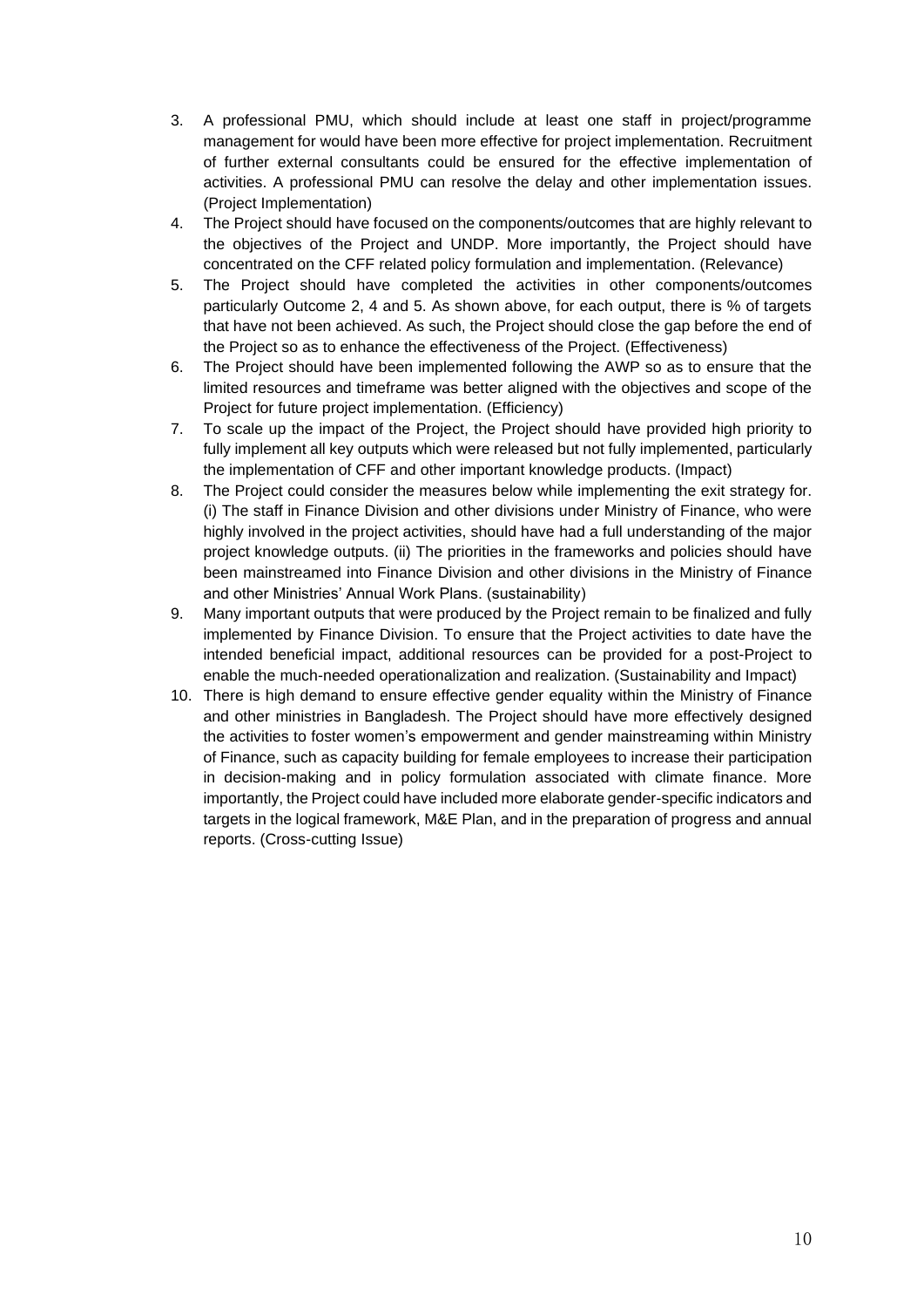- 3. A professional PMU, which should include at least one staff in project/programme management for would have been more effective for project implementation. Recruitment of further external consultants could be ensured for the effective implementation of activities. A professional PMU can resolve the delay and other implementation issues. (Project Implementation)
- 4. The Project should have focused on the components/outcomes that are highly relevant to the objectives of the Project and UNDP. More importantly, the Project should have concentrated on the CFF related policy formulation and implementation. (Relevance)
- 5. The Project should have completed the activities in other components/outcomes particularly Outcome 2, 4 and 5. As shown above, for each output, there is % of targets that have not been achieved. As such, the Project should close the gap before the end of the Project so as to enhance the effectiveness of the Project. (Effectiveness)
- 6. The Project should have been implemented following the AWP so as to ensure that the limited resources and timeframe was better aligned with the objectives and scope of the Project for future project implementation. (Efficiency)
- 7. To scale up the impact of the Project, the Project should have provided high priority to fully implement all key outputs which were released but not fully implemented, particularly the implementation of CFF and other important knowledge products. (Impact)
- 8. The Project could consider the measures below while implementing the exit strategy for. (i) The staff in Finance Division and other divisions under Ministry of Finance, who were highly involved in the project activities, should have had a full understanding of the major project knowledge outputs. (ii) The priorities in the frameworks and policies should have been mainstreamed into Finance Division and other divisions in the Ministry of Finance and other Ministries' Annual Work Plans. (sustainability)
- 9. Many important outputs that were produced by the Project remain to be finalized and fully implemented by Finance Division. To ensure that the Project activities to date have the intended beneficial impact, additional resources can be provided for a post-Project to enable the much-needed operationalization and realization. (Sustainability and Impact)
- 10. There is high demand to ensure effective gender equality within the Ministry of Finance and other ministries in Bangladesh. The Project should have more effectively designed the activities to foster women's empowerment and gender mainstreaming within Ministry of Finance, such as capacity building for female employees to increase their participation in decision-making and in policy formulation associated with climate finance. More importantly, the Project could have included more elaborate gender-specific indicators and targets in the logical framework, M&E Plan, and in the preparation of progress and annual reports. (Cross-cutting Issue)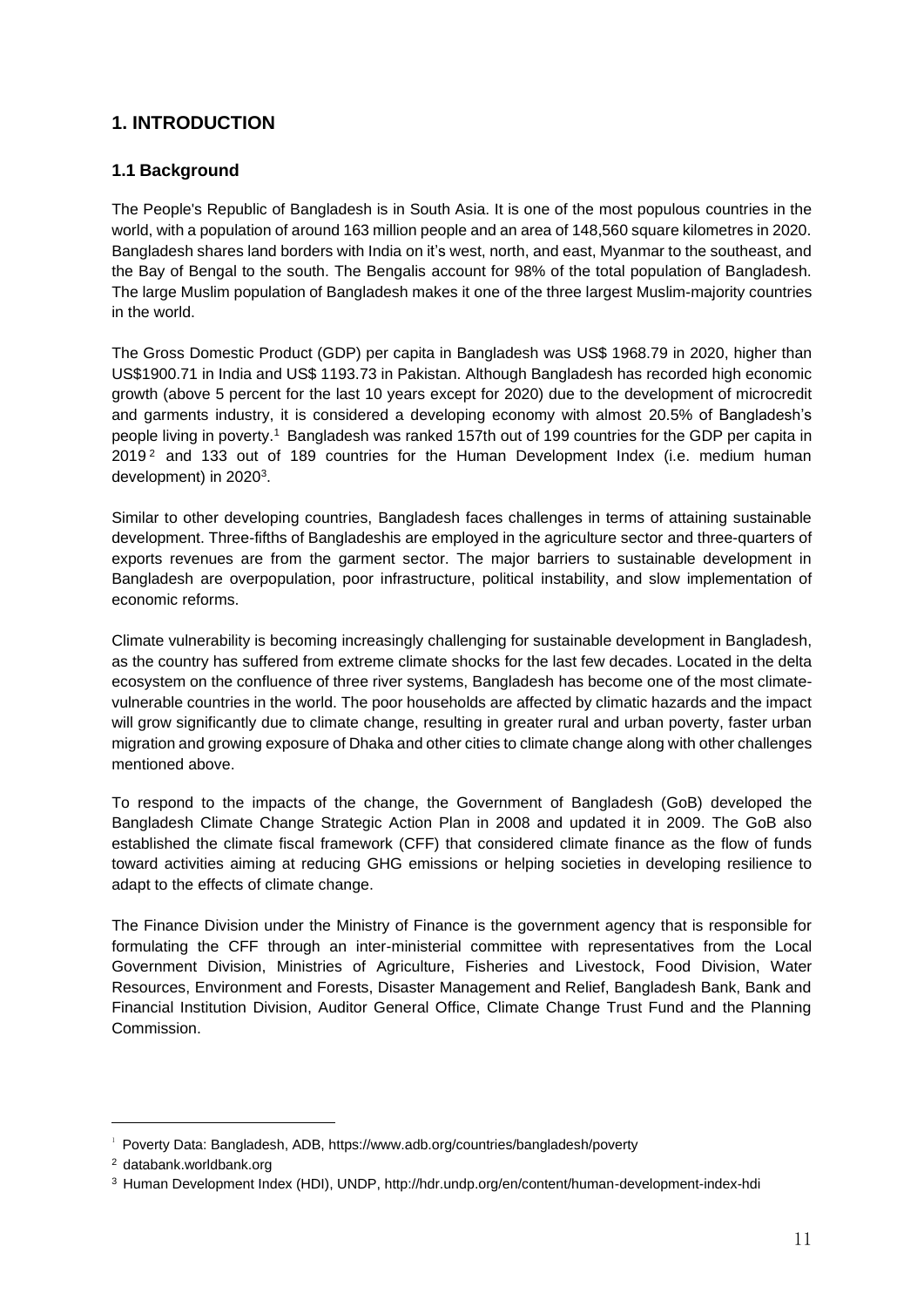## **1. INTRODUCTION**

#### **1.1 Background**

The People's Republic of Bangladesh is in South Asia. It is one of the most populous countries in the world, with a population of around 163 million people and an area of 148,560 square kilometres in 2020. Bangladesh shares land borders with India on it's west, north, and east, Myanmar to the southeast, and the Bay of Bengal to the south. The Bengalis account for 98% of the total population of Bangladesh. The large Muslim population of Bangladesh makes it one of the three largest Muslim-majority countries in the world.

The Gross Domestic Product (GDP) per capita in Bangladesh was US\$ 1968.79 in 2020, higher than US\$1900.71 in India and US\$ 1193.73 in Pakistan. Although Bangladesh has recorded high economic growth (above 5 percent for the last 10 years except for 2020) due to the development of microcredit and garments industry, it is considered a developing economy with almost 20.5% of Bangladesh's people living in poverty.<sup>1</sup> Bangladesh was ranked 157th out of 199 countries for the GDP per capita in  $2019<sup>2</sup>$  and 133 out of 189 countries for the Human Development Index (i.e. medium human development) in 2020<sup>3</sup>.

Similar to other developing countries, Bangladesh faces challenges in terms of attaining sustainable development. Three-fifths of Bangladeshis are employed in the agriculture sector and three-quarters of exports revenues are from the garment sector. The major barriers to sustainable development in Bangladesh are overpopulation, poor infrastructure, political instability, and slow implementation of economic reforms.

Climate vulnerability is becoming increasingly challenging for sustainable development in Bangladesh, as the country has suffered from extreme climate shocks for the last few decades. Located in the delta ecosystem on the confluence of three river systems, Bangladesh has become one of the most climatevulnerable countries in the world. The poor households are affected by climatic hazards and the impact will grow significantly due to climate change, resulting in greater rural and urban poverty, faster urban migration and growing exposure of Dhaka and other cities to climate change along with other challenges mentioned above.

To respond to the impacts of the change, the Government of Bangladesh (GoB) developed the Bangladesh Climate Change Strategic Action Plan in 2008 and updated it in 2009. The GoB also established the climate fiscal framework (CFF) that considered climate finance as the flow of funds toward activities aiming at reducing GHG emissions or helping societies in developing resilience to adapt to the effects of climate change.

The Finance Division under the Ministry of Finance is the government agency that is responsible for formulating the CFF through an inter-ministerial committee with representatives from the Local Government Division, Ministries of Agriculture, Fisheries and Livestock, Food Division, Water Resources, Environment and Forests, Disaster Management and Relief, Bangladesh Bank, Bank and Financial Institution Division, Auditor General Office, Climate Change Trust Fund and the Planning Commission.

<sup>&</sup>lt;sup>1</sup> Poverty Data: Bangladesh, ADB, https://www.adb.org/countries/bangladesh/poverty

<sup>2</sup> databank.worldbank.org

<sup>3</sup> Human Development Index (HDI), UNDP, http://hdr.undp.org/en/content/human-development-index-hdi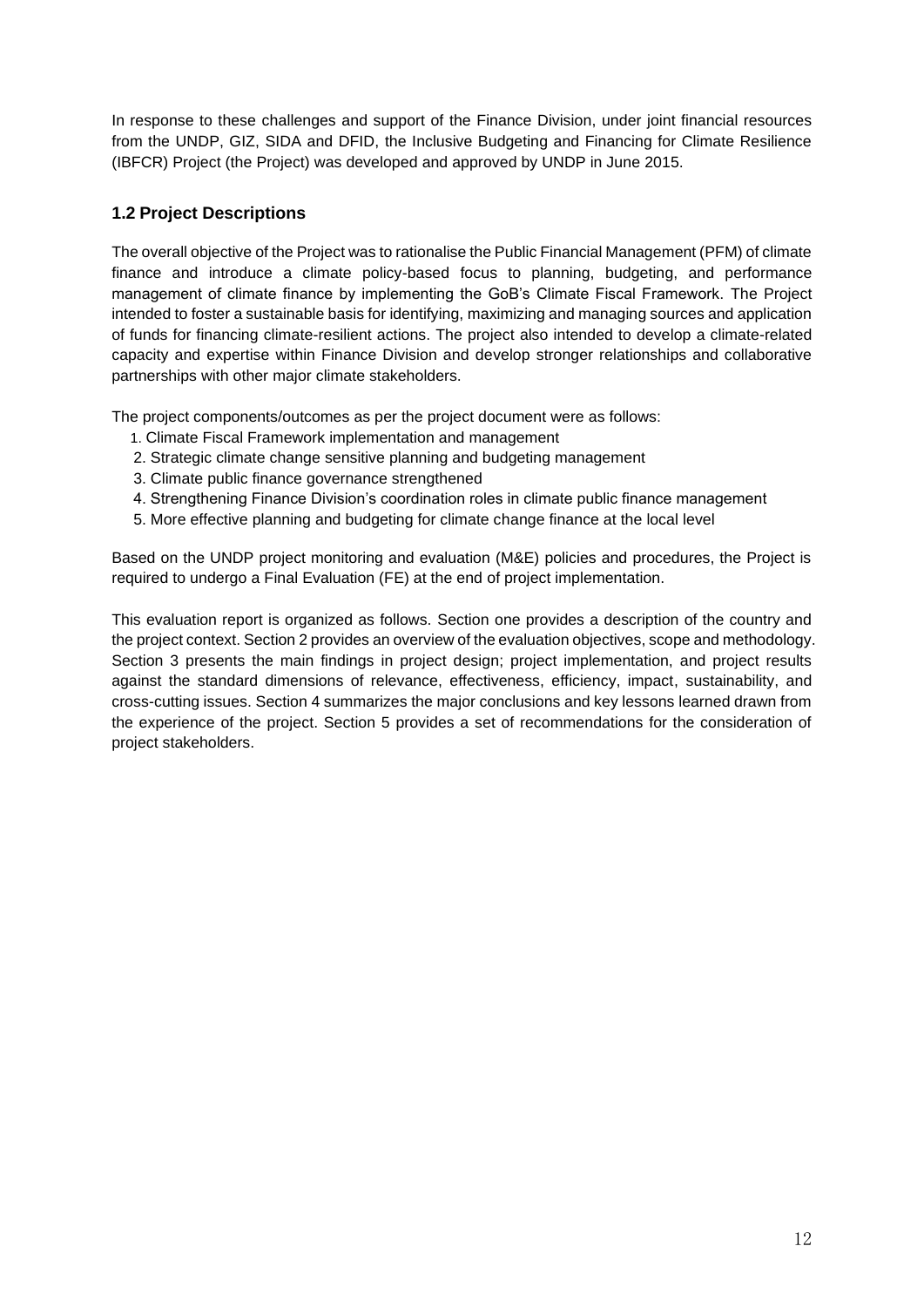In response to these challenges and support of the Finance Division, under joint financial resources from the UNDP, GIZ, SIDA and DFID, the Inclusive Budgeting and Financing for Climate Resilience (IBFCR) Project (the Project) was developed and approved by UNDP in June 2015.

#### **1.2 Project Descriptions**

The overall objective of the Project was to rationalise the Public Financial Management (PFM) of climate finance and introduce a climate policy-based focus to planning, budgeting, and performance management of climate finance by implementing the GoB's Climate Fiscal Framework. The Project intended to foster a sustainable basis for identifying, maximizing and managing sources and application of funds for financing climate-resilient actions. The project also intended to develop a climate-related capacity and expertise within Finance Division and develop stronger relationships and collaborative partnerships with other major climate stakeholders.

The project components/outcomes as per the project document were as follows:

- 1. Climate Fiscal Framework implementation and management
- 2. Strategic climate change sensitive planning and budgeting management
- 3. Climate public finance governance strengthened
- 4. Strengthening Finance Division's coordination roles in climate public finance management
- 5. More effective planning and budgeting for climate change finance at the local level

Based on the UNDP project monitoring and evaluation (M&E) policies and procedures, the Project is required to undergo a Final Evaluation (FE) at the end of project implementation.

This evaluation report is organized as follows. Section one provides a description of the country and the project context. Section 2 provides an overview of the evaluation objectives, scope and methodology. Section 3 presents the main findings in project design; project implementation, and project results against the standard dimensions of relevance, effectiveness, efficiency, impact, sustainability, and cross-cutting issues. Section 4 summarizes the major conclusions and key lessons learned drawn from the experience of the project. Section 5 provides a set of recommendations for the consideration of project stakeholders.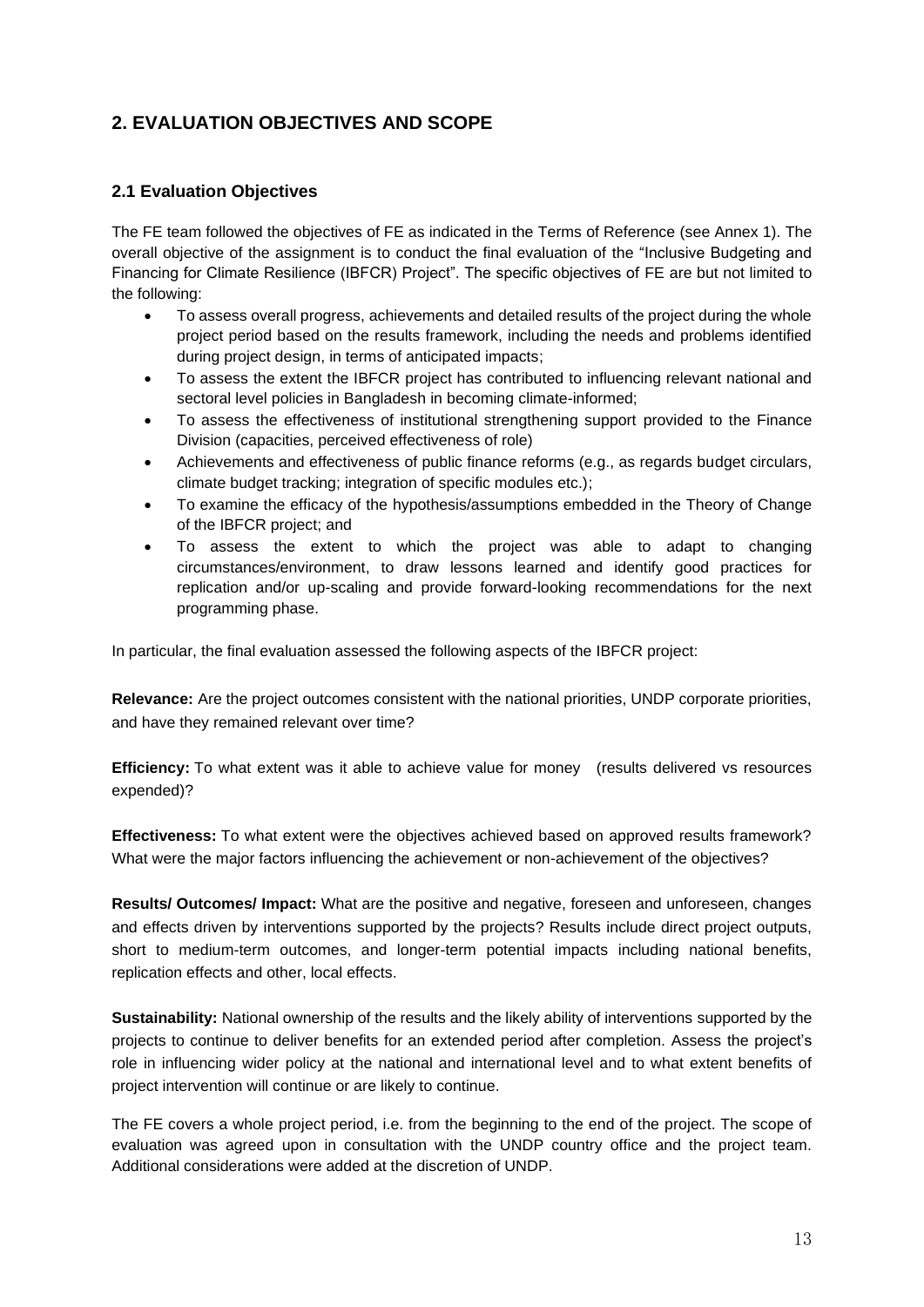## **2. EVALUATION OBJECTIVES AND SCOPE**

#### **2.1 Evaluation Objectives**

The FE team followed the objectives of FE as indicated in the Terms of Reference (see Annex 1). The overall objective of the assignment is to conduct the final evaluation of the "Inclusive Budgeting and Financing for Climate Resilience (IBFCR) Project". The specific objectives of FE are but not limited to the following:

- To assess overall progress, achievements and detailed results of the project during the whole project period based on the results framework, including the needs and problems identified during project design, in terms of anticipated impacts;
- To assess the extent the IBFCR project has contributed to influencing relevant national and sectoral level policies in Bangladesh in becoming climate-informed;
- To assess the effectiveness of institutional strengthening support provided to the Finance Division (capacities, perceived effectiveness of role)
- Achievements and effectiveness of public finance reforms (e.g., as regards budget circulars, climate budget tracking; integration of specific modules etc.);
- To examine the efficacy of the hypothesis/assumptions embedded in the Theory of Change of the IBFCR project; and
- To assess the extent to which the project was able to adapt to changing circumstances/environment, to draw lessons learned and identify good practices for replication and/or up-scaling and provide forward-looking recommendations for the next programming phase.

In particular, the final evaluation assessed the following aspects of the IBFCR project:

**Relevance:** Are the project outcomes consistent with the national priorities, UNDP corporate priorities, and have they remained relevant over time?

**Efficiency:** To what extent was it able to achieve value for money (results delivered vs resources expended)?

**Effectiveness:** To what extent were the objectives achieved based on approved results framework? What were the major factors influencing the achievement or non-achievement of the objectives?

**Results/ Outcomes/ Impact:** What are the positive and negative, foreseen and unforeseen, changes and effects driven by interventions supported by the projects? Results include direct project outputs, short to medium-term outcomes, and longer-term potential impacts including national benefits, replication effects and other, local effects.

**Sustainability:** National ownership of the results and the likely ability of interventions supported by the projects to continue to deliver benefits for an extended period after completion. Assess the project's role in influencing wider policy at the national and international level and to what extent benefits of project intervention will continue or are likely to continue.

The FE covers a whole project period, i.e. from the beginning to the end of the project. The scope of evaluation was agreed upon in consultation with the UNDP country office and the project team. Additional considerations were added at the discretion of UNDP.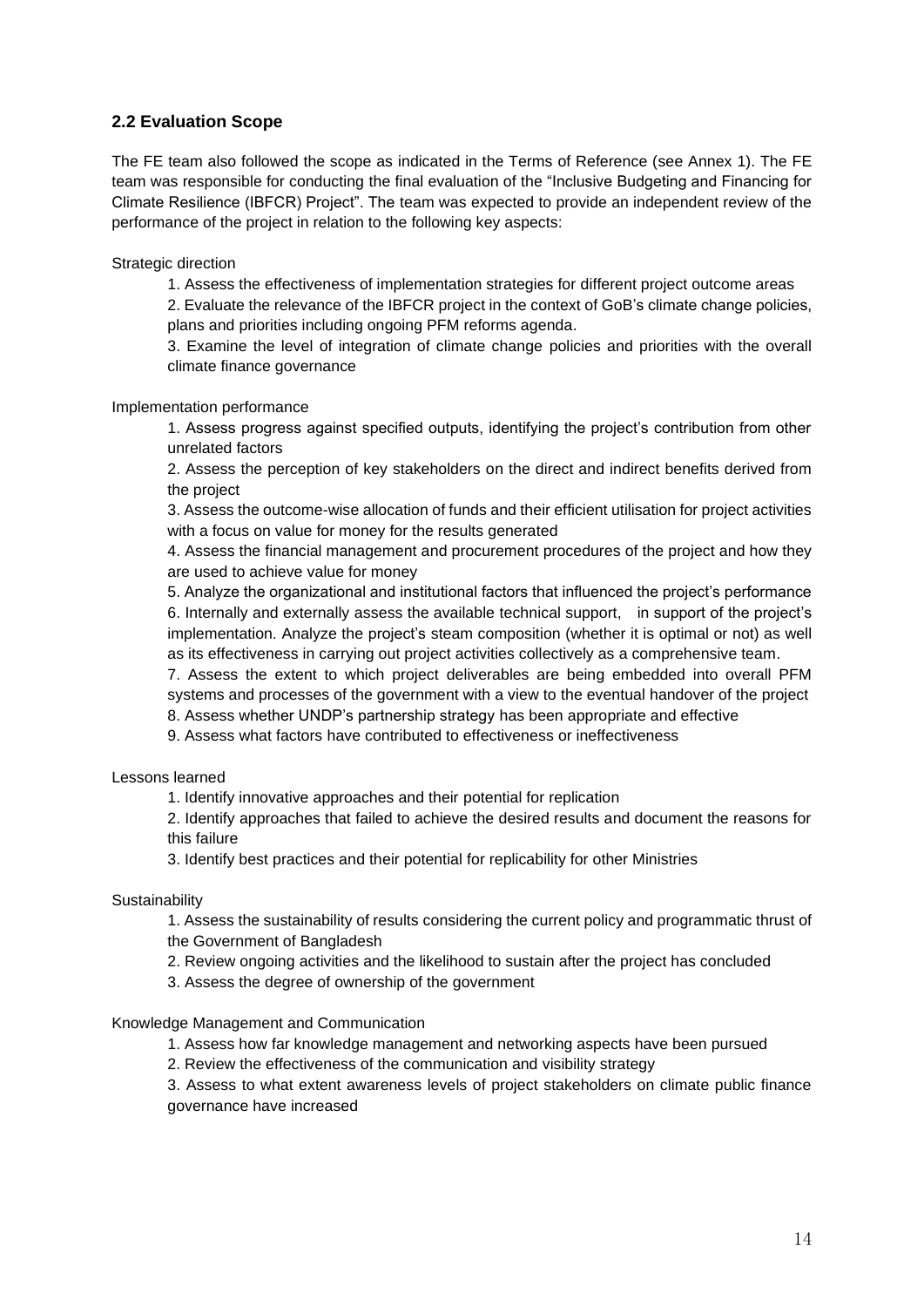#### **2.2 Evaluation Scope**

The FE team also followed the scope as indicated in the Terms of Reference (see Annex 1). The FE team was responsible for conducting the final evaluation of the "Inclusive Budgeting and Financing for Climate Resilience (IBFCR) Project". The team was expected to provide an independent review of the performance of the project in relation to the following key aspects:

Strategic direction

1. Assess the effectiveness of implementation strategies for different project outcome areas

2. Evaluate the relevance of the IBFCR project in the context of GoB's climate change policies, plans and priorities including ongoing PFM reforms agenda.

3. Examine the level of integration of climate change policies and priorities with the overall climate finance governance

Implementation performance

1. Assess progress against specified outputs, identifying the project's contribution from other unrelated factors

2. Assess the perception of key stakeholders on the direct and indirect benefits derived from the project

3. Assess the outcome-wise allocation of funds and their efficient utilisation for project activities with a focus on value for money for the results generated

4. Assess the financial management and procurement procedures of the project and how they are used to achieve value for money

5. Analyze the organizational and institutional factors that influenced the project's performance 6. Internally and externally assess the available technical support, in support of the project's implementation. Analyze the project's steam composition (whether it is optimal or not) as well as its effectiveness in carrying out project activities collectively as a comprehensive team.

7. Assess the extent to which project deliverables are being embedded into overall PFM systems and processes of the government with a view to the eventual handover of the project

8. Assess whether UNDP's partnership strategy has been appropriate and effective

9. Assess what factors have contributed to effectiveness or ineffectiveness

Lessons learned

1. Identify innovative approaches and their potential for replication

2. Identify approaches that failed to achieve the desired results and document the reasons for this failure

3. Identify best practices and their potential for replicability for other Ministries

#### **Sustainability**

1. Assess the sustainability of results considering the current policy and programmatic thrust of the Government of Bangladesh

2. Review ongoing activities and the likelihood to sustain after the project has concluded

3. Assess the degree of ownership of the government

Knowledge Management and Communication

1. Assess how far knowledge management and networking aspects have been pursued

2. Review the effectiveness of the communication and visibility strategy

3. Assess to what extent awareness levels of project stakeholders on climate public finance governance have increased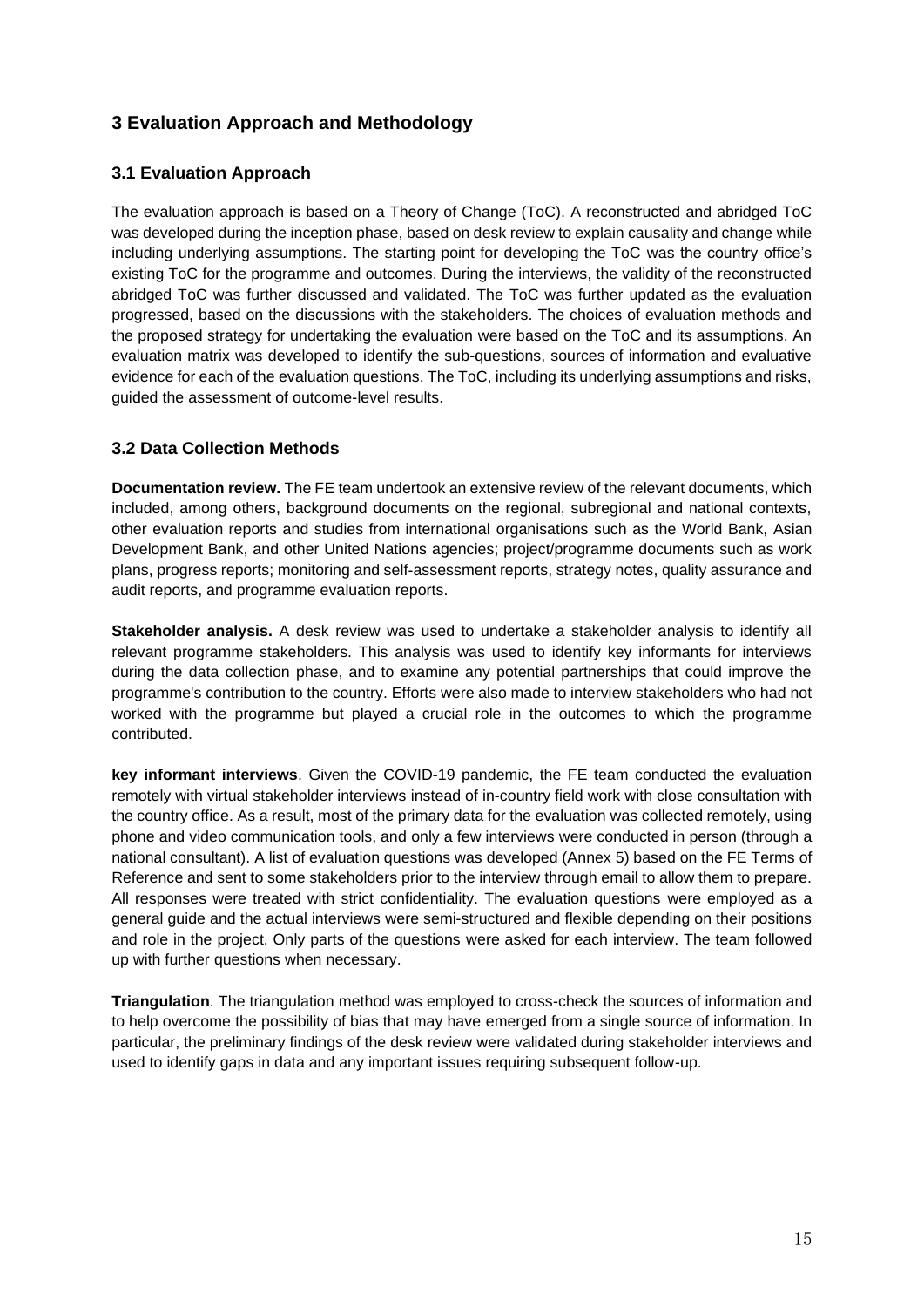## **3 Evaluation Approach and Methodology**

#### **3.1 Evaluation Approach**

The evaluation approach is based on a Theory of Change (ToC). A reconstructed and abridged ToC was developed during the inception phase, based on desk review to explain causality and change while including underlying assumptions. The starting point for developing the ToC was the country office's existing ToC for the programme and outcomes. During the interviews, the validity of the reconstructed abridged ToC was further discussed and validated. The ToC was further updated as the evaluation progressed, based on the discussions with the stakeholders. The choices of evaluation methods and the proposed strategy for undertaking the evaluation were based on the ToC and its assumptions. An evaluation matrix was developed to identify the sub-questions, sources of information and evaluative evidence for each of the evaluation questions. The ToC, including its underlying assumptions and risks, guided the assessment of outcome-level results.

#### **3.2 Data Collection Methods**

**Documentation review.** The FE team undertook an extensive review of the relevant documents, which included, among others, background documents on the regional, subregional and national contexts, other evaluation reports and studies from international organisations such as the World Bank, Asian Development Bank, and other United Nations agencies; project/programme documents such as work plans, progress reports; monitoring and self-assessment reports, strategy notes, quality assurance and audit reports, and programme evaluation reports.

**Stakeholder analysis.** A desk review was used to undertake a stakeholder analysis to identify all relevant programme stakeholders. This analysis was used to identify key informants for interviews during the data collection phase, and to examine any potential partnerships that could improve the programme's contribution to the country. Efforts were also made to interview stakeholders who had not worked with the programme but played a crucial role in the outcomes to which the programme contributed.

**key informant interviews**. Given the COVID-19 pandemic, the FE team conducted the evaluation remotely with virtual stakeholder interviews instead of in-country field work with close consultation with the country office. As a result, most of the primary data for the evaluation was collected remotely, using phone and video communication tools, and only a few interviews were conducted in person (through a national consultant). A list of evaluation questions was developed (Annex 5) based on the FE Terms of Reference and sent to some stakeholders prior to the interview through email to allow them to prepare. All responses were treated with strict confidentiality. The evaluation questions were employed as a general guide and the actual interviews were semi-structured and flexible depending on their positions and role in the project. Only parts of the questions were asked for each interview. The team followed up with further questions when necessary.

**Triangulation**. The triangulation method was employed to cross-check the sources of information and to help overcome the possibility of bias that may have emerged from a single source of information. In particular, the preliminary findings of the desk review were validated during stakeholder interviews and used to identify gaps in data and any important issues requiring subsequent follow-up.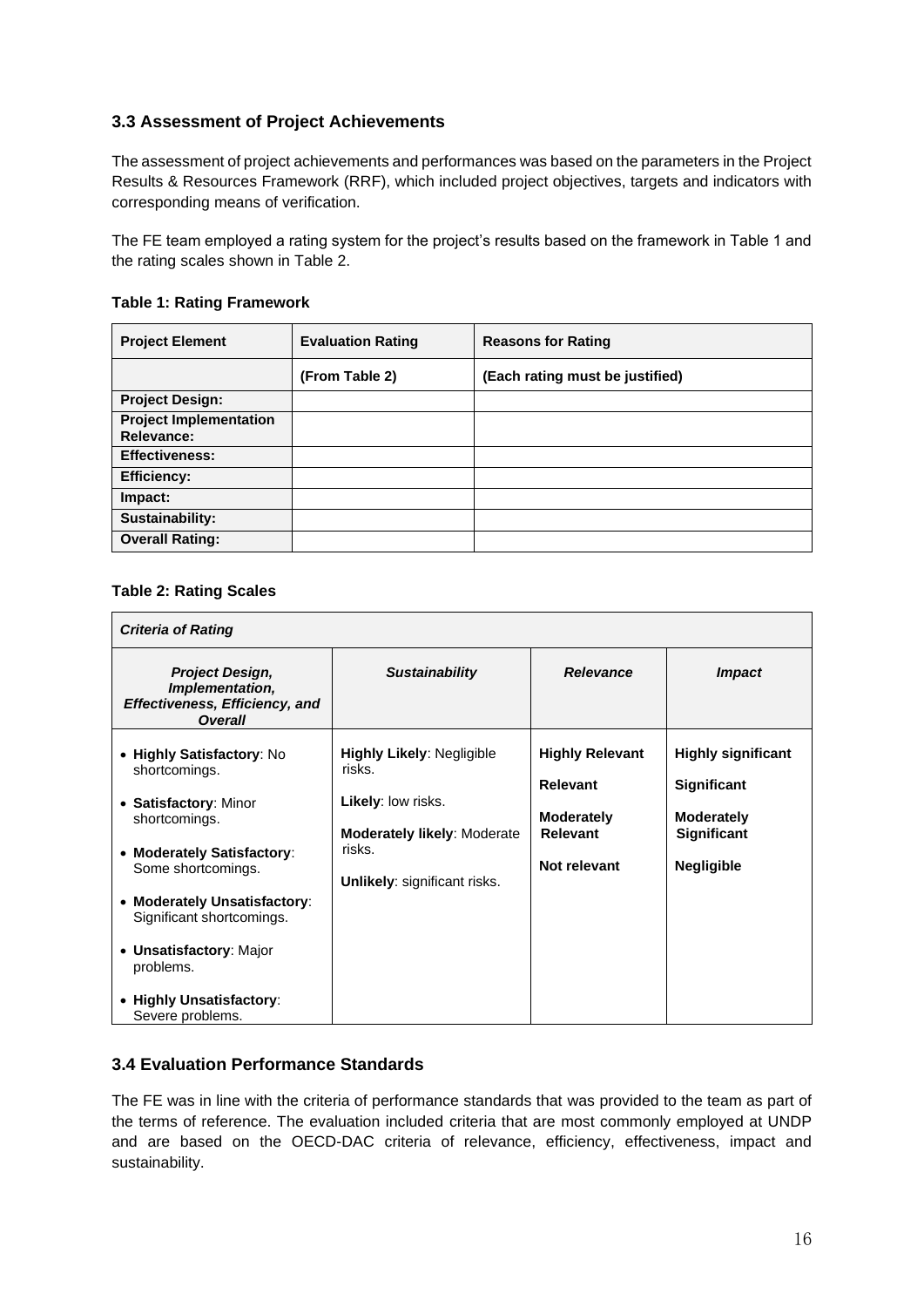#### **3.3 Assessment of Project Achievements**

The assessment of project achievements and performances was based on the parameters in the Project Results & Resources Framework (RRF), which included project objectives, targets and indicators with corresponding means of verification.

The FE team employed a rating system for the project's results based on the framework in Table 1 and the rating scales shown in Table 2.

| <b>Project Element</b>                      | <b>Evaluation Rating</b> | <b>Reasons for Rating</b>       |
|---------------------------------------------|--------------------------|---------------------------------|
|                                             | (From Table 2)           | (Each rating must be justified) |
| <b>Project Design:</b>                      |                          |                                 |
| <b>Project Implementation</b><br>Relevance: |                          |                                 |
| <b>Effectiveness:</b>                       |                          |                                 |
| <b>Efficiency:</b>                          |                          |                                 |
| Impact:                                     |                          |                                 |
| Sustainability:                             |                          |                                 |
| <b>Overall Rating:</b>                      |                          |                                 |

#### **Table 1: Rating Framework**

#### **Table 2: Rating Scales**

| <b>Criteria of Rating</b>                                                                                                                                                                                                                                                                     |                                                                                                                                                  |                                                                                                   |                                                                                                          |
|-----------------------------------------------------------------------------------------------------------------------------------------------------------------------------------------------------------------------------------------------------------------------------------------------|--------------------------------------------------------------------------------------------------------------------------------------------------|---------------------------------------------------------------------------------------------------|----------------------------------------------------------------------------------------------------------|
| <b>Project Design,</b><br>Implementation,<br><b>Effectiveness, Efficiency, and</b><br><b>Overall</b>                                                                                                                                                                                          | <b>Sustainability</b>                                                                                                                            | <b>Relevance</b>                                                                                  | <i><b>Impact</b></i>                                                                                     |
| • Highly Satisfactory: No<br>shortcomings.<br>• Satisfactory: Minor<br>shortcomings.<br>• Moderately Satisfactory:<br>Some shortcomings.<br>• Moderately Unsatisfactory:<br>Significant shortcomings.<br>• Unsatisfactory: Major<br>problems.<br>• Highly Unsatisfactory:<br>Severe problems. | <b>Highly Likely: Negligible</b><br>risks.<br>Likely: low risks.<br><b>Moderately likely: Moderate</b><br>risks.<br>Unlikely: significant risks. | <b>Highly Relevant</b><br><b>Relevant</b><br><b>Moderately</b><br><b>Relevant</b><br>Not relevant | <b>Highly significant</b><br><b>Significant</b><br>Moderately<br><b>Significant</b><br><b>Negligible</b> |

#### **3.4 Evaluation Performance Standards**

The FE was in line with the criteria of performance standards that was provided to the team as part of the terms of reference. The evaluation included criteria that are most commonly employed at UNDP and are based on the OECD-DAC criteria of relevance, efficiency, effectiveness, impact and sustainability.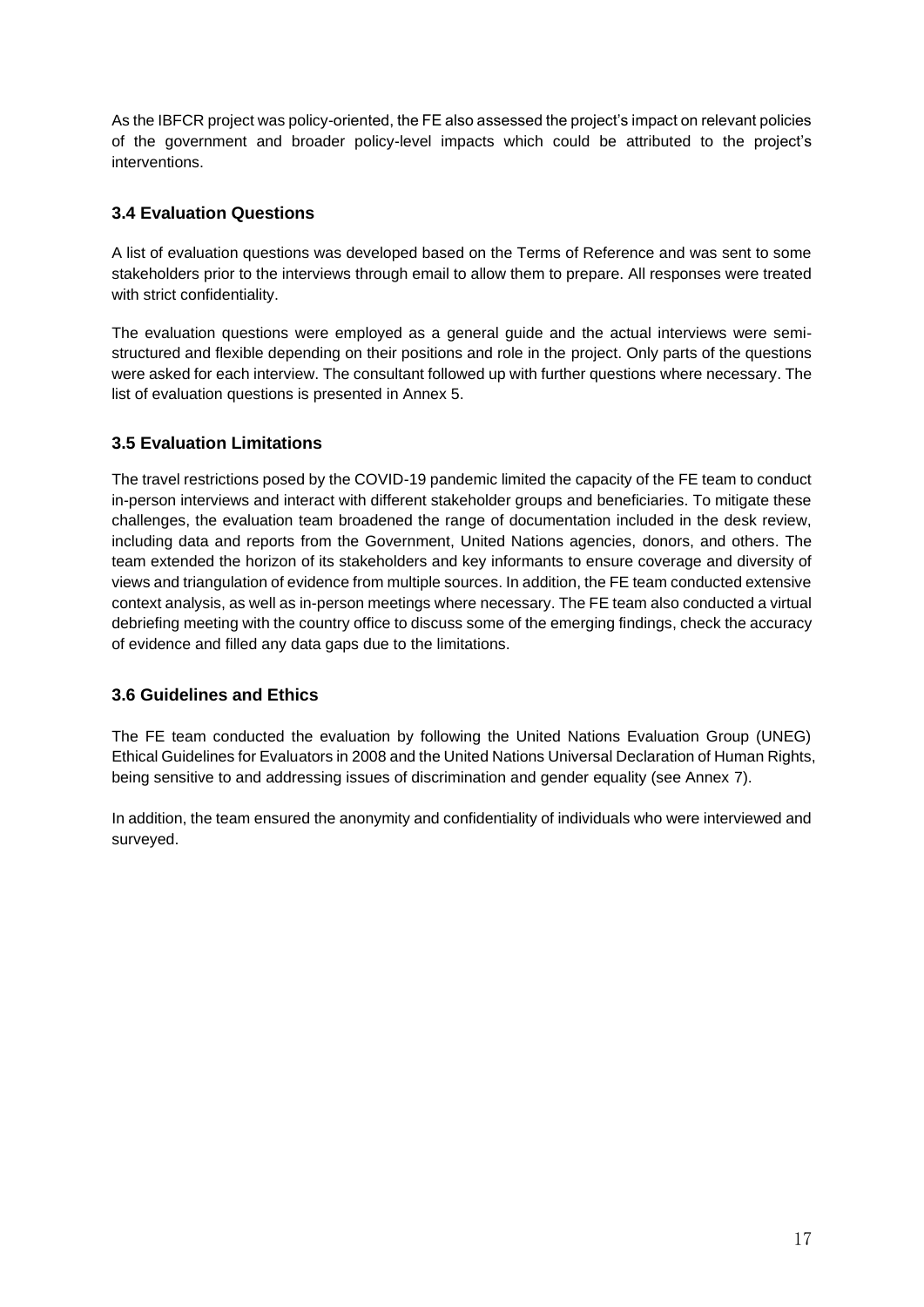As the IBFCR project was policy-oriented, the FE also assessed the project's impact on relevant policies of the government and broader policy-level impacts which could be attributed to the project's interventions.

#### **3.4 Evaluation Questions**

A list of evaluation questions was developed based on the Terms of Reference and was sent to some stakeholders prior to the interviews through email to allow them to prepare. All responses were treated with strict confidentiality.

The evaluation questions were employed as a general guide and the actual interviews were semistructured and flexible depending on their positions and role in the project. Only parts of the questions were asked for each interview. The consultant followed up with further questions where necessary. The list of evaluation questions is presented in Annex 5.

#### **3.5 Evaluation Limitations**

The travel restrictions posed by the COVID-19 pandemic limited the capacity of the FE team to conduct in-person interviews and interact with different stakeholder groups and beneficiaries. To mitigate these challenges, the evaluation team broadened the range of documentation included in the desk review, including data and reports from the Government, United Nations agencies, donors, and others. The team extended the horizon of its stakeholders and key informants to ensure coverage and diversity of views and triangulation of evidence from multiple sources. In addition, the FE team conducted extensive context analysis, as well as in-person meetings where necessary. The FE team also conducted a virtual debriefing meeting with the country office to discuss some of the emerging findings, check the accuracy of evidence and filled any data gaps due to the limitations.

#### **3.6 Guidelines and Ethics**

The FE team conducted the evaluation by following the United Nations Evaluation Group (UNEG) Ethical Guidelines for Evaluators in 2008 and the United Nations Universal Declaration of Human Rights, being sensitive to and addressing issues of discrimination and gender equality (see Annex 7).

In addition, the team ensured the anonymity and confidentiality of individuals who were interviewed and surveyed.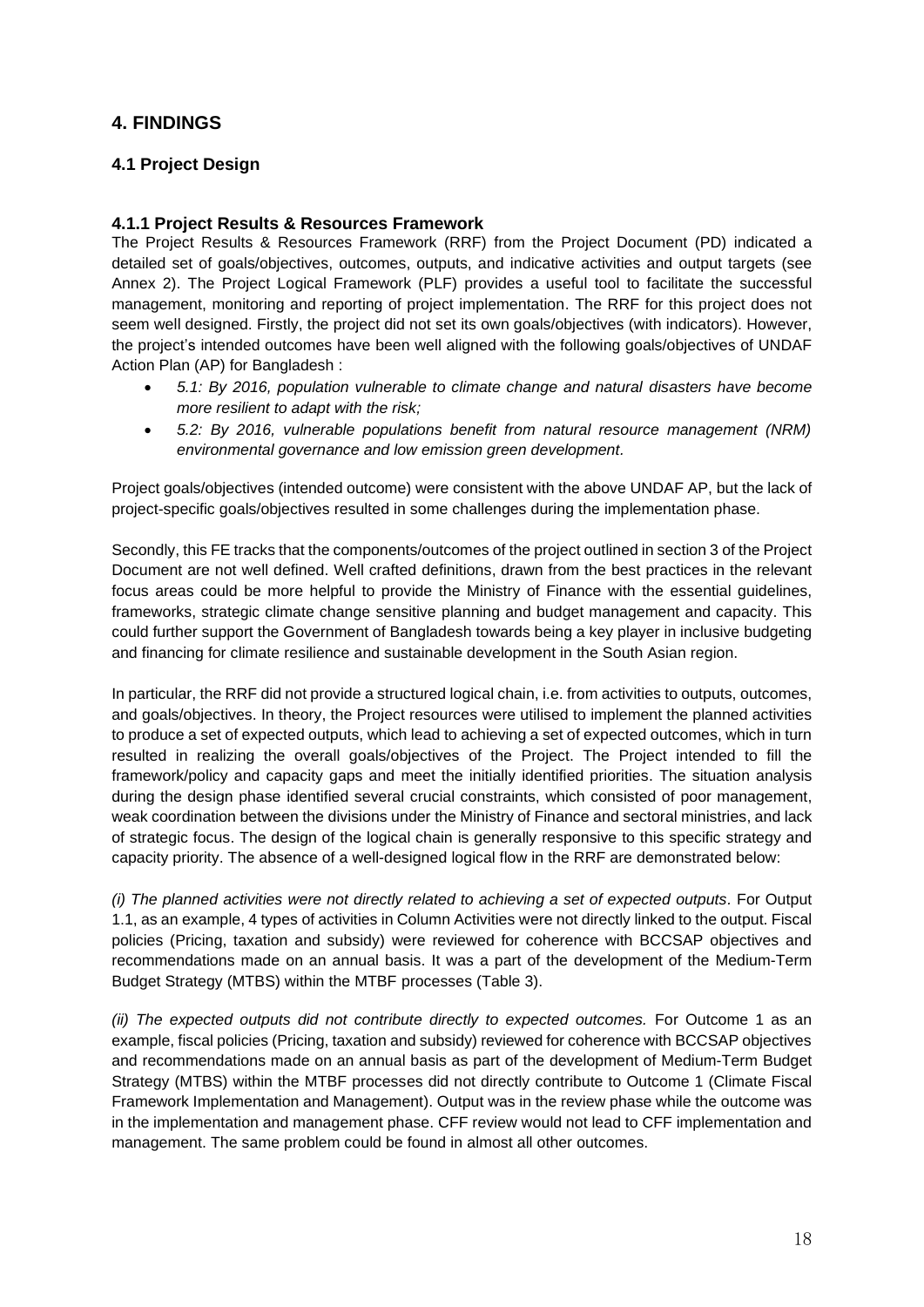### **4. FINDINGS**

#### **4.1 Project Design**

#### **4.1.1 Project Results & Resources Framework**

The Project Results & Resources Framework (RRF) from the Project Document (PD) indicated a detailed set of goals/objectives, outcomes, outputs, and indicative activities and output targets (see Annex 2). The Project Logical Framework (PLF) provides a useful tool to facilitate the successful management, monitoring and reporting of project implementation. The RRF for this project does not seem well designed. Firstly, the project did not set its own goals/objectives (with indicators). However, the project's intended outcomes have been well aligned with the following goals/objectives of UNDAF Action Plan (AP) for Bangladesh :

- *5.1: By 2016, population vulnerable to climate change and natural disasters have become more resilient to adapt with the risk;*
- *5.2: By 2016, vulnerable populations benefit from natural resource management (NRM) environmental governance and low emission green development.*

Project goals/objectives (intended outcome) were consistent with the above UNDAF AP, but the lack of project-specific goals/objectives resulted in some challenges during the implementation phase.

Secondly, this FE tracks that the components/outcomes of the project outlined in section 3 of the Project Document are not well defined. Well crafted definitions, drawn from the best practices in the relevant focus areas could be more helpful to provide the Ministry of Finance with the essential guidelines, frameworks, strategic climate change sensitive planning and budget management and capacity. This could further support the Government of Bangladesh towards being a key player in inclusive budgeting and financing for climate resilience and sustainable development in the South Asian region.

In particular, the RRF did not provide a structured logical chain, i.e. from activities to outputs, outcomes, and goals/objectives. In theory, the Project resources were utilised to implement the planned activities to produce a set of expected outputs, which lead to achieving a set of expected outcomes, which in turn resulted in realizing the overall goals/objectives of the Project. The Project intended to fill the framework/policy and capacity gaps and meet the initially identified priorities. The situation analysis during the design phase identified several crucial constraints, which consisted of poor management, weak coordination between the divisions under the Ministry of Finance and sectoral ministries, and lack of strategic focus. The design of the logical chain is generally responsive to this specific strategy and capacity priority. The absence of a well-designed logical flow in the RRF are demonstrated below:

*(i) The planned activities were not directly related to achieving a set of expected outputs.* For Output 1.1, as an example, 4 types of activities in Column Activities were not directly linked to the output. Fiscal policies (Pricing, taxation and subsidy) were reviewed for coherence with BCCSAP objectives and recommendations made on an annual basis. It was a part of the development of the Medium-Term Budget Strategy (MTBS) within the MTBF processes (Table 3).

*(ii) The expected outputs did not contribute directly to expected outcomes.* For Outcome 1 as an example, fiscal policies (Pricing, taxation and subsidy) reviewed for coherence with BCCSAP objectives and recommendations made on an annual basis as part of the development of Medium-Term Budget Strategy (MTBS) within the MTBF processes did not directly contribute to Outcome 1 (Climate Fiscal Framework Implementation and Management). Output was in the review phase while the outcome was in the implementation and management phase. CFF review would not lead to CFF implementation and management. The same problem could be found in almost all other outcomes.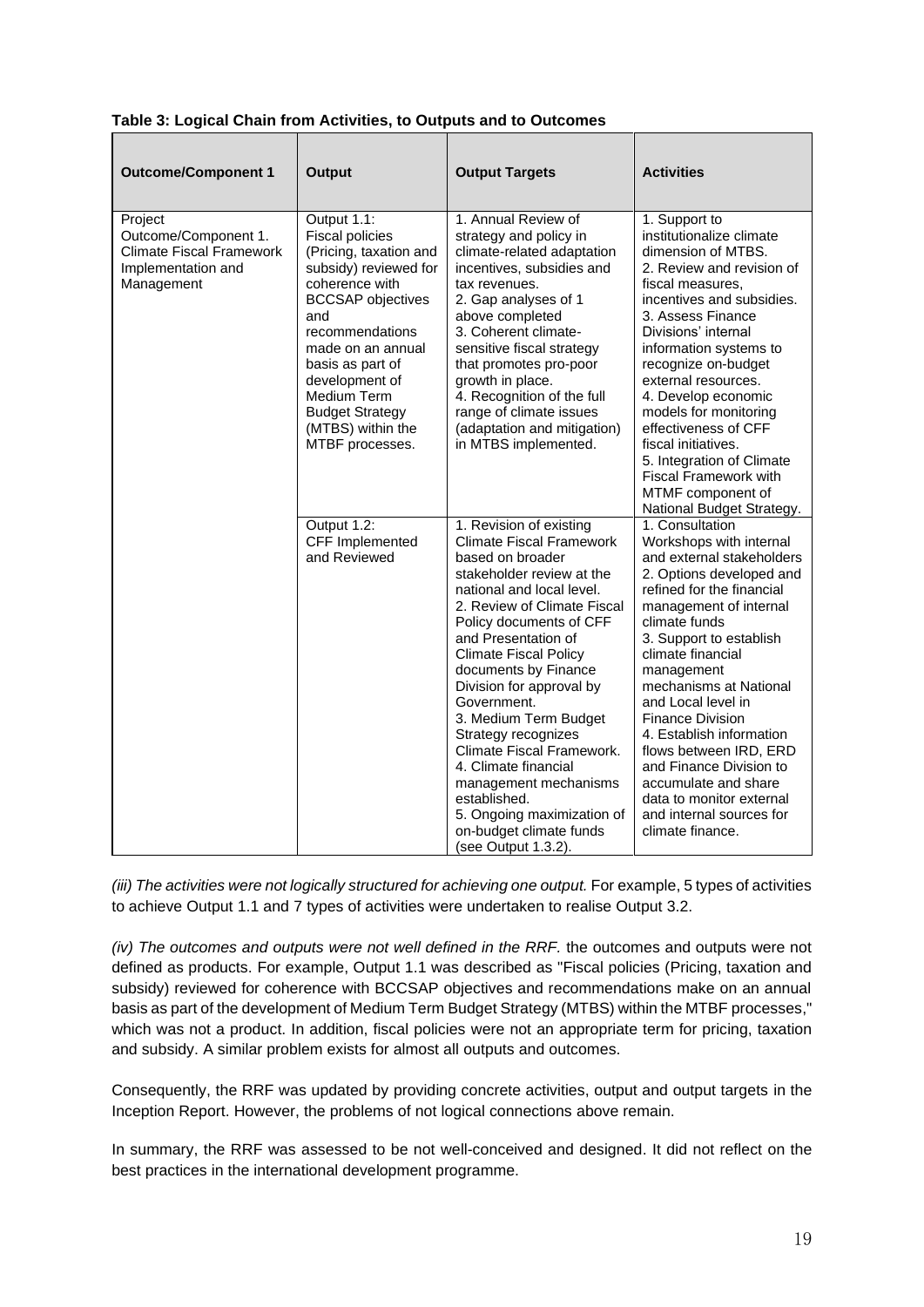| <b>Outcome/Component 1</b>                                                                      | <b>Output</b>                                                                                                                                                                                                                                                                                                | <b>Output Targets</b>                                                                                                                                                                                                                                                                                                                                                                                                                                                                                                                                      | <b>Activities</b>                                                                                                                                                                                                                                                                                                                                                                                                                                                                                         |
|-------------------------------------------------------------------------------------------------|--------------------------------------------------------------------------------------------------------------------------------------------------------------------------------------------------------------------------------------------------------------------------------------------------------------|------------------------------------------------------------------------------------------------------------------------------------------------------------------------------------------------------------------------------------------------------------------------------------------------------------------------------------------------------------------------------------------------------------------------------------------------------------------------------------------------------------------------------------------------------------|-----------------------------------------------------------------------------------------------------------------------------------------------------------------------------------------------------------------------------------------------------------------------------------------------------------------------------------------------------------------------------------------------------------------------------------------------------------------------------------------------------------|
| Project<br>Outcome/Component 1.<br>Climate Fiscal Framework<br>Implementation and<br>Management | Output 1.1:<br><b>Fiscal policies</b><br>(Pricing, taxation and<br>subsidy) reviewed for<br>coherence with<br><b>BCCSAP</b> objectives<br>and<br>recommendations<br>made on an annual<br>basis as part of<br>development of<br>Medium Term<br><b>Budget Strategy</b><br>(MTBS) within the<br>MTBF processes. | 1. Annual Review of<br>strategy and policy in<br>climate-related adaptation<br>incentives, subsidies and<br>tax revenues.<br>2. Gap analyses of 1<br>above completed<br>3. Coherent climate-<br>sensitive fiscal strategy<br>that promotes pro-poor<br>growth in place.<br>4. Recognition of the full<br>range of climate issues<br>(adaptation and mitigation)<br>in MTBS implemented.                                                                                                                                                                    | 1. Support to<br>institutionalize climate<br>dimension of MTBS.<br>2. Review and revision of<br>fiscal measures,<br>incentives and subsidies.<br>3. Assess Finance<br>Divisions' internal<br>information systems to<br>recognize on-budget<br>external resources.<br>4. Develop economic<br>models for monitoring<br>effectiveness of CFF<br>fiscal initiatives.<br>5. Integration of Climate<br><b>Fiscal Framework with</b><br>MTMF component of<br>National Budget Strategy.                           |
|                                                                                                 | Output 1.2:<br>CFF Implemented<br>and Reviewed                                                                                                                                                                                                                                                               | 1. Revision of existing<br><b>Climate Fiscal Framework</b><br>based on broader<br>stakeholder review at the<br>national and local level.<br>2. Review of Climate Fiscal<br>Policy documents of CFF<br>and Presentation of<br><b>Climate Fiscal Policy</b><br>documents by Finance<br>Division for approval by<br>Government.<br>3. Medium Term Budget<br>Strategy recognizes<br>Climate Fiscal Framework.<br>4. Climate financial<br>management mechanisms<br>established.<br>5. Ongoing maximization of<br>on-budget climate funds<br>(see Output 1.3.2). | 1. Consultation<br>Workshops with internal<br>and external stakeholders<br>2. Options developed and<br>refined for the financial<br>management of internal<br>climate funds<br>3. Support to establish<br>climate financial<br>management<br>mechanisms at National<br>and Local level in<br><b>Finance Division</b><br>4. Establish information<br>flows between IRD, ERD<br>and Finance Division to<br>accumulate and share<br>data to monitor external<br>and internal sources for<br>climate finance. |

**Table 3: Logical Chain from Activities, to Outputs and to Outcomes**

*(iii) The activities were not logically structured for achieving one output.* For example, 5 types of activities to achieve Output 1.1 and 7 types of activities were undertaken to realise Output 3.2.

*(iv) The outcomes and outputs were not well defined in the RRF.* the outcomes and outputs were not defined as products. For example, Output 1.1 was described as "Fiscal policies (Pricing, taxation and subsidy) reviewed for coherence with BCCSAP objectives and recommendations make on an annual basis as part of the development of Medium Term Budget Strategy (MTBS) within the MTBF processes," which was not a product. In addition, fiscal policies were not an appropriate term for pricing, taxation and subsidy. A similar problem exists for almost all outputs and outcomes.

Consequently, the RRF was updated by providing concrete activities, output and output targets in the Inception Report. However, the problems of not logical connections above remain.

In summary, the RRF was assessed to be not well-conceived and designed. It did not reflect on the best practices in the international development programme.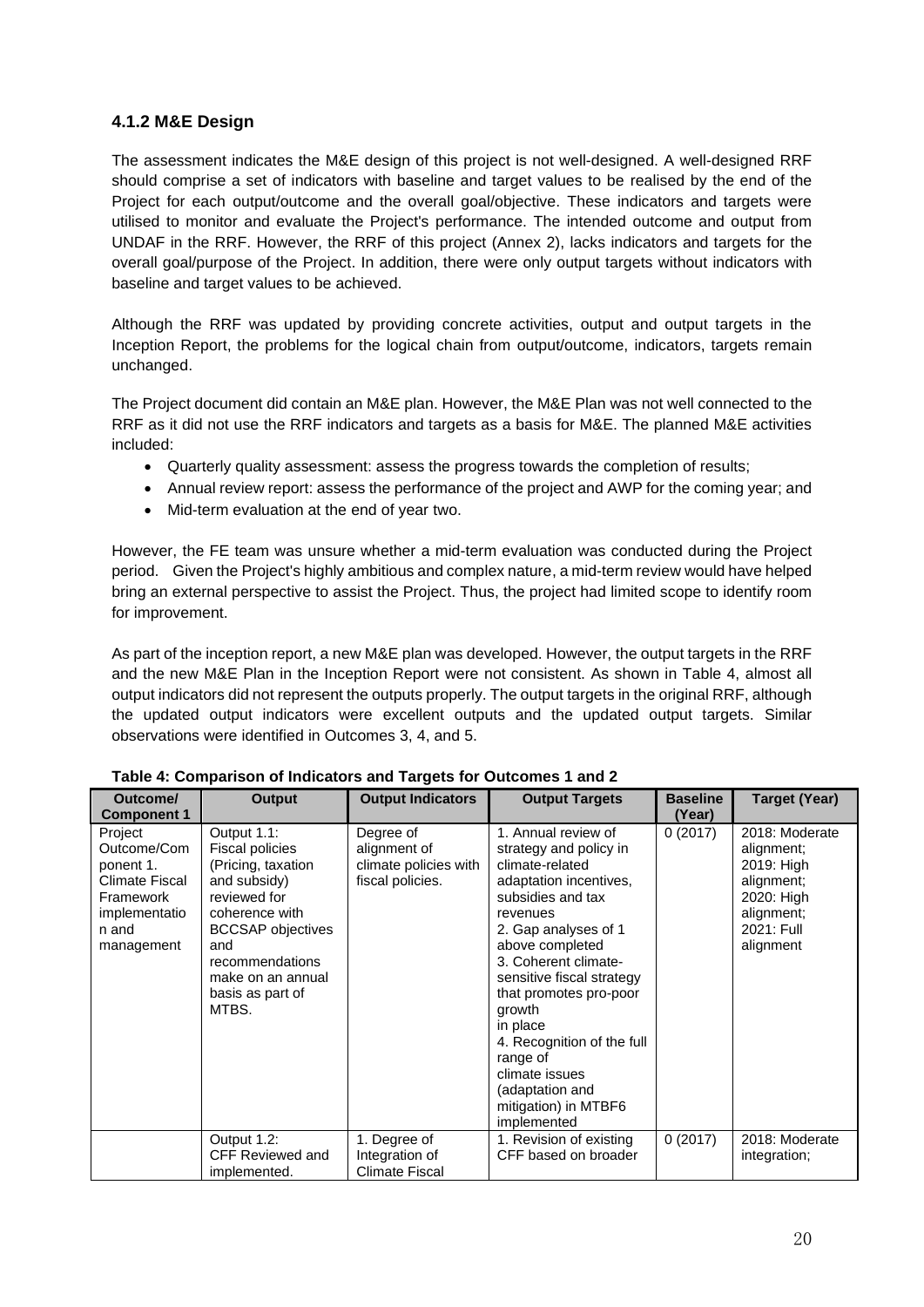#### **4.1.2 M&E Design**

The assessment indicates the M&E design of this project is not well-designed. A well-designed RRF should comprise a set of indicators with baseline and target values to be realised by the end of the Project for each output/outcome and the overall goal/objective. These indicators and targets were utilised to monitor and evaluate the Project's performance. The intended outcome and output from UNDAF in the RRF. However, the RRF of this project (Annex 2), lacks indicators and targets for the overall goal/purpose of the Project. In addition, there were only output targets without indicators with baseline and target values to be achieved.

Although the RRF was updated by providing concrete activities, output and output targets in the Inception Report, the problems for the logical chain from output/outcome, indicators, targets remain unchanged.

The Project document did contain an M&E plan. However, the M&E Plan was not well connected to the RRF as it did not use the RRF indicators and targets as a basis for M&E. The planned M&E activities included:

- Quarterly quality assessment: assess the progress towards the completion of results;
- Annual review report: assess the performance of the project and AWP for the coming year; and
- Mid-term evaluation at the end of year two.

However, the FE team was unsure whether a mid-term evaluation was conducted during the Project period. Given the Project's highly ambitious and complex nature, a mid-term review would have helped bring an external perspective to assist the Project. Thus, the project had limited scope to identify room for improvement.

As part of the inception report, a new M&E plan was developed. However, the output targets in the RRF and the new M&E Plan in the Inception Report were not consistent. As shown in Table 4, almost all output indicators did not represent the outputs properly. The output targets in the original RRF, although the updated output indicators were excellent outputs and the updated output targets. Similar observations were identified in Outcomes 3, 4, and 5.

| Outcome/<br><b>Component 1</b>                                                                             | <b>Output</b>                                                                                                                                                                                                         | <b>Output Indicators</b>                                               | <b>Output Targets</b>                                                                                                                                                                                                                                                                                                                                                                             | <b>Baseline</b><br>(Year) | <b>Target (Year)</b>                                                                                            |
|------------------------------------------------------------------------------------------------------------|-----------------------------------------------------------------------------------------------------------------------------------------------------------------------------------------------------------------------|------------------------------------------------------------------------|---------------------------------------------------------------------------------------------------------------------------------------------------------------------------------------------------------------------------------------------------------------------------------------------------------------------------------------------------------------------------------------------------|---------------------------|-----------------------------------------------------------------------------------------------------------------|
| Project<br>Outcome/Com<br>ponent 1.<br>Climate Fiscal<br>Framework<br>implementatio<br>n and<br>management | Output 1.1:<br><b>Fiscal policies</b><br>(Pricing, taxation<br>and subsidy)<br>reviewed for<br>coherence with<br><b>BCCSAP</b> objectives<br>and<br>recommendations<br>make on an annual<br>basis as part of<br>MTBS. | Degree of<br>alignment of<br>climate policies with<br>fiscal policies. | 1. Annual review of<br>strategy and policy in<br>climate-related<br>adaptation incentives,<br>subsidies and tax<br>revenues<br>2. Gap analyses of 1<br>above completed<br>3. Coherent climate-<br>sensitive fiscal strategy<br>that promotes pro-poor<br>growth<br>in place<br>4. Recognition of the full<br>range of<br>climate issues<br>(adaptation and<br>mitigation) in MTBF6<br>implemented | 0(2017)                   | 2018: Moderate<br>alignment;<br>2019: High<br>alignment;<br>2020: High<br>alignment;<br>2021: Full<br>alignment |
|                                                                                                            | Output 1.2:<br><b>CFF Reviewed and</b><br>implemented.                                                                                                                                                                | 1. Degree of<br>Integration of<br>Climate Fiscal                       | 1. Revision of existing<br>CFF based on broader                                                                                                                                                                                                                                                                                                                                                   | 0(2017)                   | 2018: Moderate<br>integration;                                                                                  |

**Table 4: Comparison of Indicators and Targets for Outcomes 1 and 2**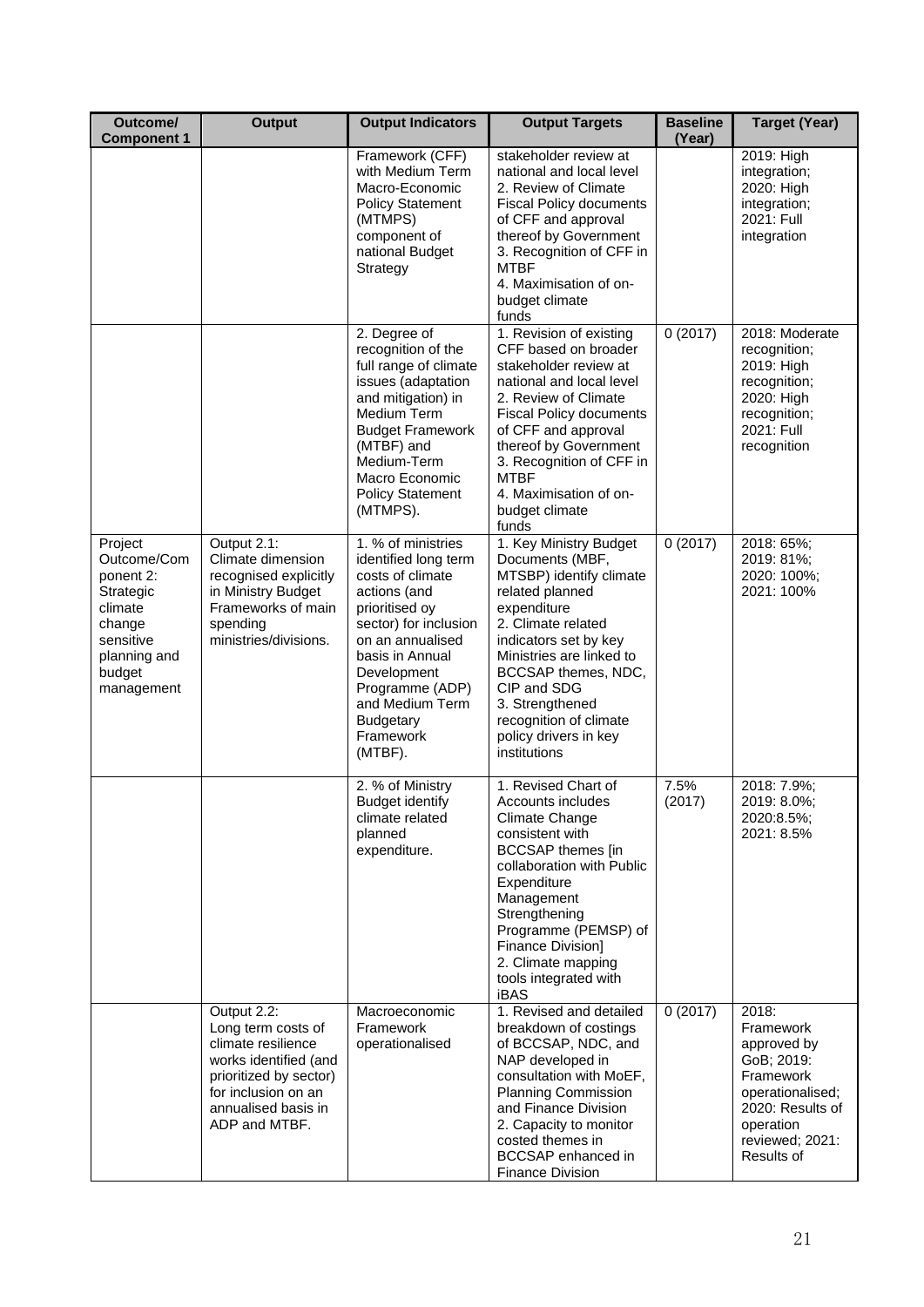| Outcome/<br><b>Component 1</b>                                                                                             | <b>Output</b>                                                                                                                                                             | <b>Output Indicators</b>                                                                                                                                                                                                                                          | <b>Output Targets</b>                                                                                                                                                                                                                                                                                          | <b>Baseline</b><br>(Year) | <b>Target (Year)</b>                                                                                                                               |
|----------------------------------------------------------------------------------------------------------------------------|---------------------------------------------------------------------------------------------------------------------------------------------------------------------------|-------------------------------------------------------------------------------------------------------------------------------------------------------------------------------------------------------------------------------------------------------------------|----------------------------------------------------------------------------------------------------------------------------------------------------------------------------------------------------------------------------------------------------------------------------------------------------------------|---------------------------|----------------------------------------------------------------------------------------------------------------------------------------------------|
|                                                                                                                            |                                                                                                                                                                           | Framework (CFF)<br>with Medium Term<br>Macro-Economic<br><b>Policy Statement</b><br>(MTMPS)<br>component of<br>national Budget<br>Strategy                                                                                                                        | stakeholder review at<br>national and local level<br>2. Review of Climate<br><b>Fiscal Policy documents</b><br>of CFF and approval<br>thereof by Government<br>3. Recognition of CFF in<br><b>MTBF</b><br>4. Maximisation of on-<br>budget climate<br>funds                                                    |                           | 2019: High<br>integration;<br>2020: High<br>integration;<br>2021: Full<br>integration                                                              |
|                                                                                                                            |                                                                                                                                                                           | 2. Degree of<br>recognition of the<br>full range of climate<br>issues (adaptation<br>and mitigation) in<br>Medium Term<br><b>Budget Framework</b><br>(MTBF) and<br>Medium-Term<br>Macro Economic<br><b>Policy Statement</b><br>(MTMPS).                           | 1. Revision of existing<br>CFF based on broader<br>stakeholder review at<br>national and local level<br>2. Review of Climate<br><b>Fiscal Policy documents</b><br>of CFF and approval<br>thereof by Government<br>3. Recognition of CFF in<br><b>MTBF</b><br>4. Maximisation of on-<br>budget climate<br>funds | 0(2017)                   | 2018: Moderate<br>recognition;<br>2019: High<br>recognition;<br>2020: High<br>recognition;<br>2021: Full<br>recognition                            |
| Project<br>Outcome/Com<br>ponent 2:<br>Strategic<br>climate<br>change<br>sensitive<br>planning and<br>budget<br>management | Output 2.1:<br>Climate dimension<br>recognised explicitly<br>in Ministry Budget<br>Frameworks of main<br>spending<br>ministries/divisions.                                | 1. % of ministries<br>identified long term<br>costs of climate<br>actions (and<br>prioritised oy<br>sector) for inclusion<br>on an annualised<br>basis in Annual<br>Development<br>Programme (ADP)<br>and Medium Term<br><b>Budgetary</b><br>Framework<br>(MTBF). | 1. Key Ministry Budget<br>Documents (MBF,<br>MTSBP) identify climate<br>related planned<br>expenditure<br>2. Climate related<br>indicators set by key<br>Ministries are linked to<br>BCCSAP themes, NDC,<br>CIP and SDG<br>3. Strengthened<br>recognition of climate<br>policy drivers in key<br>institutions  | 0(2017)                   | 2018: 65%;<br>2019: 81%;<br>2020: 100%;<br>2021: 100%                                                                                              |
|                                                                                                                            |                                                                                                                                                                           | 2. % of Ministry<br><b>Budget identify</b><br>climate related<br>planned<br>expenditure.                                                                                                                                                                          | 1. Revised Chart of<br>Accounts includes<br>Climate Change<br>consistent with<br><b>BCCSAP</b> themes [in<br>collaboration with Public<br>Expenditure<br>Management<br>Strengthening<br>Programme (PEMSP) of<br>Finance Division]<br>2. Climate mapping<br>tools integrated with<br>iBAS                       | 7.5%<br>(2017)            | 2018: 7.9%;<br>2019: 8.0%:<br>2020:8.5%;<br>2021: 8.5%                                                                                             |
|                                                                                                                            | Output 2.2:<br>Long term costs of<br>climate resilience<br>works identified (and<br>prioritized by sector)<br>for inclusion on an<br>annualised basis in<br>ADP and MTBF. | Macroeconomic<br>Framework<br>operationalised                                                                                                                                                                                                                     | 1. Revised and detailed<br>breakdown of costings<br>of BCCSAP, NDC, and<br>NAP developed in<br>consultation with MoEF,<br><b>Planning Commission</b><br>and Finance Division<br>2. Capacity to monitor<br>costed themes in<br>BCCSAP enhanced in<br><b>Finance Division</b>                                    | 0(2017)                   | 2018:<br>Framework<br>approved by<br>GoB; 2019:<br>Framework<br>operationalised;<br>2020: Results of<br>operation<br>reviewed; 2021:<br>Results of |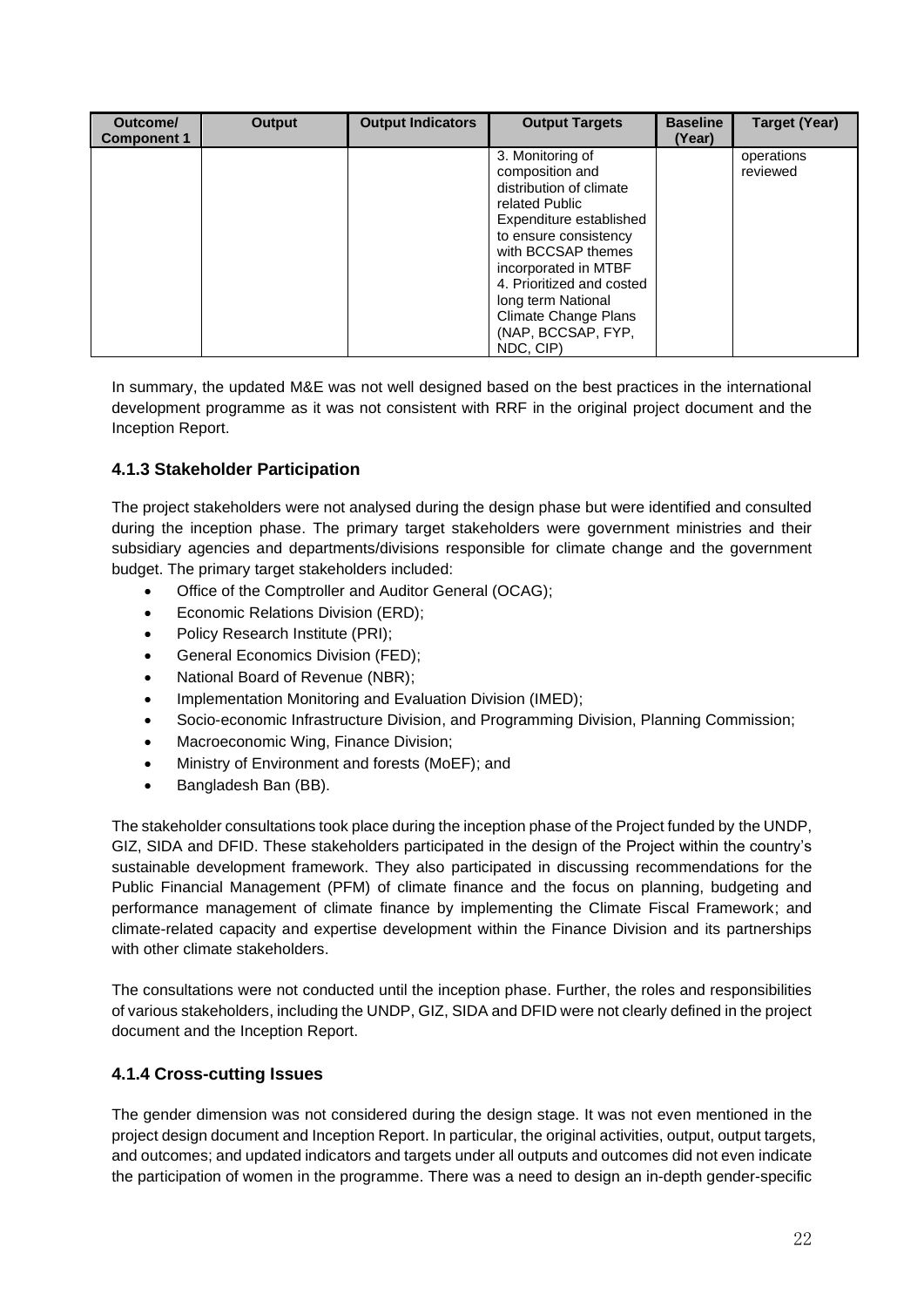| Outcome/<br><b>Component 1</b> | Output | <b>Output Indicators</b> | <b>Output Targets</b>                                                                                                                                                                                                                                                                            | <b>Baseline</b><br>(Year) | <b>Target (Year)</b>   |
|--------------------------------|--------|--------------------------|--------------------------------------------------------------------------------------------------------------------------------------------------------------------------------------------------------------------------------------------------------------------------------------------------|---------------------------|------------------------|
|                                |        |                          | 3. Monitoring of<br>composition and<br>distribution of climate<br>related Public<br>Expenditure established<br>to ensure consistency<br>with BCCSAP themes<br>incorporated in MTBF<br>4. Prioritized and costed<br>long term National<br>Climate Change Plans<br>(NAP, BCCSAP, FYP,<br>NDC, CIP) |                           | operations<br>reviewed |

In summary, the updated M&E was not well designed based on the best practices in the international development programme as it was not consistent with RRF in the original project document and the Inception Report.

#### **4.1.3 Stakeholder Participation**

The project stakeholders were not analysed during the design phase but were identified and consulted during the inception phase. The primary target stakeholders were government ministries and their subsidiary agencies and departments/divisions responsible for climate change and the government budget. The primary target stakeholders included:

- Office of the Comptroller and Auditor General (OCAG);
- Economic Relations Division (ERD);
- Policy Research Institute (PRI);
- General Economics Division (FED);
- National Board of Revenue (NBR);
- Implementation Monitoring and Evaluation Division (IMED);
- Socio-economic Infrastructure Division, and Programming Division, Planning Commission;
- Macroeconomic Wing, Finance Division;
- Ministry of Environment and forests (MoEF); and
- Bangladesh Ban (BB).

The stakeholder consultations took place during the inception phase of the Project funded by the UNDP, GIZ, SIDA and DFID. These stakeholders participated in the design of the Project within the country's sustainable development framework. They also participated in discussing recommendations for the Public Financial Management (PFM) of climate finance and the focus on planning, budgeting and performance management of climate finance by implementing the Climate Fiscal Framework; and climate-related capacity and expertise development within the Finance Division and its partnerships with other climate stakeholders.

The consultations were not conducted until the inception phase. Further, the roles and responsibilities of various stakeholders, including the UNDP, GIZ, SIDA and DFID were not clearly defined in the project document and the Inception Report.

#### **4.1.4 Cross-cutting Issues**

The gender dimension was not considered during the design stage. It was not even mentioned in the project design document and Inception Report. In particular, the original activities, output, output targets, and outcomes; and updated indicators and targets under all outputs and outcomes did not even indicate the participation of women in the programme. There was a need to design an in-depth gender-specific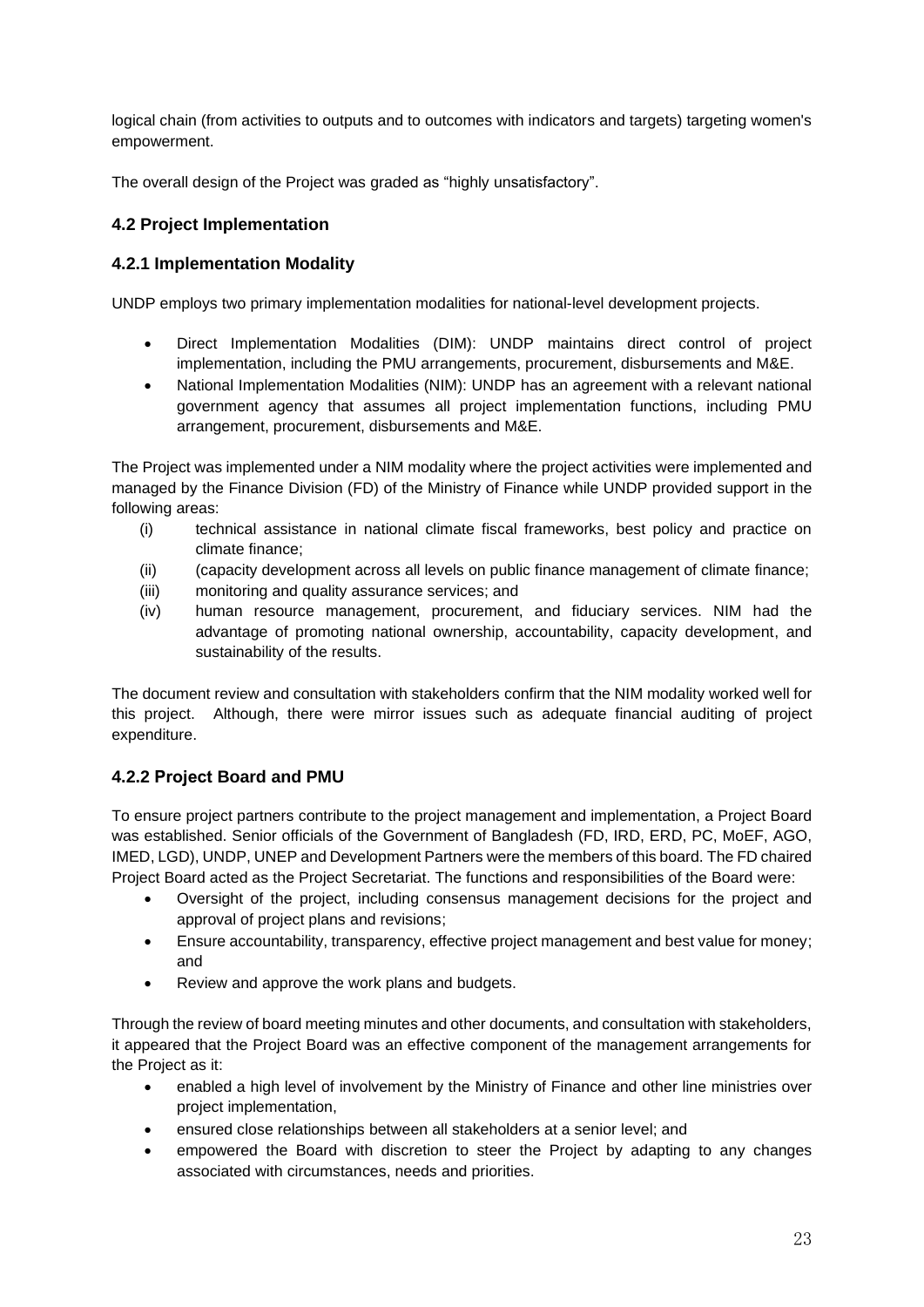logical chain (from activities to outputs and to outcomes with indicators and targets) targeting women's empowerment.

The overall design of the Project was graded as "highly unsatisfactory".

#### **4.2 Project Implementation**

#### **4.2.1 Implementation Modality**

UNDP employs two primary implementation modalities for national-level development projects.

- Direct Implementation Modalities (DIM): UNDP maintains direct control of project implementation, including the PMU arrangements, procurement, disbursements and M&E.
- National Implementation Modalities (NIM): UNDP has an agreement with a relevant national government agency that assumes all project implementation functions, including PMU arrangement, procurement, disbursements and M&E.

The Project was implemented under a NIM modality where the project activities were implemented and managed by the Finance Division (FD) of the Ministry of Finance while UNDP provided support in the following areas:

- (i) technical assistance in national climate fiscal frameworks, best policy and practice on climate finance;
- (ii) (capacity development across all levels on public finance management of climate finance;
- (iii) monitoring and quality assurance services; and
- (iv) human resource management, procurement, and fiduciary services. NIM had the advantage of promoting national ownership, accountability, capacity development, and sustainability of the results.

The document review and consultation with stakeholders confirm that the NIM modality worked well for this project. Although, there were mirror issues such as adequate financial auditing of project expenditure.

## **4.2.2 Project Board and PMU**

To ensure project partners contribute to the project management and implementation, a Project Board was established. Senior officials of the Government of Bangladesh (FD, IRD, ERD, PC, MoEF, AGO, IMED, LGD), UNDP, UNEP and Development Partners were the members of this board. The FD chaired Project Board acted as the Project Secretariat. The functions and responsibilities of the Board were:

- Oversight of the project, including consensus management decisions for the project and approval of project plans and revisions;
- Ensure accountability, transparency, effective project management and best value for money; and
- Review and approve the work plans and budgets.

Through the review of board meeting minutes and other documents, and consultation with stakeholders, it appeared that the Project Board was an effective component of the management arrangements for the Project as it:

- enabled a high level of involvement by the Ministry of Finance and other line ministries over project implementation,
- ensured close relationships between all stakeholders at a senior level; and
- empowered the Board with discretion to steer the Project by adapting to any changes associated with circumstances, needs and priorities.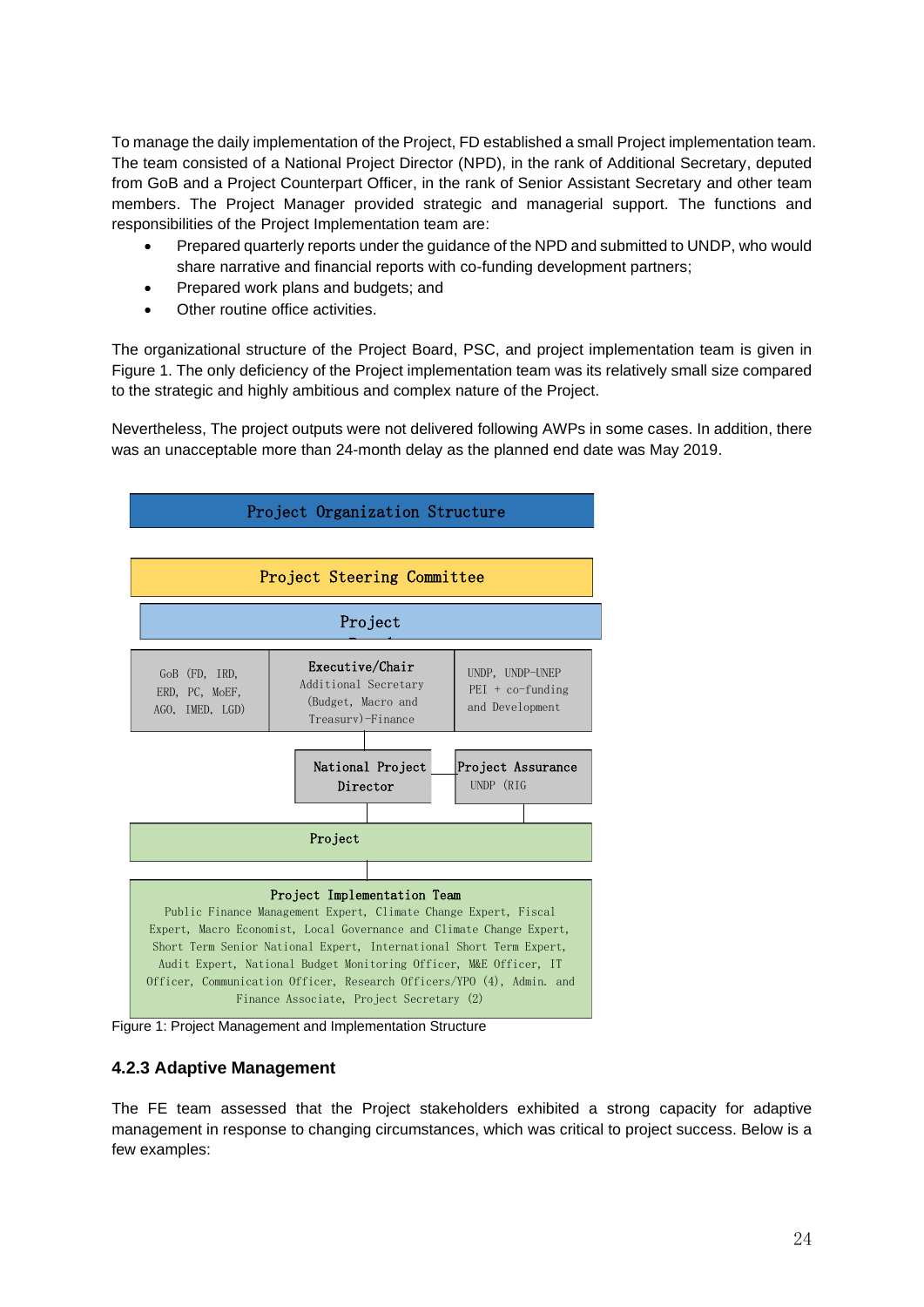To manage the daily implementation of the Project, FD established a small Project implementation team. The team consisted of a National Project Director (NPD), in the rank of Additional Secretary, deputed from GoB and a Project Counterpart Officer, in the rank of Senior Assistant Secretary and other team members. The Project Manager provided strategic and managerial support. The functions and responsibilities of the Project Implementation team are:

- Prepared quarterly reports under the guidance of the NPD and submitted to UNDP, who would share narrative and financial reports with co-funding development partners;
- Prepared work plans and budgets; and
- Other routine office activities.

The organizational structure of the Project Board, PSC, and project implementation team is given in Figure 1. The only deficiency of the Project implementation team was its relatively small size compared to the strategic and highly ambitious and complex nature of the Project.

Nevertheless, The project outputs were not delivered following AWPs in some cases. In addition, there was an unacceptable more than 24-month delay as the planned end date was May 2019.



Figure 1: Project Management and Implementation Structure

#### **4.2.3 Adaptive Management**

The FE team assessed that the Project stakeholders exhibited a strong capacity for adaptive management in response to changing circumstances, which was critical to project success. Below is a few examples: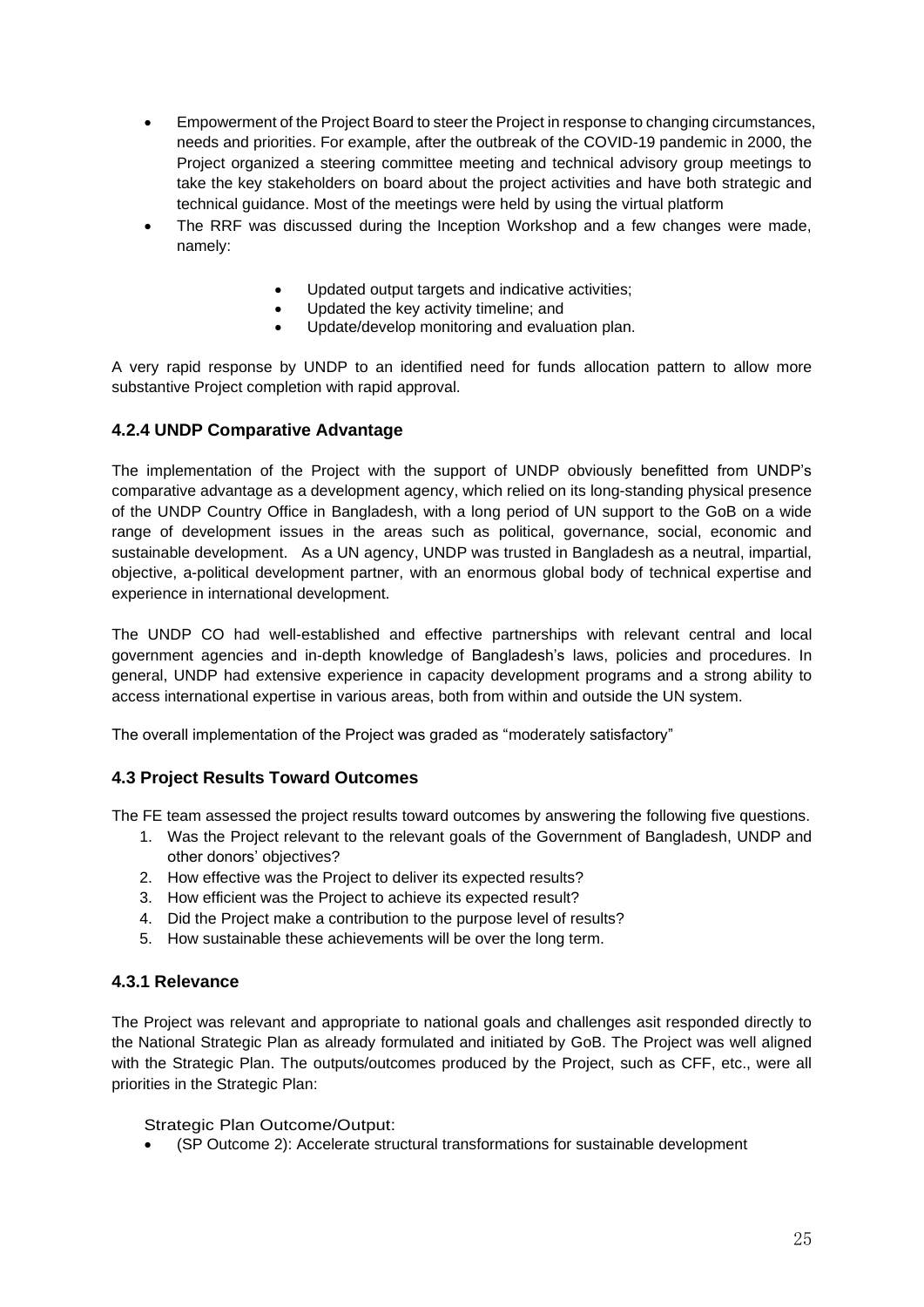- Empowerment of the Project Board to steer the Project in response to changing circumstances, needs and priorities. For example, after the outbreak of the COVID-19 pandemic in 2000, the Project organized a steering committee meeting and technical advisory group meetings to take the key stakeholders on board about the project activities and have both strategic and technical guidance. Most of the meetings were held by using the virtual platform
- The RRF was discussed during the Inception Workshop and a few changes were made, namely:
	- Updated output targets and indicative activities;
	- Updated the key activity timeline; and
	- Update/develop monitoring and evaluation plan.

A very rapid response by UNDP to an identified need for funds allocation pattern to allow more substantive Project completion with rapid approval.

#### **4.2.4 UNDP Comparative Advantage**

The implementation of the Project with the support of UNDP obviously benefitted from UNDP's comparative advantage as a development agency, which relied on its long-standing physical presence of the UNDP Country Office in Bangladesh, with a long period of UN support to the GoB on a wide range of development issues in the areas such as political, governance, social, economic and sustainable development. As a UN agency, UNDP was trusted in Bangladesh as a neutral, impartial, objective, a-political development partner, with an enormous global body of technical expertise and experience in international development.

The UNDP CO had well-established and effective partnerships with relevant central and local government agencies and in-depth knowledge of Bangladesh's laws, policies and procedures. In general, UNDP had extensive experience in capacity development programs and a strong ability to access international expertise in various areas, both from within and outside the UN system.

The overall implementation of the Project was graded as "moderately satisfactory"

#### **4.3 Project Results Toward Outcomes**

The FE team assessed the project results toward outcomes by answering the following five questions.

- 1. Was the Project relevant to the relevant goals of the Government of Bangladesh, UNDP and other donors' objectives?
- 2. How effective was the Project to deliver its expected results?
- 3. How efficient was the Project to achieve its expected result?
- 4. Did the Project make a contribution to the purpose level of results?
- 5. How sustainable these achievements will be over the long term.

#### **4.3.1 Relevance**

The Project was relevant and appropriate to national goals and challenges asit responded directly to the National Strategic Plan as already formulated and initiated by GoB. The Project was well aligned with the Strategic Plan. The outputs/outcomes produced by the Project, such as CFF, etc., were all priorities in the Strategic Plan:

Strategic Plan Outcome/Output:

• (SP Outcome 2): Accelerate structural transformations for sustainable development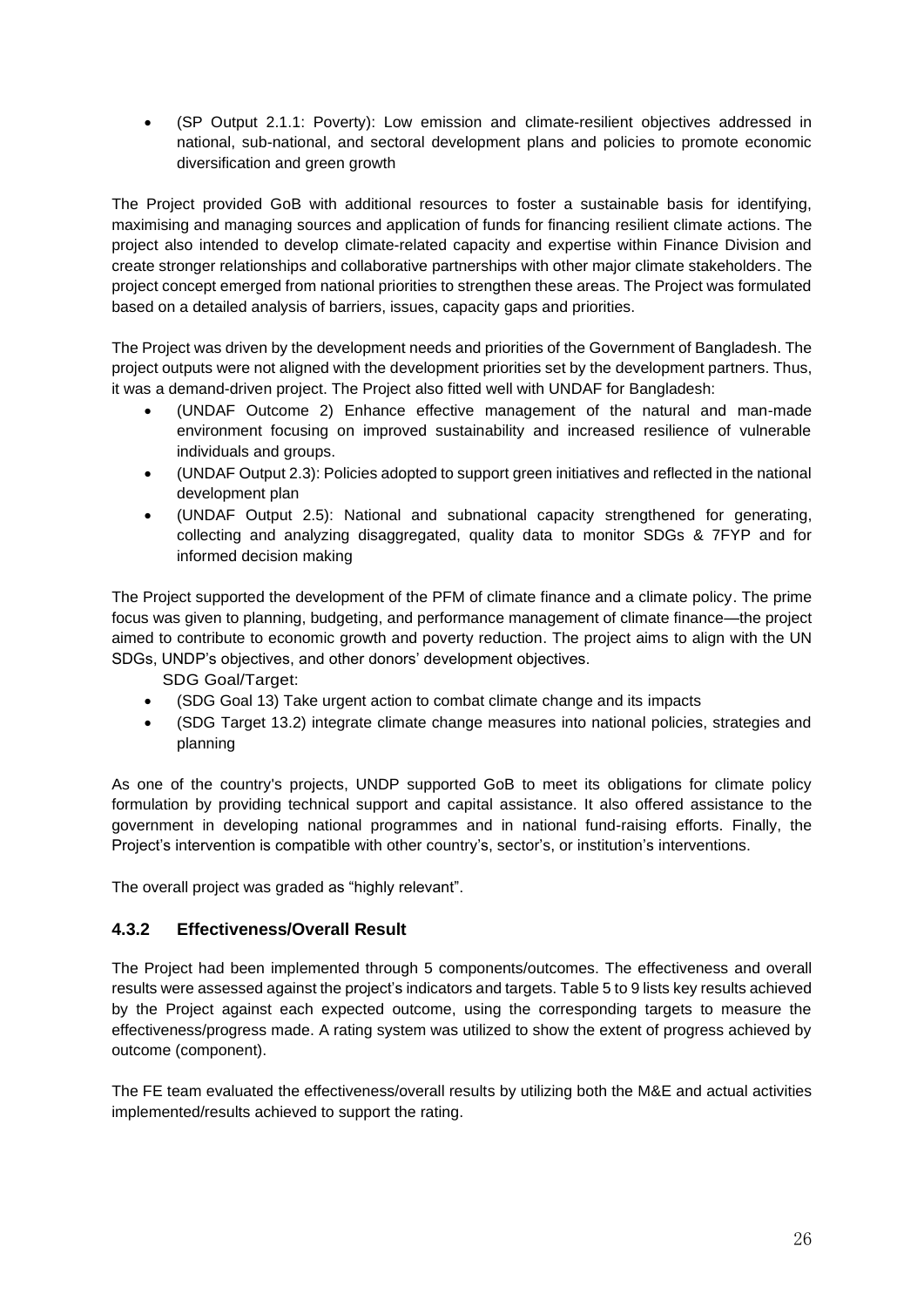• (SP Output 2.1.1: Poverty): Low emission and climate-resilient objectives addressed in national, sub-national, and sectoral development plans and policies to promote economic diversification and green growth

The Project provided GoB with additional resources to foster a sustainable basis for identifying, maximising and managing sources and application of funds for financing resilient climate actions. The project also intended to develop climate-related capacity and expertise within Finance Division and create stronger relationships and collaborative partnerships with other major climate stakeholders. The project concept emerged from national priorities to strengthen these areas. The Project was formulated based on a detailed analysis of barriers, issues, capacity gaps and priorities.

The Project was driven by the development needs and priorities of the Government of Bangladesh. The project outputs were not aligned with the development priorities set by the development partners. Thus, it was a demand-driven project. The Project also fitted well with UNDAF for Bangladesh:

- (UNDAF Outcome 2) Enhance effective management of the natural and man-made environment focusing on improved sustainability and increased resilience of vulnerable individuals and groups.
- (UNDAF Output 2.3): Policies adopted to support green initiatives and reflected in the national development plan
- (UNDAF Output 2.5): National and subnational capacity strengthened for generating, collecting and analyzing disaggregated, quality data to monitor SDGs & 7FYP and for informed decision making

The Project supported the development of the PFM of climate finance and a climate policy. The prime focus was given to planning, budgeting, and performance management of climate finance—the project aimed to contribute to economic growth and poverty reduction. The project aims to align with the UN SDGs, UNDP's objectives, and other donors' development objectives.

SDG Goal/Target:

- (SDG Goal 13) Take urgent action to combat climate change and its impacts
- (SDG Target 13.2) integrate climate change measures into national policies, strategies and planning

As one of the country's projects, UNDP supported GoB to meet its obligations for climate policy formulation by providing technical support and capital assistance. It also offered assistance to the government in developing national programmes and in national fund-raising efforts. Finally, the Project's intervention is compatible with other country's, sector's, or institution's interventions.

The overall project was graded as "highly relevant".

#### **4.3.2 Effectiveness/Overall Result**

The Project had been implemented through 5 components/outcomes. The effectiveness and overall results were assessed against the project's indicators and targets. Table 5 to 9 lists key results achieved by the Project against each expected outcome, using the corresponding targets to measure the effectiveness/progress made. A rating system was utilized to show the extent of progress achieved by outcome (component).

The FE team evaluated the effectiveness/overall results by utilizing both the M&E and actual activities implemented/results achieved to support the rating.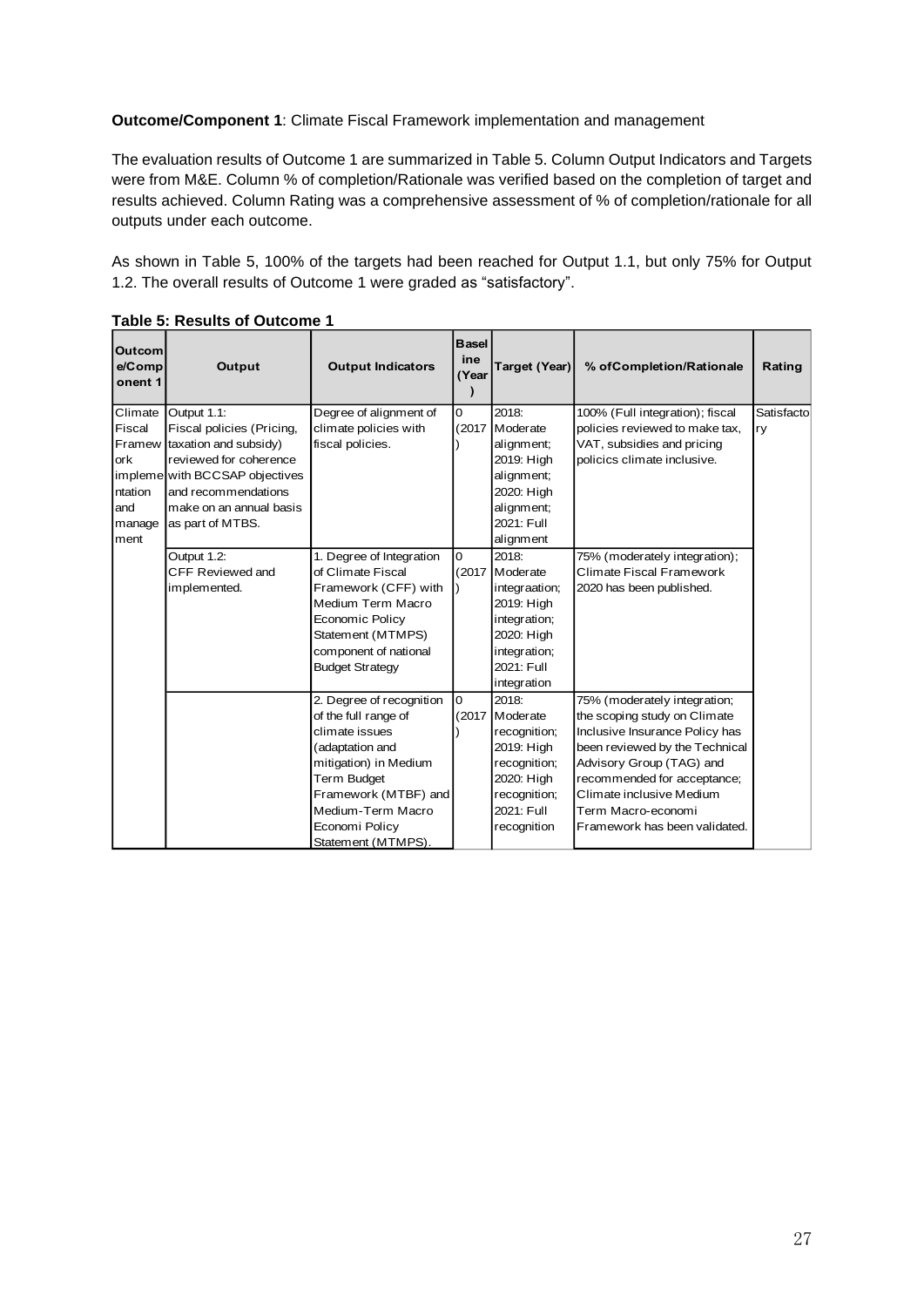**Outcome/Component 1**: Climate Fiscal Framework implementation and management

The evaluation results of Outcome 1 are summarized in Table 5. Column Output Indicators and Targets were from M&E. Column % of completion/Rationale was verified based on the completion of target and results achieved. Column Rating was a comprehensive assessment of % of completion/rationale for all outputs under each outcome.

As shown in Table 5, 100% of the targets had been reached for Output 1.1, but only 75% for Output 1.2. The overall results of Outcome 1 were graded as "satisfactory".

| <b>Outcom</b><br>e/Comp<br>onent 1 | Output                                          | <b>Output Indicators</b> | <b>Basel</b><br>ine<br>(Year | Target (Year)            | % of Completion/Rationale                                 | Rating     |
|------------------------------------|-------------------------------------------------|--------------------------|------------------------------|--------------------------|-----------------------------------------------------------|------------|
| Climate                            | Output 1.1:                                     | Degree of alignment of   | 0                            | 2018:                    | 100% (Full integration); fiscal                           | Satisfacto |
| Fiscal                             | Fiscal policies (Pricing,                       | climate policies with    | (2017)                       | Moderate                 | policies reviewed to make tax,                            | ry         |
| Framew<br>ork                      | taxation and subsidy)<br>reviewed for coherence | fiscal policies.         |                              | alignment;<br>2019: High | VAT, subsidies and pricing<br>policics climate inclusive. |            |
|                                    | impleme with BCCSAP objectives                  |                          |                              | alignment;               |                                                           |            |
| ntation                            | and recommendations                             |                          |                              | 2020: High               |                                                           |            |
| and                                | make on an annual basis                         |                          |                              | alignment;               |                                                           |            |
| manage                             | as part of MTBS.                                |                          |                              | 2021: Full               |                                                           |            |
| ment                               |                                                 |                          |                              | alignment                |                                                           |            |
|                                    | Output 1.2:                                     | 1. Degree of Integration | $\overline{0}$               | 2018:                    | 75% (moderately integration);                             |            |
|                                    | CFF Reviewed and                                | of Climate Fiscal        | (2017)                       | Moderate                 | Climate Fiscal Framework                                  |            |
|                                    | implemented.                                    | Framework (CFF) with     |                              | integraation;            | 2020 has been published.                                  |            |
|                                    |                                                 | Medium Term Macro        |                              | 2019: High               |                                                           |            |
|                                    |                                                 | <b>Economic Policy</b>   |                              | integration;             |                                                           |            |
|                                    |                                                 | Statement (MTMPS)        |                              | 2020: High               |                                                           |            |
|                                    |                                                 | component of national    |                              | integration;             |                                                           |            |
|                                    |                                                 | <b>Budget Strategy</b>   |                              | 2021: Full               |                                                           |            |
|                                    |                                                 |                          |                              | integration              |                                                           |            |
|                                    |                                                 | 2. Degree of recognition | $\overline{0}$               | 2018:                    | 75% (moderately integration;                              |            |
|                                    |                                                 | of the full range of     | (2017)                       | Moderate                 | the scoping study on Climate                              |            |
|                                    |                                                 | climate issues           |                              | recognition;             | Inclusive Insurance Policy has                            |            |
|                                    |                                                 | (adaptation and          |                              | 2019: High               | been reviewed by the Technical                            |            |
|                                    |                                                 | mitigation) in Medium    |                              | recognition;             | Advisory Group (TAG) and                                  |            |
|                                    |                                                 | Term Budget              |                              | 2020: High               | recommended for acceptance;                               |            |
|                                    |                                                 | Framework (MTBF) and     |                              | recognition;             | Climate inclusive Medium                                  |            |
|                                    |                                                 | Medium-Term Macro        |                              | 2021: Full               | Term Macro-economi                                        |            |
|                                    |                                                 | Economi Policy           |                              | recognition              | Framework has been validated.                             |            |
|                                    |                                                 | Statement (MTMPS).       |                              |                          |                                                           |            |

**Table 5: Results of Outcome 1**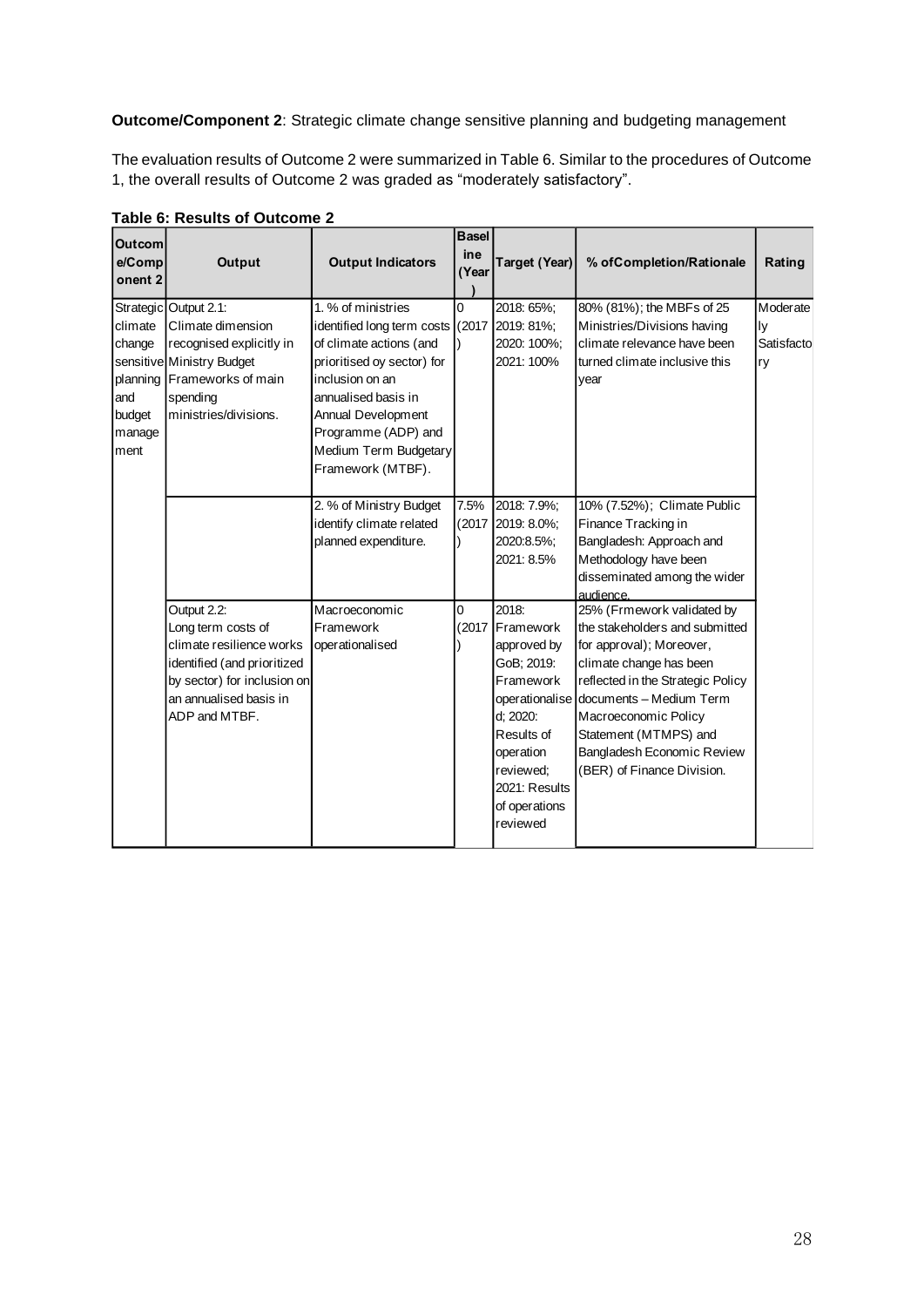**Outcome/Component 2**: Strategic climate change sensitive planning and budgeting management

The evaluation results of Outcome 2 were summarized in Table 6. Similar to the procedures of Outcome 1, the overall results of Outcome 2 was graded as "moderately satisfactory".

| <b>Outcom</b><br>e/Comp<br>onent <sub>2</sub> | <b>Output</b>                                              | <b>Output Indicators</b>         | <b>Basel</b><br>ine<br>(Year | <b>Target (Year)</b>    | % of Completion/Rationale                                    | Rating     |
|-----------------------------------------------|------------------------------------------------------------|----------------------------------|------------------------------|-------------------------|--------------------------------------------------------------|------------|
|                                               | Strategic Output 2.1:                                      | 1. % of ministries               | 0                            | 2018: 65%;              | 80% (81%); the MBFs of 25                                    | Moderate   |
| climate                                       | Climate dimension                                          | identified long term costs (2017 |                              | 2019: 81%;              | Ministries/Divisions having                                  | ly         |
| change                                        | recognised explicitly in                                   | of climate actions (and          |                              | 2020: 100%;             | climate relevance have been                                  | Satisfacto |
|                                               | sensitive Ministry Budget                                  | prioritised oy sector) for       |                              | 2021: 100%              | turned climate inclusive this                                | ry         |
|                                               | planning Frameworks of main                                | inclusion on an                  |                              |                         | year                                                         |            |
| and                                           | spending                                                   | annualised basis in              |                              |                         |                                                              |            |
| budget                                        | ministries/divisions.                                      | Annual Development               |                              |                         |                                                              |            |
| manage                                        |                                                            | Programme (ADP) and              |                              |                         |                                                              |            |
| ment                                          |                                                            | Medium Term Budgetary            |                              |                         |                                                              |            |
|                                               |                                                            | Framework (MTBF).                |                              |                         |                                                              |            |
|                                               |                                                            | 2. % of Ministry Budget          | 7.5%                         | 2018: 7.9%;             | 10% (7.52%); Climate Public                                  |            |
|                                               |                                                            | identify climate related         | (2017)                       | 2019: 8.0%;             | Finance Tracking in                                          |            |
|                                               |                                                            | planned expenditure.             |                              | 2020:8.5%:              | Bangladesh: Approach and                                     |            |
|                                               |                                                            |                                  |                              | 2021: 8.5%              | Methodology have been                                        |            |
|                                               |                                                            |                                  |                              |                         | disseminated among the wider                                 |            |
|                                               |                                                            |                                  |                              |                         | audience.                                                    |            |
|                                               | Output 2.2:                                                | Macroeconomic                    | 0                            | 2018:                   | 25% (Frmework validated by                                   |            |
|                                               | Long term costs of                                         | Framework                        | (2017)                       | Framework               | the stakeholders and submitted                               |            |
|                                               | climate resilience works                                   | operationalised                  |                              | approved by             | for approval); Moreover,                                     |            |
|                                               | identified (and prioritized<br>by sector) for inclusion on |                                  |                              | GoB; 2019:<br>Framework | climate change has been<br>reflected in the Strategic Policy |            |
|                                               | an annualised basis in                                     |                                  |                              | operationalise          | documents - Medium Term                                      |            |
|                                               | ADP and MTBF.                                              |                                  |                              | d; 2020:                | Macroeconomic Policy                                         |            |
|                                               |                                                            |                                  |                              | Results of              | Statement (MTMPS) and                                        |            |
|                                               |                                                            |                                  |                              | operation               | Bangladesh Economic Review                                   |            |
|                                               |                                                            |                                  |                              | reviewed;               | (BER) of Finance Division.                                   |            |
|                                               |                                                            |                                  |                              | 2021: Results           |                                                              |            |
|                                               |                                                            |                                  |                              | of operations           |                                                              |            |
|                                               |                                                            |                                  |                              | reviewed                |                                                              |            |
|                                               |                                                            |                                  |                              |                         |                                                              |            |

#### **Table 6: Results of Outcome 2**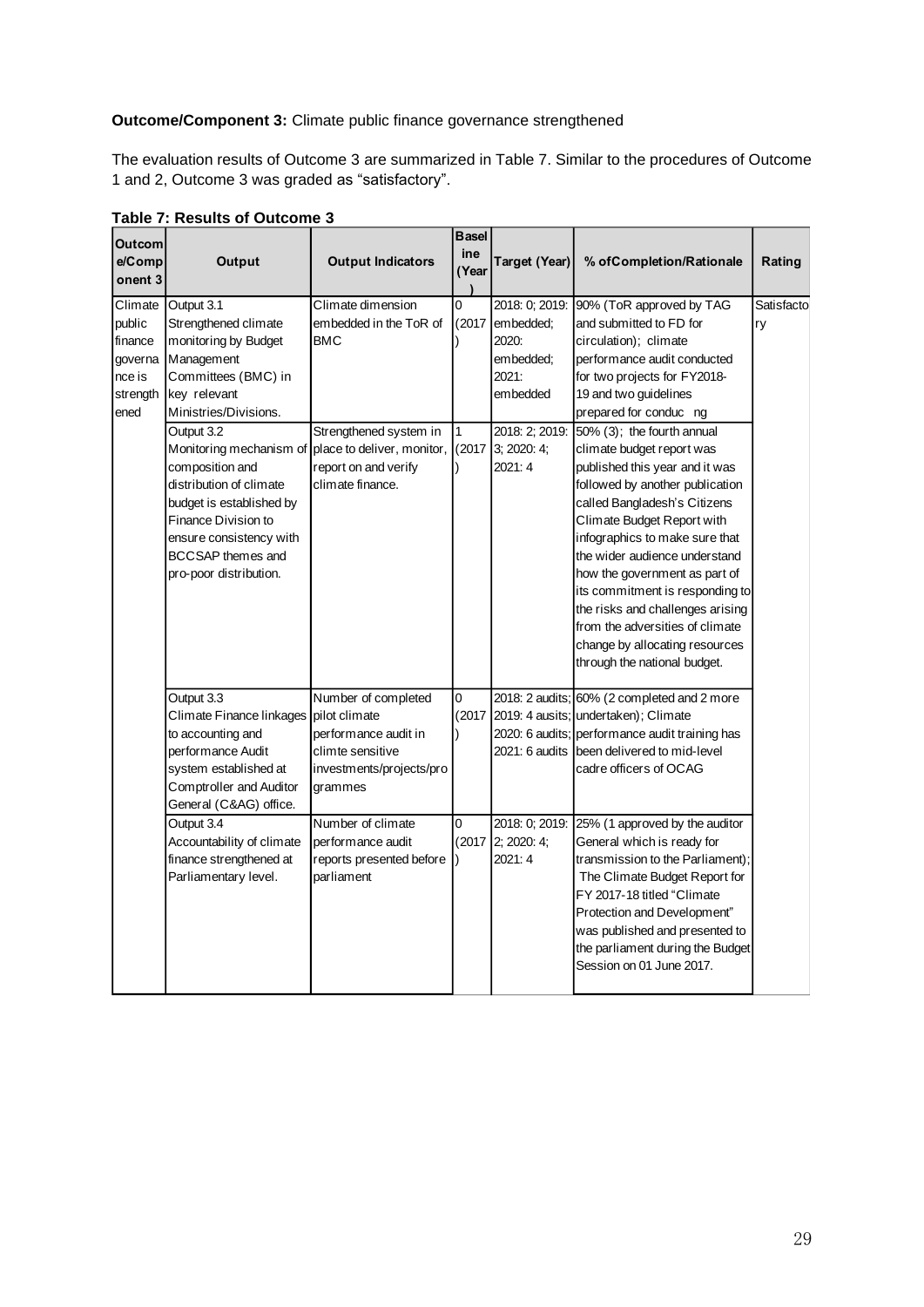### **Outcome/Component 3:** Climate public finance governance strengthened

The evaluation results of Outcome 3 are summarized in Table 7. Similar to the procedures of Outcome 1 and 2, Outcome 3 was graded as "satisfactory".

| <b>Outcom</b><br>e/Comp<br>onent 3                                    | Output                                                                                                                                                                                                                                                                                                                                                                                  | <b>Output Indicators</b>                                                                                                                                                                                    | <b>Basel</b><br>ine<br>(Year | <b>Target (Year)</b>                                                                             | % of Completion/Rationale                                                                                                                                                                                                                                                                                                                                                                                                                                                                                                                                                                                                                                                                   | Rating            |
|-----------------------------------------------------------------------|-----------------------------------------------------------------------------------------------------------------------------------------------------------------------------------------------------------------------------------------------------------------------------------------------------------------------------------------------------------------------------------------|-------------------------------------------------------------------------------------------------------------------------------------------------------------------------------------------------------------|------------------------------|--------------------------------------------------------------------------------------------------|---------------------------------------------------------------------------------------------------------------------------------------------------------------------------------------------------------------------------------------------------------------------------------------------------------------------------------------------------------------------------------------------------------------------------------------------------------------------------------------------------------------------------------------------------------------------------------------------------------------------------------------------------------------------------------------------|-------------------|
| Climate<br>public<br>finance<br>governa<br>nce is<br>strength<br>ened | Output 3.1<br>Strengthened climate<br>monitoring by Budget<br>Management<br>Committees (BMC) in<br>key relevant<br>Ministries/Divisions.<br>Output 3.2<br>Monitoring mechanism of place to deliver, monitor,<br>composition and<br>distribution of climate<br>budget is established by<br>Finance Division to<br>ensure consistency with<br>BCCSAP themes and<br>pro-poor distribution. | Climate dimension<br>embedded in the ToR of<br><b>BMC</b><br>Strengthened system in<br>report on and verify<br>climate finance.                                                                             | 0<br>(2017)<br>1<br>(2017)   | 2018: 0; 2019:<br>embedded;<br>2020:<br>embedded;<br>2021:<br>embedded<br>3: 2020: 4:<br>2021: 4 | 90% (ToR approved by TAG<br>and submitted to FD for<br>circulation); climate<br>performance audit conducted<br>for two projects for FY2018-<br>19 and two guidelines<br>prepared for conduc ng<br>2018: 2; 2019: 50% (3); the fourth annual<br>climate budget report was<br>published this year and it was<br>followed by another publication<br>called Bangladesh's Citizens<br>Climate Budget Report with<br>infographics to make sure that<br>the wider audience understand<br>how the government as part of<br>its commitment is responding to<br>the risks and challenges arising<br>from the adversities of climate<br>change by allocating resources<br>through the national budget. | Satisfactol<br>ry |
|                                                                       | Output 3.3<br>Climate Finance linkages<br>to accounting and<br>performance Audit<br>system established at<br>Comptroller and Auditor<br>General (C&AG) office.<br>Output 3.4<br>Accountability of climate<br>finance strengthened at<br>Parliamentary level.                                                                                                                            | Number of completed<br>pilot climate<br>performance audit in<br>climte sensitive<br>investments/projects/pro<br>grammes<br>Number of climate<br>performance audit<br>reports presented before<br>parliament | 0<br>0                       | 2018: 0: 2019:<br>(2017 2; 2020: 4;<br>2021: 4                                                   | 2018: 2 audits; 60% (2 completed and 2 more<br>(2017 2019: 4 ausits; undertaken); Climate<br>2020: 6 audits; performance audit training has<br>2021: 6 audits been delivered to mid-level<br>cadre officers of OCAG<br>25% (1 approved by the auditor<br>General which is ready for<br>transmission to the Parliament)<br>The Climate Budget Report for<br>FY 2017-18 titled "Climate<br>Protection and Development"<br>was published and presented to<br>the parliament during the Budget<br>Session on 01 June 2017.                                                                                                                                                                      |                   |

**Table 7: Results of Outcome 3**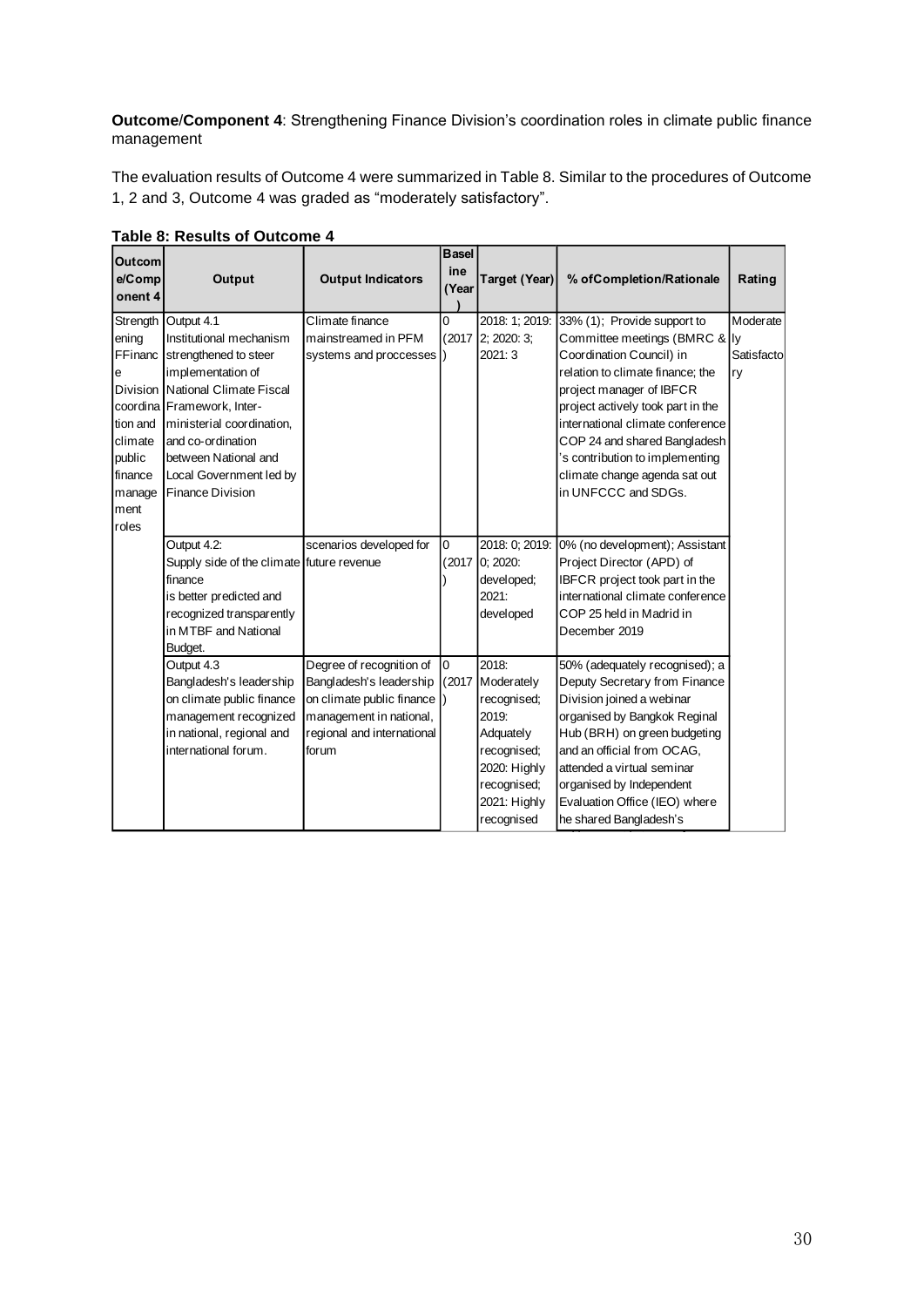**Outcome**/**Component 4**: Strengthening Finance Division's coordination roles in climate public finance management

The evaluation results of Outcome 4 were summarized in Table 8. Similar to the procedures of Outcome 1, 2 and 3, Outcome 4 was graded as "moderately satisfactory".

| <b>Outcom</b> |                                           |                            | <b>Basel</b>   |                      |                                   |            |
|---------------|-------------------------------------------|----------------------------|----------------|----------------------|-----------------------------------|------------|
| e/Comp        | Output                                    | <b>Output Indicators</b>   | ine            | <b>Target (Year)</b> | % of Completion/Rationale         | Rating     |
| onent 4       |                                           |                            | (Year          |                      |                                   |            |
|               | Strength Output 4.1                       | Climate finance            | 0              | 2018: 1; 2019:       | 33% (1); Provide support to       | Moderate   |
| ening         | Institutional mechanism                   | mainstreamed in PFM        | (2017)         | 2; 2020: 3;          | Committee meetings (BMRC & Iy     |            |
| FFinanc       | strengthened to steer                     | systems and proccesses )   |                | 2021: 3              | Coordination Council) in          | Satisfacto |
| e             | implementation of                         |                            |                |                      | relation to climate finance: the  | ry         |
|               | Division Mational Climate Fiscal          |                            |                |                      | project manager of IBFCR          |            |
|               | coordina Framework, Inter-                |                            |                |                      | project actively took part in the |            |
| tion and      | ministerial coordination,                 |                            |                |                      | international climate conference  |            |
| climate       | and co-ordination                         |                            |                |                      | COP 24 and shared Bangladesh      |            |
| public        | between National and                      |                            |                |                      | 's contribution to implementing   |            |
| finance       | Local Government led by                   |                            |                |                      | climate change agenda sat out     |            |
| manage        | <b>Finance Division</b>                   |                            |                |                      | in UNFCCC and SDGs.               |            |
| ment          |                                           |                            |                |                      |                                   |            |
| roles         |                                           |                            |                |                      |                                   |            |
|               | Output 4.2:                               | scenarios developed for    | 0              | 2018: 0: 2019:       | 0% (no development); Assistant    |            |
|               | Supply side of the climate future revenue |                            | (2017          | 0; 2020:             | Project Director (APD) of         |            |
|               | finance                                   |                            |                | developed;           | IBFCR project took part in the    |            |
|               | is better predicted and                   |                            |                | 2021:                | international climate conference  |            |
|               | recognized transparently                  |                            |                | developed            | COP 25 held in Madrid in          |            |
|               | in MTBF and National                      |                            |                |                      | December 2019                     |            |
|               | Budget.                                   |                            |                |                      |                                   |            |
|               | Output 4.3                                | Degree of recognition of   | $\overline{0}$ | 2018:                | 50% (adequately recognised); a    |            |
|               | Bangladesh's leadership                   | Bangladesh's leadership    | (2017)         | Moderately           | Deputy Secretary from Finance     |            |
|               | on climate public finance                 | on climate public finance  |                | recognised;          | Division joined a webinar         |            |
|               | management recognized                     | management in national,    |                | 2019:                | organised by Bangkok Reginal      |            |
|               | in national, regional and                 | regional and international |                | Adquately            | Hub (BRH) on green budgeting      |            |
|               | international forum.                      | forum                      |                | recognised;          | and an official from OCAG,        |            |
|               |                                           |                            |                | 2020: Highly         | attended a virtual seminar        |            |
|               |                                           |                            |                | recognised;          | organised by Independent          |            |
|               |                                           |                            |                | 2021: Highly         | Evaluation Office (IEO) where     |            |
|               |                                           |                            |                | recognised           | he shared Bangladesh's            |            |

#### **Table 8: Results of Outcome 4**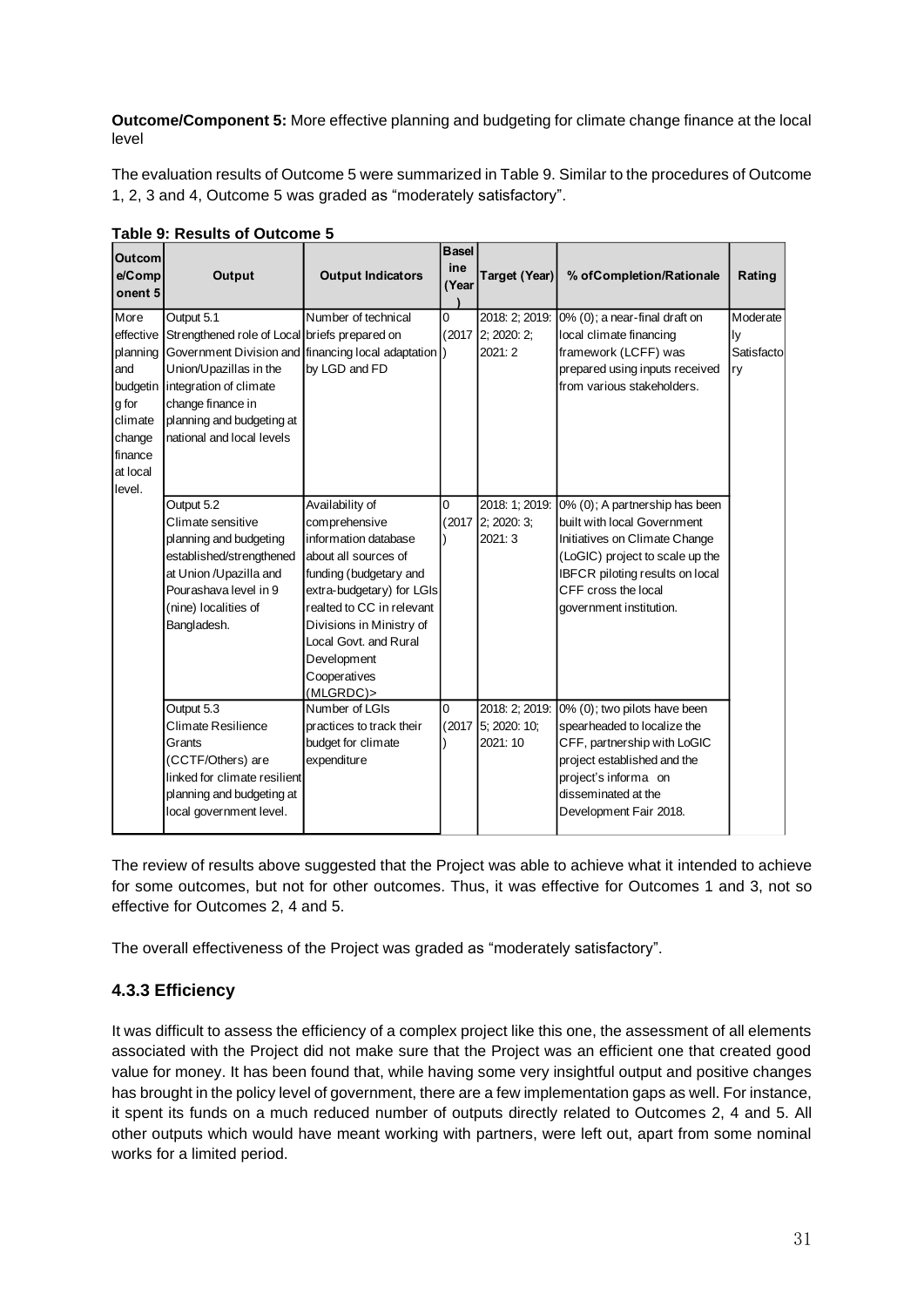**Outcome/Component 5:** More effective planning and budgeting for climate change finance at the local level

The evaluation results of Outcome 5 were summarized in Table 9. Similar to the procedures of Outcome 1, 2, 3 and 4, Outcome 5 was graded as "moderately satisfactory".

| <b>Outcom</b>                                           |                                                                                                                                                                                                                                                                         |                                                                                                                                                                                                                                                                       | <b>Basel</b> |                                               |                                                                                                                                                                                                                        |                                    |
|---------------------------------------------------------|-------------------------------------------------------------------------------------------------------------------------------------------------------------------------------------------------------------------------------------------------------------------------|-----------------------------------------------------------------------------------------------------------------------------------------------------------------------------------------------------------------------------------------------------------------------|--------------|-----------------------------------------------|------------------------------------------------------------------------------------------------------------------------------------------------------------------------------------------------------------------------|------------------------------------|
| e/Comp                                                  | Output                                                                                                                                                                                                                                                                  | <b>Output Indicators</b>                                                                                                                                                                                                                                              | ine<br>(Year | <b>Target (Year)</b>                          | % of Completion/Rationale                                                                                                                                                                                              | Rating                             |
| onent 5                                                 |                                                                                                                                                                                                                                                                         |                                                                                                                                                                                                                                                                       |              |                                               |                                                                                                                                                                                                                        |                                    |
| More<br>land<br>budgetin<br>g for<br>Iclimate<br>change | Output 5.1<br>effective Strengthened role of Local briefs prepared on<br>planning Government Division and financing local adaptation<br>Union/Upazillas in the<br>integration of climate<br>change finance in<br>planning and budgeting at<br>national and local levels | Number of technical<br>by LGD and FD                                                                                                                                                                                                                                  | 0            | 2018: 2; 2019:<br>(2017 2: 2020: 2:<br>2021:2 | 0% (0); a near-final draft on<br>local climate financing<br>framework (LCFF) was<br>prepared using inputs received<br>from various stakeholders.                                                                       | Moderate<br>ly<br>Satisfacto<br>ry |
| finance<br>at local<br>level.                           |                                                                                                                                                                                                                                                                         |                                                                                                                                                                                                                                                                       |              |                                               |                                                                                                                                                                                                                        |                                    |
|                                                         | Output 5.2<br>Climate sensitive<br>planning and budgeting<br>established/strengthened<br>at Union /Upazilla and<br>Pourashava level in 9<br>(nine) localities of<br>Bangladesh.                                                                                         | Availability of<br>comprehensive<br>information database<br>about all sources of<br>funding (budgetary and<br>extra-budgetary) for LGIs<br>realted to CC in relevant<br>Divisions in Ministry of<br>Local Govt. and Rural<br>Development<br>Cooperatives<br>(MLGRDC)> | 0<br>(2017   | 2018: 1; 2019:<br>2; 2020: 3;<br>2021: 3      | 0% (0); A partnership has been<br>built with local Government<br>Initiatives on Climate Change<br>(LoGIC) project to scale up the<br>IBFCR piloting results on local<br>CFF cross the local<br>government institution. |                                    |
|                                                         | Output 5.3<br><b>Climate Resilience</b><br>Grants<br>(CCTF/Others) are<br>linked for climate resilient<br>planning and budgeting at<br>local government level.                                                                                                          | Number of LGIs<br>practices to track their<br>budget for climate<br>expenditure                                                                                                                                                                                       | 0<br>(2017)  | 2018: 2: 2019:<br>5; 2020: 10;<br>2021: 10    | 0% (0); two pilots have been<br>spearheaded to localize the<br>CFF, partnership with LoGIC<br>project established and the<br>project's informa on<br>disseminated at the<br>Development Fair 2018.                     |                                    |

**Table 9: Results of Outcome 5**

The review of results above suggested that the Project was able to achieve what it intended to achieve for some outcomes, but not for other outcomes. Thus, it was effective for Outcomes 1 and 3, not so effective for Outcomes 2, 4 and 5.

The overall effectiveness of the Project was graded as "moderately satisfactory".

#### **4.3.3 Efficiency**

It was difficult to assess the efficiency of a complex project like this one, the assessment of all elements associated with the Project did not make sure that the Project was an efficient one that created good value for money. It has been found that, while having some very insightful output and positive changes has brought in the policy level of government, there are a few implementation gaps as well. For instance, it spent its funds on a much reduced number of outputs directly related to Outcomes 2, 4 and 5. All other outputs which would have meant working with partners, were left out, apart from some nominal works for a limited period.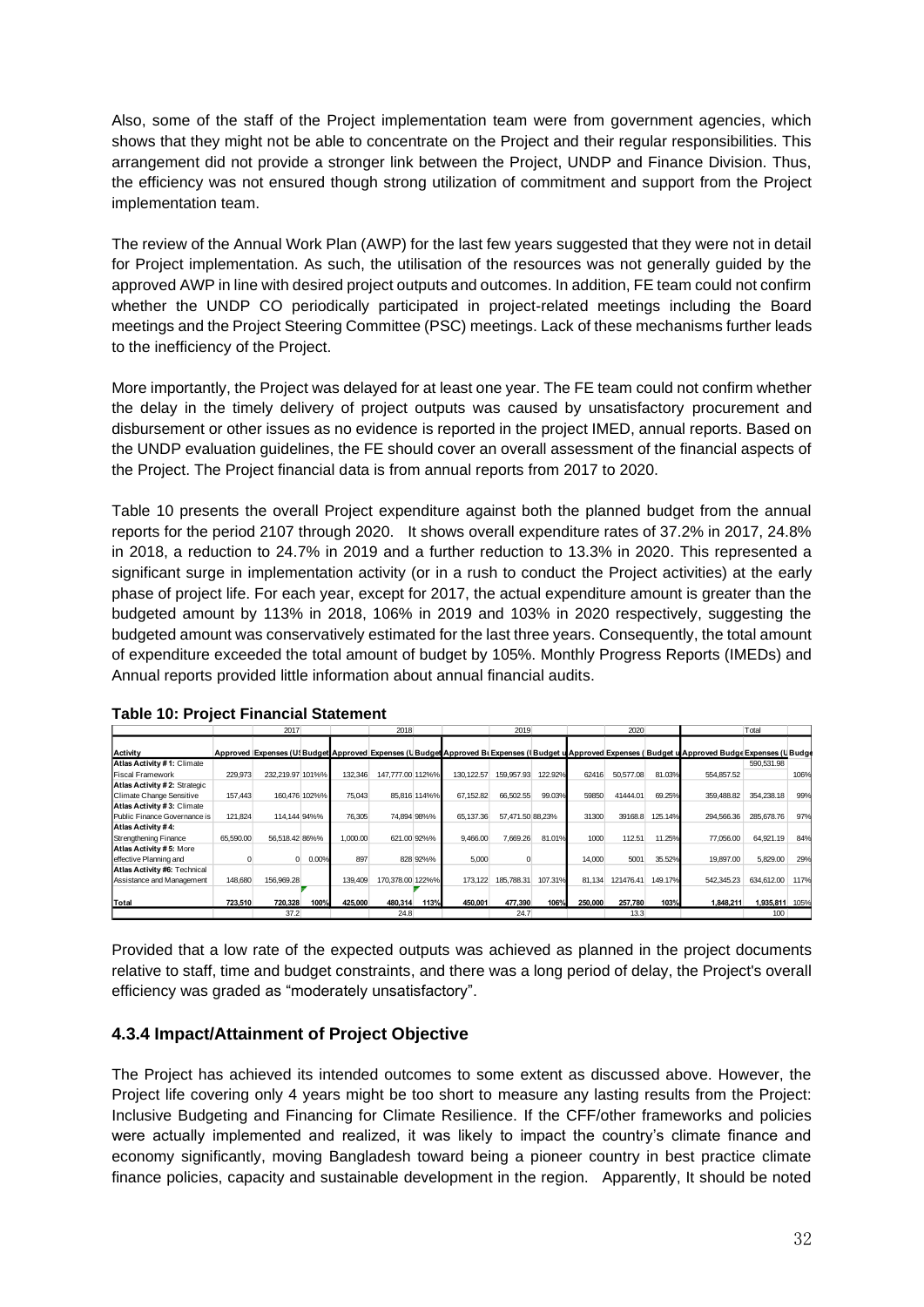Also, some of the staff of the Project implementation team were from government agencies, which shows that they might not be able to concentrate on the Project and their regular responsibilities. This arrangement did not provide a stronger link between the Project, UNDP and Finance Division. Thus, the efficiency was not ensured though strong utilization of commitment and support from the Project implementation team.

The review of the Annual Work Plan (AWP) for the last few years suggested that they were not in detail for Project implementation. As such, the utilisation of the resources was not generally guided by the approved AWP in line with desired project outputs and outcomes. In addition, FE team could not confirm whether the UNDP CO periodically participated in project-related meetings including the Board meetings and the Project Steering Committee (PSC) meetings. Lack of these mechanisms further leads to the inefficiency of the Project.

More importantly, the Project was delayed for at least one year. The FE team could not confirm whether the delay in the timely delivery of project outputs was caused by unsatisfactory procurement and disbursement or other issues as no evidence is reported in the project IMED, annual reports. Based on the UNDP evaluation guidelines, the FE should cover an overall assessment of the financial aspects of the Project. The Project financial data is from annual reports from 2017 to 2020.

Table 10 presents the overall Project expenditure against both the planned budget from the annual reports for the period 2107 through 2020. It shows overall expenditure rates of 37.2% in 2017, 24.8% in 2018, a reduction to 24.7% in 2019 and a further reduction to 13.3% in 2020. This represented a significant surge in implementation activity (or in a rush to conduct the Project activities) at the early phase of project life. For each year, except for 2017, the actual expenditure amount is greater than the budgeted amount by 113% in 2018, 106% in 2019 and 103% in 2020 respectively, suggesting the budgeted amount was conservatively estimated for the last three years. Consequently, the total amount of expenditure exceeded the total amount of budget by 105%. Monthly Progress Reports (IMEDs) and Annual reports provided little information about annual financial audits.

|                              |           | 2017             |               |          | 2018             |              |            | 2019             |         |         | 2020      |         |                                                                                                                                                                                           | Total      |      |
|------------------------------|-----------|------------------|---------------|----------|------------------|--------------|------------|------------------|---------|---------|-----------|---------|-------------------------------------------------------------------------------------------------------------------------------------------------------------------------------------------|------------|------|
| Activity                     |           |                  |               |          |                  |              |            |                  |         |         |           |         | Approved Expenses (U{Budget Approved Expenses (UBudget Approved B) Expenses (IBudget u Approved Expenses (Budget u Approved Budge Expenses (UBudget u Approved Budget Expenses (UBudget u |            |      |
| Atlas Activity #1: Climate   |           |                  |               |          |                  |              |            |                  |         |         |           |         |                                                                                                                                                                                           | 590,531.98 |      |
| Fiscal Framework             | 229,973   | 232.219.97 101%% |               | 132.346  | 147.777.00 112%% |              | 130.122.57 | 159,957.93       | 122.92% | 62416   | 50,577.08 | 81.03%  | 554,857.52                                                                                                                                                                                |            | 106% |
| Atlas Activity #2: Strategic |           |                  |               |          |                  |              |            |                  |         |         |           |         |                                                                                                                                                                                           |            |      |
| Climate Change Sensitive     | 157.443   |                  | 160.476 102%% | 75,043   |                  | 85.816 114%% | 67.152.82  | 66.502.55        | 99.03%  | 59850   | 41444.01  | 69.25%  | 359.488.82                                                                                                                                                                                | 354,238.18 | 99%  |
| Atlas Activity #3: Climate   |           |                  |               |          |                  |              |            |                  |         |         |           |         |                                                                                                                                                                                           |            |      |
| Public Finance Governance is | 121,824   |                  | 114.144 94%%  | 76,305   |                  | 74,894 98%%  | 65.137.36  | 57,471.50 88,23% |         | 31300   | 39168.8   | 125.14% | 294,566.36                                                                                                                                                                                | 285,678.76 | 97%  |
| Atlas Activity #4:           |           |                  |               |          |                  |              |            |                  |         |         |           |         |                                                                                                                                                                                           |            |      |
| Strengthening Finance        | 65,590.00 | 56.518.42 86%%   |               | 1.000.00 |                  | 621.00 92%%  | 9.466.00   | 7.669.26         | 81.01%  | 1000    | 112.51    | 11.25%  | 77,056.00                                                                                                                                                                                 | 64,921.19  | 84%  |
| Atlas Activity #5: More      |           |                  |               |          |                  |              |            |                  |         |         |           |         |                                                                                                                                                                                           |            |      |
| effective Planning and       |           |                  | 0.00%         | 897      |                  | 828 92%%     | 5.000      |                  |         | 14.000  | 5001      | 35.52%  | 19,897.00                                                                                                                                                                                 | 5,829.00   | 29%  |
| Atlas Activity #6: Technical |           |                  |               |          |                  |              |            |                  |         |         |           |         |                                                                                                                                                                                           |            |      |
| Assistance and Management    | 148.680   | 156,969.28       |               | 139.409  | 170.378.00 122%% |              | 173.122    | 185,788,31       | 107.31% | 81.134  | 121476.41 | 149.17% | 542.345.23                                                                                                                                                                                | 634.612.00 | 117% |
|                              |           |                  |               |          |                  |              |            |                  |         |         |           |         |                                                                                                                                                                                           |            |      |
| Total                        | 723.510   | 720.328          | 100%          | 425.000  | 480.314          | 113%         | 450.001    | 477.390          | 106%    | 250,000 | 257.780   | 103%    | 1.848.211                                                                                                                                                                                 | 1.935.811  | 105% |
|                              |           | 37.2             |               |          | 24.8             |              |            | 24.7             |         |         | 13.3      |         |                                                                                                                                                                                           | 100        |      |

**Table 10: Project Financial Statement**

Provided that a low rate of the expected outputs was achieved as planned in the project documents relative to staff, time and budget constraints, and there was a long period of delay, the Project's overall efficiency was graded as "moderately unsatisfactory".

#### **4.3.4 Impact/Attainment of Project Objective**

The Project has achieved its intended outcomes to some extent as discussed above. However, the Project life covering only 4 years might be too short to measure any lasting results from the Project: Inclusive Budgeting and Financing for Climate Resilience. If the CFF/other frameworks and policies were actually implemented and realized, it was likely to impact the country's climate finance and economy significantly, moving Bangladesh toward being a pioneer country in best practice climate finance policies, capacity and sustainable development in the region. Apparently, It should be noted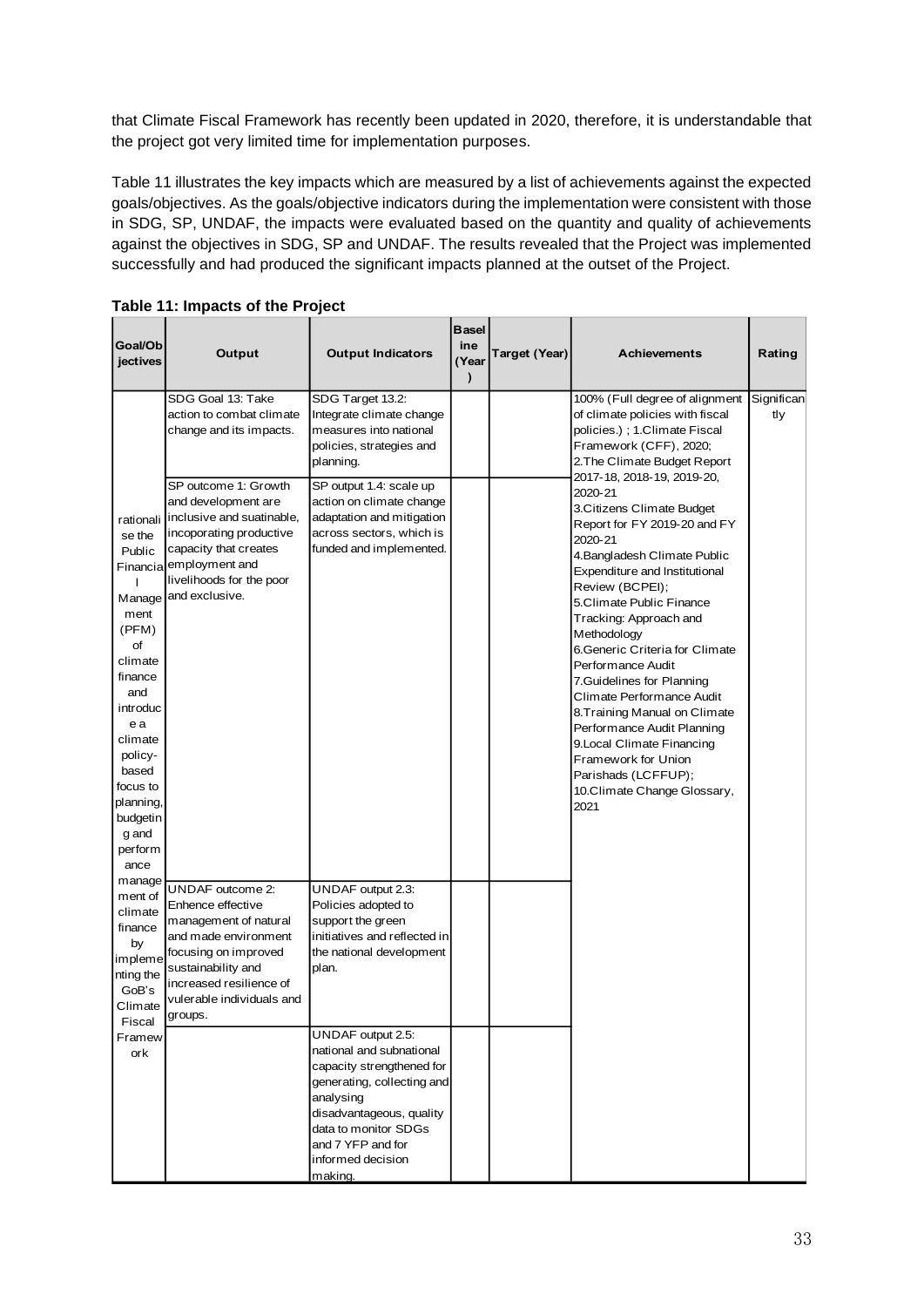that Climate Fiscal Framework has recently been updated in 2020, therefore, it is understandable that the project got very limited time for implementation purposes.

Table 11 illustrates the key impacts which are measured by a list of achievements against the expected goals/objectives. As the goals/objective indicators during the implementation were consistent with those in SDG, SP, UNDAF, the impacts were evaluated based on the quantity and quality of achievements against the objectives in SDG, SP and UNDAF. The results revealed that the Project was implemented successfully and had produced the significant impacts planned at the outset of the Project.

| Goal/Ob<br>jectives                                                                                                                                                                                            | Output                                                                                                                                                                                                       | <b>Output Indicators</b>                                                                                                                                                                                                       | <b>Basel</b><br>ine<br>(Year<br>$\mathbf{I}$ | Target (Year) | <b>Achievements</b>                                                                                                                                                                                                                                                                                                                                                                                                                                                                                                                                                        | Rating            |
|----------------------------------------------------------------------------------------------------------------------------------------------------------------------------------------------------------------|--------------------------------------------------------------------------------------------------------------------------------------------------------------------------------------------------------------|--------------------------------------------------------------------------------------------------------------------------------------------------------------------------------------------------------------------------------|----------------------------------------------|---------------|----------------------------------------------------------------------------------------------------------------------------------------------------------------------------------------------------------------------------------------------------------------------------------------------------------------------------------------------------------------------------------------------------------------------------------------------------------------------------------------------------------------------------------------------------------------------------|-------------------|
|                                                                                                                                                                                                                | SDG Goal 13: Take<br>action to combat climate<br>change and its impacts.                                                                                                                                     | SDG Target 13.2:<br>Integrate climate change<br>measures into national<br>policies, strategies and<br>planning.                                                                                                                |                                              |               | 100% (Full degree of alignment<br>of climate policies with fiscal<br>policies.); 1.Climate Fiscal<br>Framework (CFF), 2020;<br>2. The Climate Budget Report                                                                                                                                                                                                                                                                                                                                                                                                                | Significan<br>tly |
| rationali<br>se the<br>Public<br>ment<br>(PFM)<br>of<br>climate<br>finance<br>and<br>introduc<br>e a<br>climate<br>policy-<br>based<br>focus to<br>planning,<br>budgetin<br>g and<br>perform<br>ance<br>manage | SP outcome 1: Growth<br>and development are<br>inclusive and suatinable,<br>incoporating productive<br>capacity that creates<br>Financia employment and<br>livelihoods for the poor<br>Manage and exclusive. | SP output 1.4: scale up<br>action on climate change<br>adaptation and mitigation<br>across sectors, which is<br>funded and implemented.                                                                                        |                                              |               | 2017-18, 2018-19, 2019-20,<br>2020-21<br>3 Citizens Climate Budget<br>Report for FY 2019-20 and FY<br>2020-21<br>4. Bangladesh Climate Public<br>Expenditure and Institutional<br>Review (BCPEI);<br>5.Climate Public Finance<br>Tracking: Approach and<br>Methodology<br>6 Generic Criteria for Climate<br>Performance Audit<br>7 Guidelines for Planning<br>Climate Performance Audit<br>8. Training Manual on Climate<br>Performance Audit Planning<br>9. Local Climate Financing<br>Framework for Union<br>Parishads (LCFFUP);<br>10. Climate Change Glossary,<br>2021 |                   |
| ment of<br>climate<br>finance<br>by<br>impleme<br>nting the<br>GoB's<br>Climate<br>Fiscal                                                                                                                      | UNDAF outcome 2:<br>Enhence effective<br>management of natural<br>and made environment<br>focusing on improved<br>sustainability and<br>increased resilience of<br>vulerable individuals and<br>groups.      | UNDAF output 2.3:<br>Policies adopted to<br>support the green<br>initiatives and reflected in<br>the national development<br>plan.                                                                                             |                                              |               |                                                                                                                                                                                                                                                                                                                                                                                                                                                                                                                                                                            |                   |
| Framew<br>ork                                                                                                                                                                                                  |                                                                                                                                                                                                              | UNDAF output 2.5:<br>national and subnational<br>capacity strengthened for<br>generating, collecting and<br>analysing<br>disadvantageous, quality<br>data to monitor SDGs<br>and 7 YFP and for<br>informed decision<br>making. |                                              |               |                                                                                                                                                                                                                                                                                                                                                                                                                                                                                                                                                                            |                   |

**Table 11: Impacts of the Project**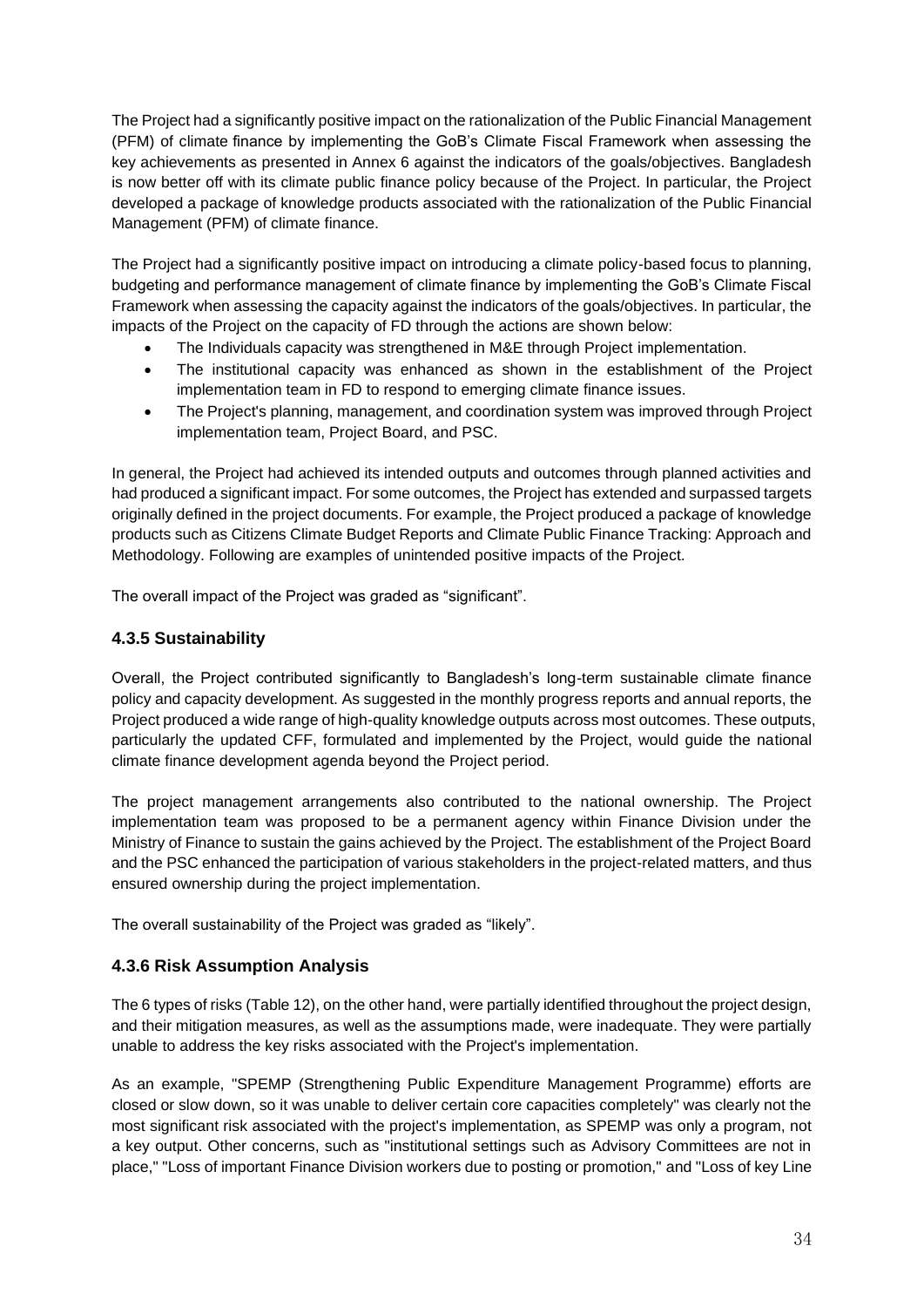The Project had a significantly positive impact on the rationalization of the Public Financial Management (PFM) of climate finance by implementing the GoB's Climate Fiscal Framework when assessing the key achievements as presented in Annex 6 against the indicators of the goals/objectives. Bangladesh is now better off with its climate public finance policy because of the Project. In particular, the Project developed a package of knowledge products associated with the rationalization of the Public Financial Management (PFM) of climate finance.

The Project had a significantly positive impact on introducing a climate policy-based focus to planning, budgeting and performance management of climate finance by implementing the GoB's Climate Fiscal Framework when assessing the capacity against the indicators of the goals/objectives. In particular, the impacts of the Project on the capacity of FD through the actions are shown below:

- The Individuals capacity was strengthened in M&E through Project implementation.
- The institutional capacity was enhanced as shown in the establishment of the Project implementation team in FD to respond to emerging climate finance issues.
- The Project's planning, management, and coordination system was improved through Project implementation team, Project Board, and PSC.

In general, the Project had achieved its intended outputs and outcomes through planned activities and had produced a significant impact. For some outcomes, the Project has extended and surpassed targets originally defined in the project documents. For example, the Project produced a package of knowledge products such as Citizens Climate Budget Reports and Climate Public Finance Tracking: Approach and Methodology. Following are examples of unintended positive impacts of the Project.

The overall impact of the Project was graded as "significant".

#### **4.3.5 Sustainability**

Overall, the Project contributed significantly to Bangladesh's long-term sustainable climate finance policy and capacity development. As suggested in the monthly progress reports and annual reports, the Project produced a wide range of high-quality knowledge outputs across most outcomes. These outputs, particularly the updated CFF, formulated and implemented by the Project, would guide the national climate finance development agenda beyond the Project period.

The project management arrangements also contributed to the national ownership. The Project implementation team was proposed to be a permanent agency within Finance Division under the Ministry of Finance to sustain the gains achieved by the Project. The establishment of the Project Board and the PSC enhanced the participation of various stakeholders in the project-related matters, and thus ensured ownership during the project implementation.

The overall sustainability of the Project was graded as "likely".

#### **4.3.6 Risk Assumption Analysis**

The 6 types of risks (Table 12), on the other hand, were partially identified throughout the project design, and their mitigation measures, as well as the assumptions made, were inadequate. They were partially unable to address the key risks associated with the Project's implementation.

As an example, "SPEMP (Strengthening Public Expenditure Management Programme) efforts are closed or slow down, so it was unable to deliver certain core capacities completely" was clearly not the most significant risk associated with the project's implementation, as SPEMP was only a program, not a key output. Other concerns, such as "institutional settings such as Advisory Committees are not in place," "Loss of important Finance Division workers due to posting or promotion," and "Loss of key Line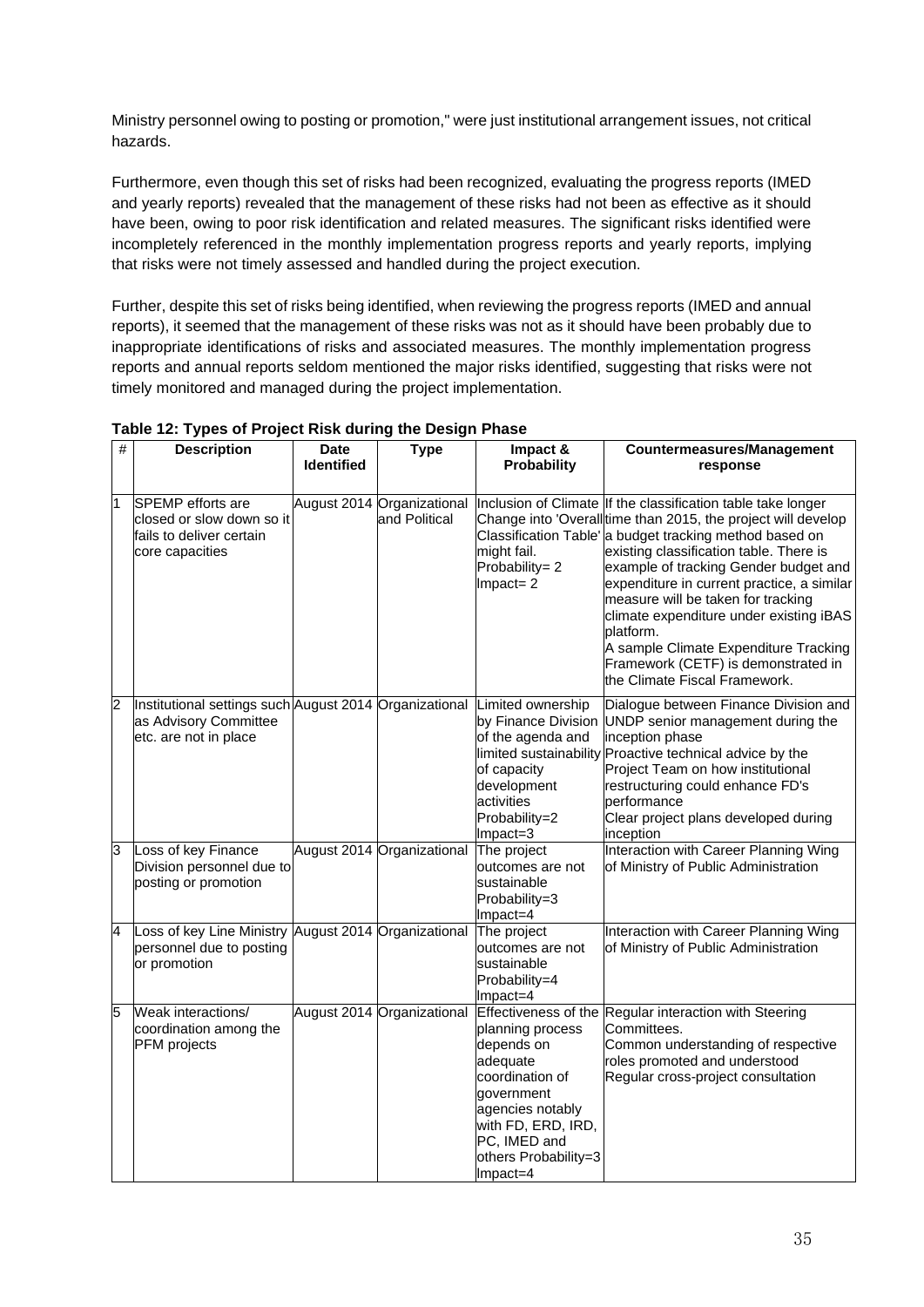Ministry personnel owing to posting or promotion," were just institutional arrangement issues, not critical hazards.

Furthermore, even though this set of risks had been recognized, evaluating the progress reports (IMED and yearly reports) revealed that the management of these risks had not been as effective as it should have been, owing to poor risk identification and related measures. The significant risks identified were incompletely referenced in the monthly implementation progress reports and yearly reports, implying that risks were not timely assessed and handled during the project execution.

Further, despite this set of risks being identified, when reviewing the progress reports (IMED and annual reports), it seemed that the management of these risks was not as it should have been probably due to inappropriate identifications of risks and associated measures. The monthly implementation progress reports and annual reports seldom mentioned the major risks identified, suggesting that risks were not timely monitored and managed during the project implementation.

| # | <b>Description</b>                                                                                       | <b>Date</b><br><b>Identified</b> | <b>Type</b>                                 | Impact &<br>Probability                                                                                                                                                      | <b>Countermeasures/Management</b><br>response                                                                                                                                                                                                                                                                                                                                                                                                                                                                                            |
|---|----------------------------------------------------------------------------------------------------------|----------------------------------|---------------------------------------------|------------------------------------------------------------------------------------------------------------------------------------------------------------------------------|------------------------------------------------------------------------------------------------------------------------------------------------------------------------------------------------------------------------------------------------------------------------------------------------------------------------------------------------------------------------------------------------------------------------------------------------------------------------------------------------------------------------------------------|
| 1 | <b>SPEMP</b> efforts are<br>closed or slow down so it<br>fails to deliver certain<br>core capacities     |                                  | August 2014 Organizational<br>and Political | might fail.<br>Probability= 2<br>$Impact = 2$                                                                                                                                | Inclusion of Climate If the classification table take longer<br>Change into 'Overalltime than 2015, the project will develop<br>Classification Table' a budget tracking method based on<br>existing classification table. There is<br>example of tracking Gender budget and<br>expenditure in current practice, a similar<br>measure will be taken for tracking<br>climate expenditure under existing iBAS<br>platform.<br>A sample Climate Expenditure Tracking<br>Framework (CETF) is demonstrated in<br>the Climate Fiscal Framework. |
| 2 | Institutional settings such August 2014 Organizational<br>as Advisory Committee<br>etc. are not in place |                                  |                                             | Limited ownership<br>by Finance Division<br>of the agenda and<br>of capacity<br>development<br>activities<br>Probability=2<br>Impact=3                                       | Dialogue between Finance Division and<br>UNDP senior management during the<br>inception phase<br>limited sustainability Proactive technical advice by the<br>Project Team on how institutional<br>restructuring could enhance FD's<br>performance<br>Clear project plans developed during<br>inception                                                                                                                                                                                                                                   |
| 3 | Loss of key Finance<br>Division personnel due to<br>posting or promotion                                 |                                  | August 2014 Organizational                  | The project<br>outcomes are not<br>sustainable<br>Probability=3<br>Impact=4                                                                                                  | Interaction with Career Planning Wing<br>of Ministry of Public Administration                                                                                                                                                                                                                                                                                                                                                                                                                                                            |
| 4 | Loss of key Line Ministry<br>personnel due to posting<br>or promotion                                    |                                  | August 2014 Organizational                  | The project<br>outcomes are not<br>sustainable<br>Probability=4<br>Impact=4                                                                                                  | Interaction with Career Planning Wing<br>of Ministry of Public Administration                                                                                                                                                                                                                                                                                                                                                                                                                                                            |
| 5 | Weak interactions/<br>coordination among the<br>PFM projects                                             |                                  | August 2014 Organizational                  | planning process<br>depends on<br>adequate<br>coordination of<br>qovernment<br>agencies notably<br>with FD, ERD, IRD,<br>PC, IMED and<br>others Probability=3<br>$Im$ pact=4 | Effectiveness of the Regular interaction with Steering<br>Committees.<br>Common understanding of respective<br>roles promoted and understood<br>Regular cross-project consultation                                                                                                                                                                                                                                                                                                                                                       |

**Table 12: Types of Project Risk during the Design Phase**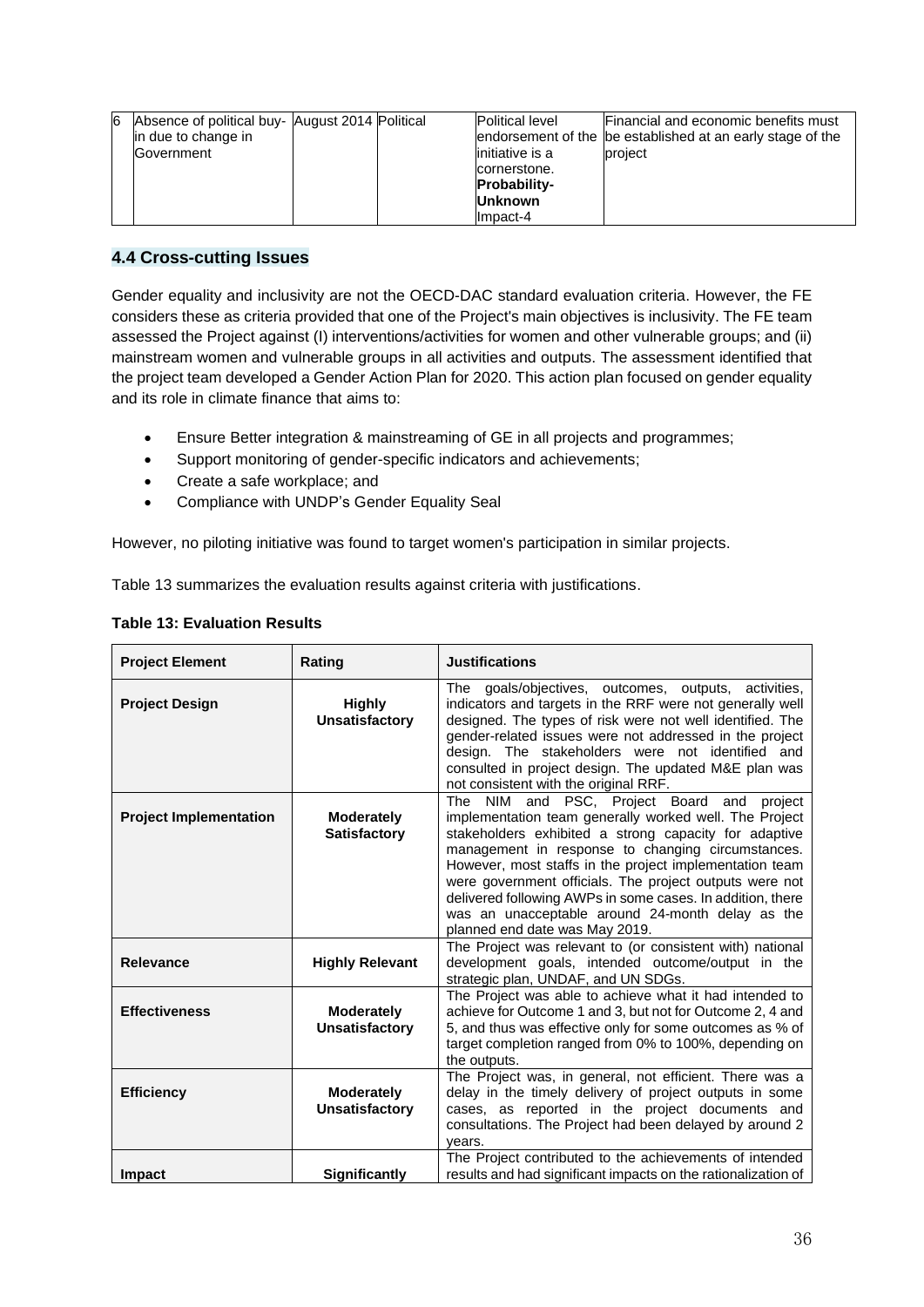| 6 | Absence of political buy- August 2014 Political<br>in due to change in<br>Government |  | <b>Political level</b><br>initiative is a<br>cornerstone.<br><b>Probability-</b> | Financial and economic benefits must<br>endorsement of the be established at an early stage of the<br>project |
|---|--------------------------------------------------------------------------------------|--|----------------------------------------------------------------------------------|---------------------------------------------------------------------------------------------------------------|
|   |                                                                                      |  | <b>Unknown</b><br>Impact-4                                                       |                                                                                                               |

#### **4.4 Cross-cutting Issues**

Gender equality and inclusivity are not the OECD-DAC standard evaluation criteria. However, the FE considers these as criteria provided that one of the Project's main objectives is inclusivity. The FE team assessed the Project against (I) interventions/activities for women and other vulnerable groups; and (ii) mainstream women and vulnerable groups in all activities and outputs. The assessment identified that the project team developed a Gender Action Plan for 2020. This action plan focused on gender equality and its role in climate finance that aims to:

- Ensure Better integration & mainstreaming of GE in all projects and programmes;
- Support monitoring of gender-specific indicators and achievements;
- Create a safe workplace; and
- Compliance with UNDP's Gender Equality Seal

However, no piloting initiative was found to target women's participation in similar projects.

Table 13 summarizes the evaluation results against criteria with justifications.

| <b>Project Element</b>        | Rating                                     | <b>Justifications</b>                                                                                                                                                                                                                                                                                                                                                                                                                                                                           |
|-------------------------------|--------------------------------------------|-------------------------------------------------------------------------------------------------------------------------------------------------------------------------------------------------------------------------------------------------------------------------------------------------------------------------------------------------------------------------------------------------------------------------------------------------------------------------------------------------|
| <b>Project Design</b>         | <b>Highly</b><br><b>Unsatisfactory</b>     | The goals/objectives, outcomes, outputs, activities,<br>indicators and targets in the RRF were not generally well<br>designed. The types of risk were not well identified. The<br>gender-related issues were not addressed in the project<br>design. The stakeholders were not identified and<br>consulted in project design. The updated M&E plan was<br>not consistent with the original RRF.                                                                                                 |
| <b>Project Implementation</b> | <b>Moderately</b><br><b>Satisfactory</b>   | The NIM and PSC, Project Board and<br>project<br>implementation team generally worked well. The Project<br>stakeholders exhibited a strong capacity for adaptive<br>management in response to changing circumstances.<br>However, most staffs in the project implementation team<br>were government officials. The project outputs were not<br>delivered following AWPs in some cases. In addition, there<br>was an unacceptable around 24-month delay as the<br>planned end date was May 2019. |
| <b>Relevance</b>              | <b>Highly Relevant</b>                     | The Project was relevant to (or consistent with) national<br>development goals, intended outcome/output in the<br>strategic plan, UNDAF, and UN SDGs.                                                                                                                                                                                                                                                                                                                                           |
| <b>Effectiveness</b>          | <b>Moderately</b><br><b>Unsatisfactory</b> | The Project was able to achieve what it had intended to<br>achieve for Outcome 1 and 3, but not for Outcome 2, 4 and<br>5, and thus was effective only for some outcomes as % of<br>target completion ranged from 0% to 100%, depending on<br>the outputs.                                                                                                                                                                                                                                      |
| <b>Efficiency</b>             | <b>Moderately</b><br><b>Unsatisfactory</b> | The Project was, in general, not efficient. There was a<br>delay in the timely delivery of project outputs in some<br>cases, as reported in the project documents and<br>consultations. The Project had been delayed by around 2<br>years.                                                                                                                                                                                                                                                      |
| <b>Impact</b>                 | Significantly                              | The Project contributed to the achievements of intended<br>results and had significant impacts on the rationalization of                                                                                                                                                                                                                                                                                                                                                                        |

#### **Table 13: Evaluation Results**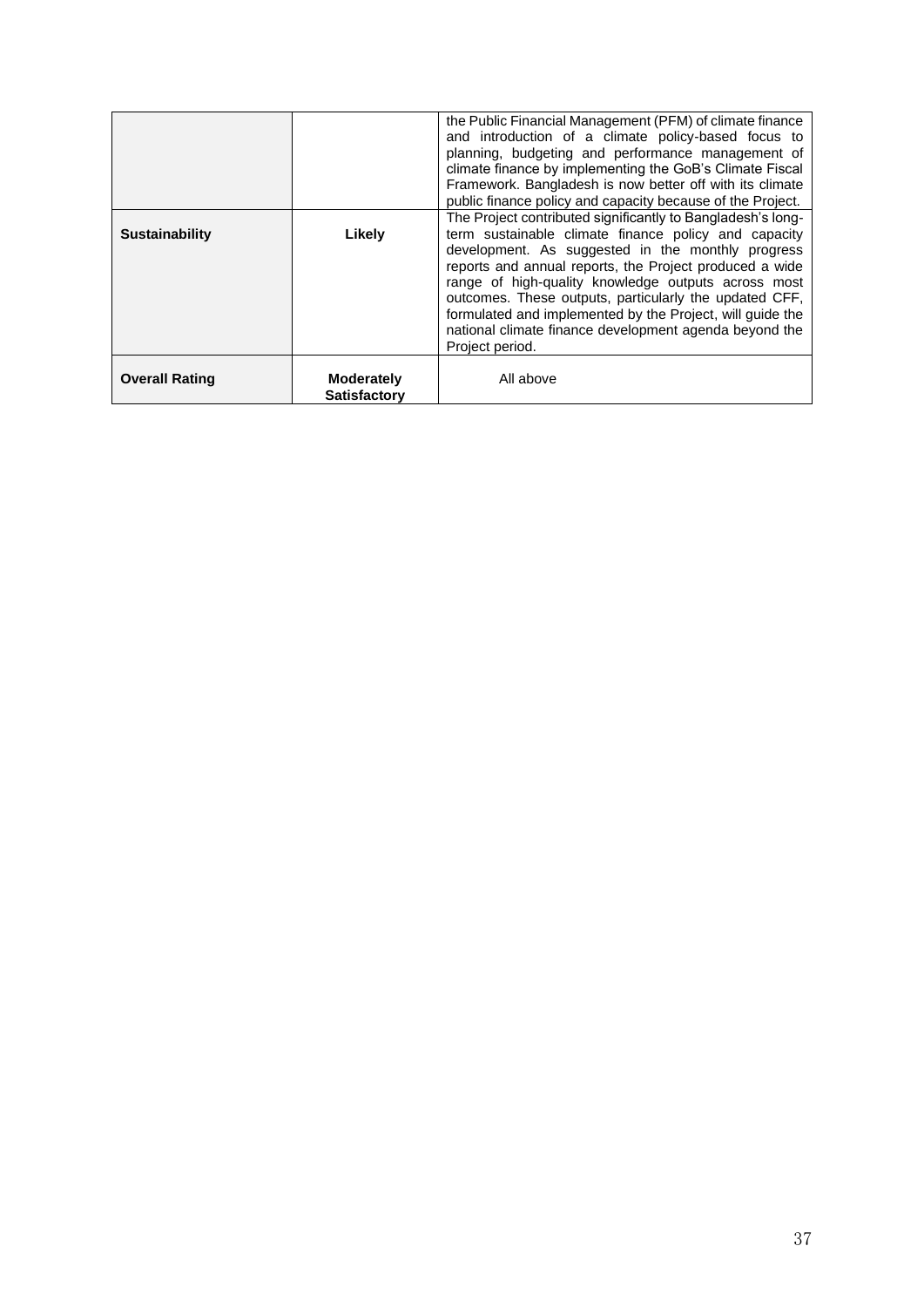|                       |                                          | the Public Financial Management (PFM) of climate finance<br>and introduction of a climate policy-based focus to<br>planning, budgeting and performance management of<br>climate finance by implementing the GoB's Climate Fiscal<br>Framework. Bangladesh is now better off with its climate<br>public finance policy and capacity because of the Project.                                                                                                                                     |
|-----------------------|------------------------------------------|------------------------------------------------------------------------------------------------------------------------------------------------------------------------------------------------------------------------------------------------------------------------------------------------------------------------------------------------------------------------------------------------------------------------------------------------------------------------------------------------|
| <b>Sustainability</b> | Likely                                   | The Project contributed significantly to Bangladesh's long-<br>term sustainable climate finance policy and capacity<br>development. As suggested in the monthly progress<br>reports and annual reports, the Project produced a wide<br>range of high-quality knowledge outputs across most<br>outcomes. These outputs, particularly the updated CFF,<br>formulated and implemented by the Project, will guide the<br>national climate finance development agenda beyond the<br>Project period. |
| <b>Overall Rating</b> | <b>Moderately</b><br><b>Satisfactory</b> | All above                                                                                                                                                                                                                                                                                                                                                                                                                                                                                      |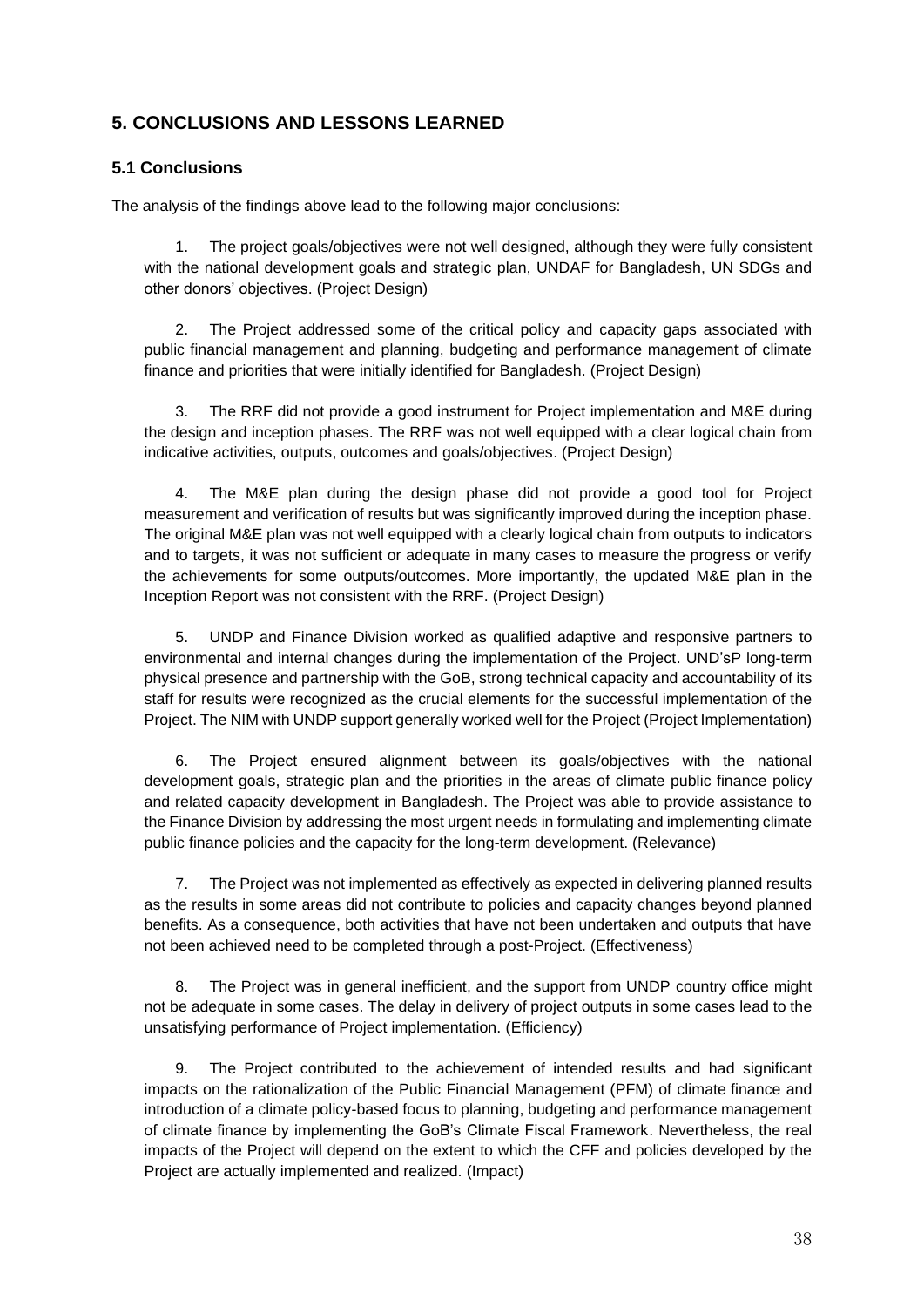## **5. CONCLUSIONS AND LESSONS LEARNED**

#### **5.1 Conclusions**

The analysis of the findings above lead to the following major conclusions:

1. The project goals/objectives were not well designed, although they were fully consistent with the national development goals and strategic plan, UNDAF for Bangladesh, UN SDGs and other donors' objectives. (Project Design)

2. The Project addressed some of the critical policy and capacity gaps associated with public financial management and planning, budgeting and performance management of climate finance and priorities that were initially identified for Bangladesh. (Project Design)

3. The RRF did not provide a good instrument for Project implementation and M&E during the design and inception phases. The RRF was not well equipped with a clear logical chain from indicative activities, outputs, outcomes and goals/objectives. (Project Design)

4. The M&E plan during the design phase did not provide a good tool for Project measurement and verification of results but was significantly improved during the inception phase. The original M&E plan was not well equipped with a clearly logical chain from outputs to indicators and to targets, it was not sufficient or adequate in many cases to measure the progress or verify the achievements for some outputs/outcomes. More importantly, the updated M&E plan in the Inception Report was not consistent with the RRF. (Project Design)

5. UNDP and Finance Division worked as qualified adaptive and responsive partners to environmental and internal changes during the implementation of the Project. UND'sP long-term physical presence and partnership with the GoB, strong technical capacity and accountability of its staff for results were recognized as the crucial elements for the successful implementation of the Project. The NIM with UNDP support generally worked well for the Project (Project Implementation)

6. The Project ensured alignment between its goals/objectives with the national development goals, strategic plan and the priorities in the areas of climate public finance policy and related capacity development in Bangladesh. The Project was able to provide assistance to the Finance Division by addressing the most urgent needs in formulating and implementing climate public finance policies and the capacity for the long-term development. (Relevance)

7. The Project was not implemented as effectively as expected in delivering planned results as the results in some areas did not contribute to policies and capacity changes beyond planned benefits. As a consequence, both activities that have not been undertaken and outputs that have not been achieved need to be completed through a post-Project. (Effectiveness)

8. The Project was in general inefficient, and the support from UNDP country office might not be adequate in some cases. The delay in delivery of project outputs in some cases lead to the unsatisfying performance of Project implementation. (Efficiency)

9. The Project contributed to the achievement of intended results and had significant impacts on the rationalization of the Public Financial Management (PFM) of climate finance and introduction of a climate policy-based focus to planning, budgeting and performance management of climate finance by implementing the GoB's Climate Fiscal Framework. Nevertheless, the real impacts of the Project will depend on the extent to which the CFF and policies developed by the Project are actually implemented and realized. (Impact)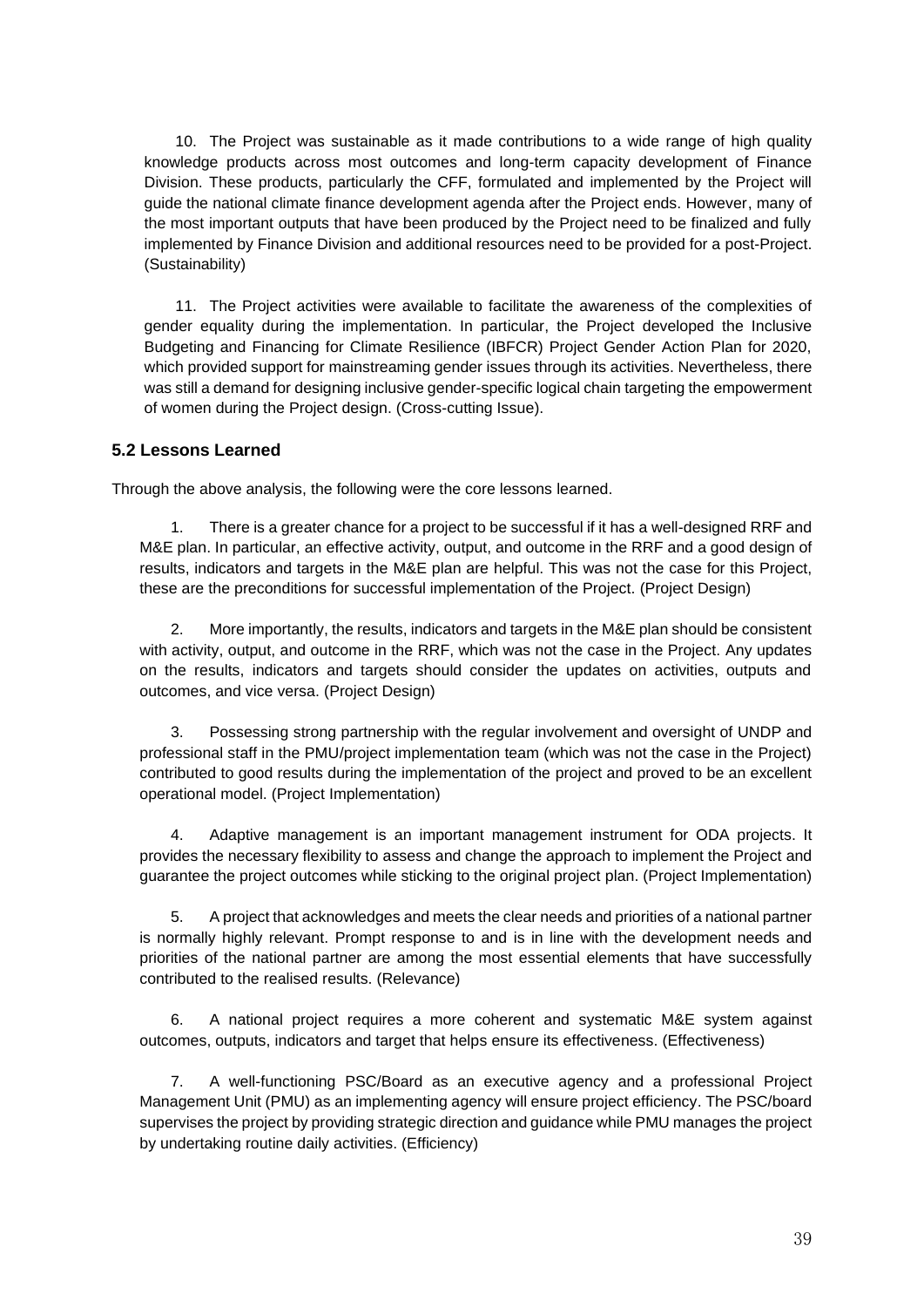10. The Project was sustainable as it made contributions to a wide range of high quality knowledge products across most outcomes and long-term capacity development of Finance Division. These products, particularly the CFF, formulated and implemented by the Project will guide the national climate finance development agenda after the Project ends. However, many of the most important outputs that have been produced by the Project need to be finalized and fully implemented by Finance Division and additional resources need to be provided for a post-Project. (Sustainability)

11. The Project activities were available to facilitate the awareness of the complexities of gender equality during the implementation. In particular, the Project developed the Inclusive Budgeting and Financing for Climate Resilience (IBFCR) Project Gender Action Plan for 2020, which provided support for mainstreaming gender issues through its activities. Nevertheless, there was still a demand for designing inclusive gender-specific logical chain targeting the empowerment of women during the Project design. (Cross-cutting Issue).

#### **5.2 Lessons Learned**

Through the above analysis, the following were the core lessons learned.

1. There is a greater chance for a project to be successful if it has a well-designed RRF and M&E plan. In particular, an effective activity, output, and outcome in the RRF and a good design of results, indicators and targets in the M&E plan are helpful. This was not the case for this Project, these are the preconditions for successful implementation of the Project. (Project Design)

2. More importantly, the results, indicators and targets in the M&E plan should be consistent with activity, output, and outcome in the RRF, which was not the case in the Project. Any updates on the results, indicators and targets should consider the updates on activities, outputs and outcomes, and vice versa. (Project Design)

3. Possessing strong partnership with the regular involvement and oversight of UNDP and professional staff in the PMU/project implementation team (which was not the case in the Project) contributed to good results during the implementation of the project and proved to be an excellent operational model. (Project Implementation)

4. Adaptive management is an important management instrument for ODA projects. It provides the necessary flexibility to assess and change the approach to implement the Project and guarantee the project outcomes while sticking to the original project plan. (Project Implementation)

5. A project that acknowledges and meets the clear needs and priorities of a national partner is normally highly relevant. Prompt response to and is in line with the development needs and priorities of the national partner are among the most essential elements that have successfully contributed to the realised results. (Relevance)

6. A national project requires a more coherent and systematic M&E system against outcomes, outputs, indicators and target that helps ensure its effectiveness. (Effectiveness)

7. A well-functioning PSC/Board as an executive agency and a professional Project Management Unit (PMU) as an implementing agency will ensure project efficiency. The PSC/board supervises the project by providing strategic direction and guidance while PMU manages the project by undertaking routine daily activities. (Efficiency)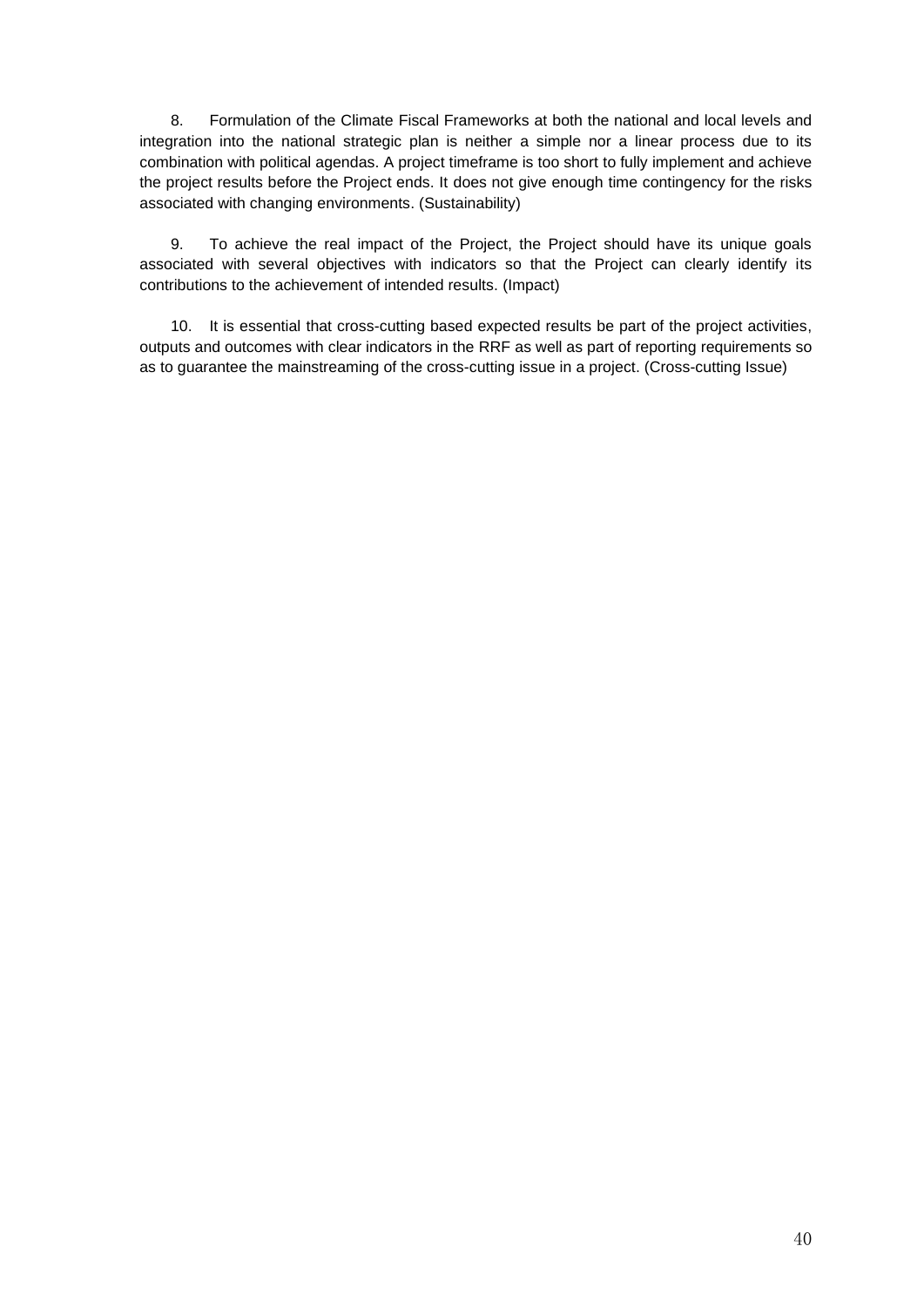8. Formulation of the Climate Fiscal Frameworks at both the national and local levels and integration into the national strategic plan is neither a simple nor a linear process due to its combination with political agendas. A project timeframe is too short to fully implement and achieve the project results before the Project ends. It does not give enough time contingency for the risks associated with changing environments. (Sustainability)

9. To achieve the real impact of the Project, the Project should have its unique goals associated with several objectives with indicators so that the Project can clearly identify its contributions to the achievement of intended results. (Impact)

10. It is essential that cross-cutting based expected results be part of the project activities, outputs and outcomes with clear indicators in the RRF as well as part of reporting requirements so as to guarantee the mainstreaming of the cross-cutting issue in a project. (Cross-cutting Issue)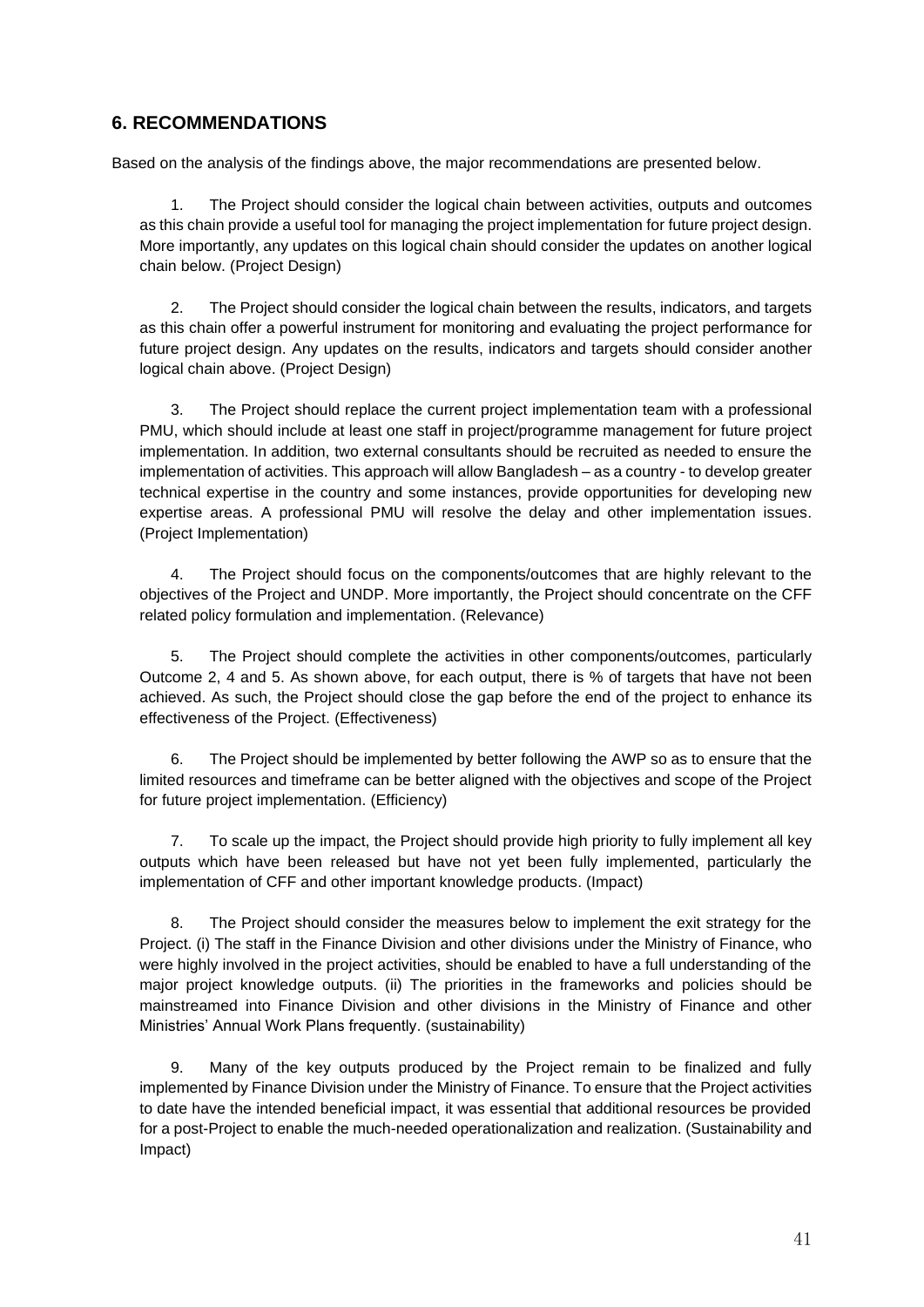### **6. RECOMMENDATIONS**

Based on the analysis of the findings above, the major recommendations are presented below.

1. The Project should consider the logical chain between activities, outputs and outcomes as this chain provide a useful tool for managing the project implementation for future project design. More importantly, any updates on this logical chain should consider the updates on another logical chain below. (Project Design)

2. The Project should consider the logical chain between the results, indicators, and targets as this chain offer a powerful instrument for monitoring and evaluating the project performance for future project design. Any updates on the results, indicators and targets should consider another logical chain above. (Project Design)

3. The Project should replace the current project implementation team with a professional PMU, which should include at least one staff in project/programme management for future project implementation. In addition, two external consultants should be recruited as needed to ensure the implementation of activities. This approach will allow Bangladesh – as a country - to develop greater technical expertise in the country and some instances, provide opportunities for developing new expertise areas. A professional PMU will resolve the delay and other implementation issues. (Project Implementation)

4. The Project should focus on the components/outcomes that are highly relevant to the objectives of the Project and UNDP. More importantly, the Project should concentrate on the CFF related policy formulation and implementation. (Relevance)

5. The Project should complete the activities in other components/outcomes, particularly Outcome 2, 4 and 5. As shown above, for each output, there is % of targets that have not been achieved. As such, the Project should close the gap before the end of the project to enhance its effectiveness of the Project. (Effectiveness)

6. The Project should be implemented by better following the AWP so as to ensure that the limited resources and timeframe can be better aligned with the objectives and scope of the Project for future project implementation. (Efficiency)

7. To scale up the impact, the Project should provide high priority to fully implement all key outputs which have been released but have not yet been fully implemented, particularly the implementation of CFF and other important knowledge products. (Impact)

8. The Project should consider the measures below to implement the exit strategy for the Project. (i) The staff in the Finance Division and other divisions under the Ministry of Finance, who were highly involved in the project activities, should be enabled to have a full understanding of the major project knowledge outputs. (ii) The priorities in the frameworks and policies should be mainstreamed into Finance Division and other divisions in the Ministry of Finance and other Ministries' Annual Work Plans frequently. (sustainability)

9. Many of the key outputs produced by the Project remain to be finalized and fully implemented by Finance Division under the Ministry of Finance. To ensure that the Project activities to date have the intended beneficial impact, it was essential that additional resources be provided for a post-Project to enable the much-needed operationalization and realization. (Sustainability and Impact)